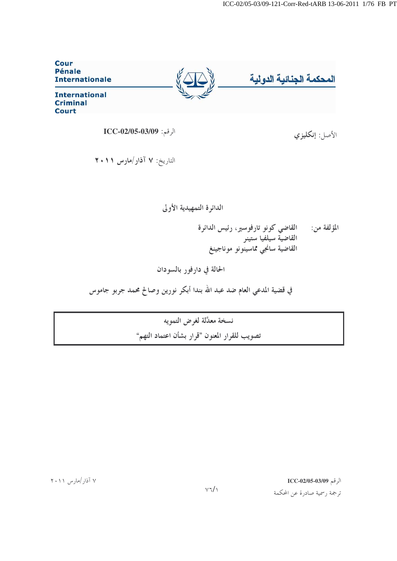

$$
ICC\text{-}02/05\text{-}03/09:|\text{-}11/000\rangle
$$

التاريخ: ٧ آذار/مارس ٢٠١١

## الدائرة التمهيدية الأولى

القاضي كونو تارفوسير، رئيس الدائرة المؤلفة من: 

الحالة في دارفور بالسودان

في قضية المدعي العام ضد عبد الله بندا أبكر نورين وصالح محمد جربو جاموس

نسخة معدَّلة لغرض التمويه تصويب للقرار المعنون "قرار بشأن اعتماد التهم"

الرقم ICC-02/05-03/09

ترجمة رسمية صادرة عن المحكمة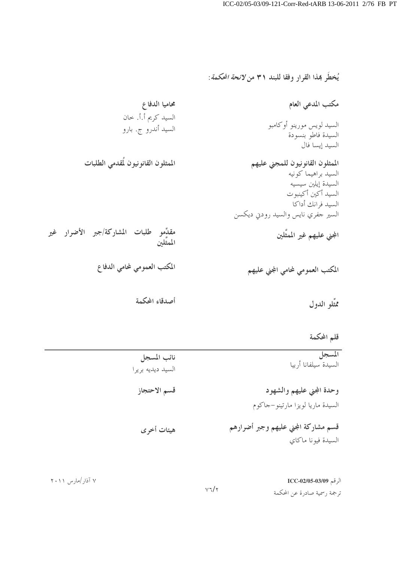يُخطَرِ هِذا القرارِ وفقا للبند ٣١ من *لائحة المحكمة*:

محاميا الدفاع مكتب المدعي العام السيد كريم أ.أ. خان السيد لويس مورينو أوكامبو السيد أندرو ج. بارو السيدة فاطو بنسودة السيد إيسا فال الممثلون القانونيون لُقدمى الطلبات الممثلون القانونيون للمجني عليهم السيد براهيما كونيه السيدة إيلين سيسيه السيد أكين أكينبوت السيد فرانك أداكا السير حفري نايس والسيد رودني ديكسن مقدِّمو طلبات المشاركة/جبر الأضرار غير المجني عليهم غير الممثَّلين المعثَّلين المكتب العمومي لمحامي الدفاع المكتب العمومي لمحامي المجني عليهم أصدقاء المحكمة ممثِّلو الدول

قلم المحكمة

| المسجل<br>السيدة سيلفانا أربيا                                | نائب المسجل<br>السيد ديديه بريرا |
|---------------------------------------------------------------|----------------------------------|
| وحدة المجني عليهم والشهود<br>السيدة ماريا لويزا مارتينو-جاكوم | قسم الاحتجاز                     |
| قسم مشاركة المجني عليهم وجبر أضرارهم<br>السيدة فيونا ماكاي    | هيئات أخرى                       |

|           | الرقم 1CC-02/05-03/09        |
|-----------|------------------------------|
| $v7/\tau$ | ترجمة رسمية صادرة عن المحكمة |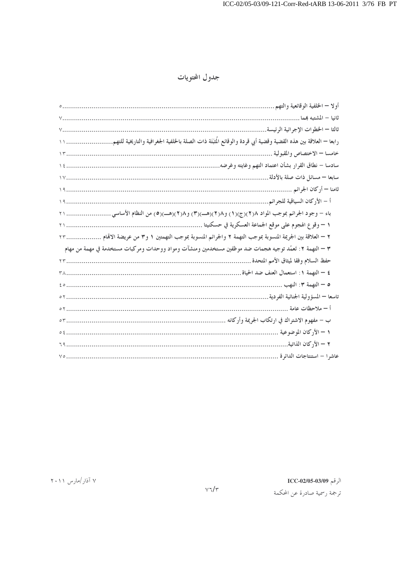## جدول المحتويات

| أولا – الخلفية الوقائعية والتهم                                                                         |
|---------------------------------------------------------------------------------------------------------|
| ثانيا – المشتبه بمما                                                                                    |
| ثالثا – الخطوات الإجرائية الرئيسة                                                                       |
|                                                                                                         |
|                                                                                                         |
|                                                                                                         |
|                                                                                                         |
|                                                                                                         |
|                                                                                                         |
|                                                                                                         |
|                                                                                                         |
| ٢ – العلاقة بين الجريمة المنسوبة بموجب التهمة ٢ والجرائم المنسوبة بموجب التهمتين ١ و٣ من عريضة الاقمام  |
| ٣ – التهمة ٢: تَعمُد توجيه هجمات ضد موظفين مستخدمين ومنشآت ومواد ووحدات ومركبات مستخدمة في مهمة من مهام |
|                                                                                                         |
|                                                                                                         |
|                                                                                                         |
|                                                                                                         |
|                                                                                                         |
|                                                                                                         |
|                                                                                                         |
|                                                                                                         |
|                                                                                                         |

 $\text{ICC-02/05-03/09}$  الرقم

ترجمة رسمية صادرة عن المحكمة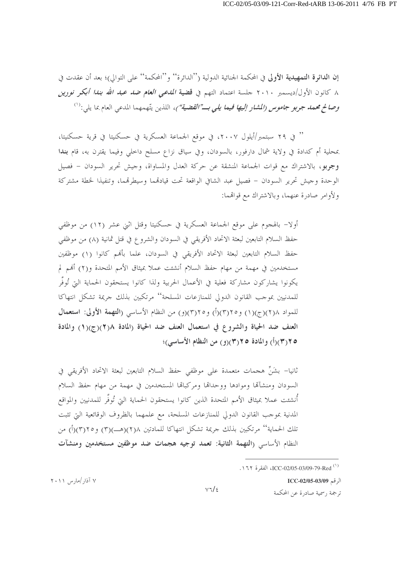إن الدائرة التمهيدية الأولى في المحكمة الجنائية الدولية (''الدائرة'' و''المحكمة'' على التوالي)؛ بعد أن عقدت في ٨ كانون الأول/ديسمبر ٢٠١٠ جلسة اعتماد التهم في **قضية** *المدعي العام ضد عبد الله بندا أبكر نورين* وصالح محم*د جربو جاموس (المشار إليها فيما يلي بــ"القضية")*، اللذين يتّهمهما المدعى العام بما يلي:<sup>(١)</sup>

'' في ٢٩ سبتمبر/أيلول ٢٠٠٧، في موقع الجماعة العسكرية في حسكنيتا في قرية حسكنيتا، بمحلية أم كدادة في ولاية شمال دارفور، بالسودان، وفي سياق نزاع مسلح داخلي وفيما يقترن به، قام بندا وجربو، بالاشتراك مع قوات الجماعة المنشقة عن حركة العدل والمساواة، وحيش تحرير السودان – فصيل الوحدة وجيش تحرير السودان – فصيل عبد الشافي الواقعة تحت قيادقمما وسيطرقمما، وتنفيذا لخطة مشتركة ولأوامر صادرة عنهما، وبالاشتراك مع قواقمما:

أولًا– بالهجوم على موقع الجماعة العسكرية في حسكنيتا وقتل اثني عشر (١٢) من موظفي حفظ السلام التابعين لبعثة الاتحاد الأفريقي في السودان والشروع في قتل ثمانية (٨) من موظفي حفظ السلام التابعين لبعثة الاتحاد الأفريقي في السودان، علما بألهم كانوا (١) موظفين مستخدمين في مهمة من مهام حفظ السلام أنشئت عملا بميثاق الأمم المتحدة و(٢) أُلهم لم يكونوا يشاركون مشاركة فعلية في الأعمال الحربية ولذا كانوا يستحقون الحماية التي تُوفُّر للمدنيين بموجب القانون الدولي للمنازعات المسلحة'' مرتكبين بذلك جريمة تشكل انتهاكا للمواد ١(٢)(ج)(١) و٢(٣)(أ) و٢(٣)(و) من النظام الأساسي (التهمة الأولى: استعمال العنف ضد الحياة والشروع في استعمال العنف ضد الحياة (المادة ١/(٣)(ج)(١) والمادة ٢٥/٣)(أ) والمادة ٢٥/٣)(و) من النظام الأساسي)؛

ثانيا– بشَنٍّ هجمات متعمدة على موظفى حفظ السلام التابعين لبعثة الاتحاد الأفريقي في السودان ومنشآلها وموادها ووحداقا ومركباقا المستخدمين في مهمة من مهام حفظ السلام أنشئت عملا بميثاق الأمم المتحدة الذين كانوا يستحقون الحماية التي تُوفَّر للمدنيين والمواقع المدنية بموجب القانون الدولي للمنازعات المسلحة، مع علمهما بالظروف الوقائعية التي تثبت تلك الحماية'' مرتكبين بذلك جريمة تشكل انتهاكا للمادتين ٢١٨(هـــ)(٣) و٢٥(٣)(أ) من النظام الأساسي (التهمة الثانية: تعمد توجيه هجمات ضد موظفين مستخدمين ومنشآت

الرقم ICC-02/05-03/09

ترجمة , سمية صادرة عن المحكمة

<sup>.1 1</sup> ICC-02/05-03/09-79-Red (\*)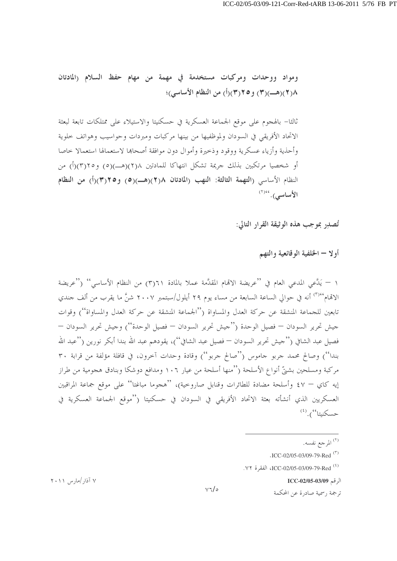ومواد ووحدات ومركبات مستخدمة في مهمة من مهام حفظ السلام (المادتان ٨(٢)(هــ)(٣) و٢(٣)(أ) من النظام الأساسي)؛

ثالثا– بالهجوم على موقع الجماعة العسكرية في حسكنيتا والاستيلاء على ممتلكات تابعة لبعثة الاتحاد الأفريقي في السودان ولموظفيها من بينها مركبات ومبردات وحواسيب وهواتف حلوية وأحذية وأزياء عسكرية ووقود وذحيرة وأموال دون موافقة أصحاها لاستعمالها استعمالا خاصا أو شخصيا مرتكبين بذلك جريمة تشكل انتهاكا للمادتين ٢(٢)(هـــ)(٥) و٢(٣)(أ) من النظام الأساسي (التهمة الثالثة: النهب (المادتان ٢١٨)(هـــ)(٥) و٣١٥/(أ) من النظام الأساسى). (٢)

تُصلِّر بموجب هذه الوثيقة القرار التالي:

أولا – الخلفية الوقائعية والتهم

١ – يَدَّعي المدعى العام في ''عريضة الاتَّحام المقدَّمة عملا بالمادة ٣)٦١) من النظام الأساسي'' (''عريضة الاقمام<sup>096</sup> أنه في حوالي الساعة السابعة من مساء يوم ٢٩ أيلول/سبتمبر ٢٠٠٧ شنَّ ما يقرب من ألف جندي .<br>تابعين للجماعة المنشقة عن حركة العدل والمساواة (''الجماعة المنشقة عن حركة العدل والمساواة'') وقوات جيش تحرير السودان — فصيل الوحدة (''جيش تحرير السودان — فصيل الوحدة'') وجيش تحرير السودان — فصيل عبد الشافي (''حيش تحرير السودان — فصيل عبد الشافي'')، يقودهم عبد الله بندا أبكر نورين (''عبد الله بندا'') وصالح محمد جربو جاموس (''صالح جربو'') وقادة وحدات آخرون، في قافلة مؤلفة من قرابة ٣٠ مركبة ومسلحين بشتيِّ أنواع الأسلحة (''منها أسلحة من عيار ١٠٦ ومدافع دوشكا وبنادق هجومية من طراز إيه كاي — ٤٧ وأسلحة مضادة للطائرات وقنابل صاروحية)، ''هجوما مباغتا'' على موقع جماعة المراقبين العسكريين الذي أنشأته بعثة الاتحاد الأفريقي في السودان في حسكنيتا (''موقع الجماعة العسكرية في حسكنيتا").<sup>(٤)</sup>

الرقم ICC-02/05-03/09

ترجمة , سمية صادرة عن المحكمة

<sup>&</sup>lt;sup>(٢)</sup> المرجع نفسه.

 $\cdot$ ICC-02/05-03/09-79-Red<sup>(\*)</sup>

<sup>&</sup>lt;sup>(٤)</sup> ICC-02/05-03/09-79-Red<sup>(٤)</sup>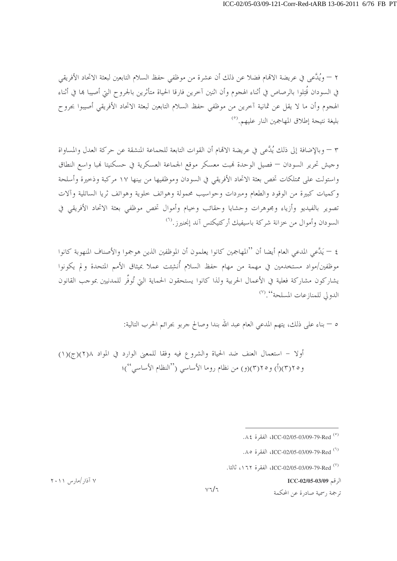٢ – ويُلَّعي في عريضة الاتمام فضلا عن ذلك أن عشرة من موظفي حفظ السلام التابعين لبعثة الاتحاد الأفريقي في السودان قُتِلوا بالرصاص في أثناء الهجوم وأن اثنين آخرين فارقا الحياة متأثرين بالجروح التي أصيبا بما في أثناء الهجوم وأن ما لا يقل عن ثمانية آخرين من موظفي حفظ السلام التابعين لبعثة الاتحاد الأفريقي أصيبوا بجروح بليغة نتيجة إطلاق المهاجمين النار عليهم.<sup>(٥)</sup>

٣ – وبالإضافة إلى ذلك يُدَّعى في عريضة الاتِّمام أن القوات التابعة للجماعة المنشقة عن حركة العدل والمساواة وجيش تحرير السودان — فصيل الوحدة فمبت معسكر موقع الجماعة العسكرية في حسكنيتا فمبا واسع النطاق واستولت على ممتلكات تخص بعثة الاتحاد الأفريقي في السودان وموظفيها من بينها ١٧ مركبة وذحيرة وأسلحة وكميات كبيرة من الوقود والطعام ومبردات وحواسيب محمولة وهواتف حلوية وهواتف ثريا الساتلية وآلات تصوير بالفيديو وأزياء ومجوهرات وحشايا وحقائب وحيام وأموال تخص موظفي بعثة الاتحاد الأفريقي في السودان وأموال من حزانة شركة باسبفيك أركتيكتس آند إنجني<sub>ا ن</sub><sup>(٢)</sup>

٤ – يَدَّعى المدعى العام أيضا أن ''المهاجمين كانوا يعلمون أن الموظفين الذين هوجموا والأصناف المنهوبة كانوا موظفين/مواد مستخدمين في مهمة من مهام حفظ السلام أُنشِئت عملا بميثاق الأمم المتحدة ولم يكونوا يشاركون مشاركة فعلية في الأعمال الحربية ولذا كانوا يستحقون الحماية التي تُوفُّر للمدنيين بموجب القانون الدولي للمنازعات المسلحة<sup>00</sup>. (<sup>٧)</sup>

٥ — بناء على ذلك، يتهم المدعى العام عبد الله بندا وصالح حربو بجرائم الحرب التالية:

أولا – استعمال العنف ضد الحياة والشروع فيه وفقا للمعنى الوارد في المواد ٢(٢)(ج)(١) و ٢٥(٣)(أ) و ٢٥(٣)(و) من نظام روما الأساسي ("النظام الأساسي")؛

الرقم ICC-02/05-03/09

ترجمة , سمية صادرة عن المحكمة

 $Y \cdot Y$  آذار /مار س ۲۰۱۱

 $V\tau/\tau$ 

<sup>&</sup>lt;sup>(°)</sup> ICC-02/05-03/09-79-Red<sup>(°)</sup>

<sup>(1)</sup> ICC-02/05-03/09-79-Red ، الفقرة 0.∧.

<sup>(&</sup>lt;sup>٧)</sup> ICC-02/05-03/09-79-Red<sup>(٧)</sup>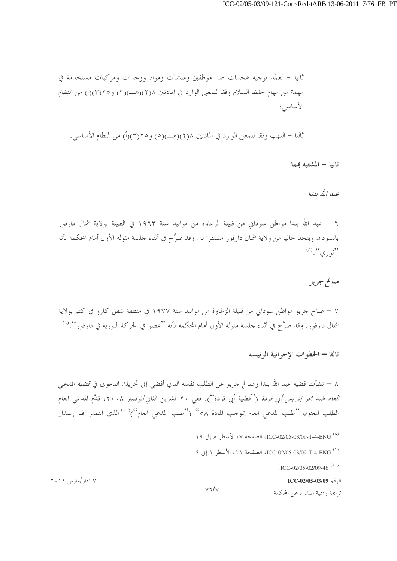ثانيا – تَعمُد توجيه هجمات ضد موظفين ومنشآت ومواد ووحدات ومركبات مستخدمة في مهمة من مهام حفظ السلام وفقا للمعين الوارد في المادتين ١(٢)(هـــ)(٣) و٢(٢)(أ) من النظام الأساسى؛

ثالثا – النهب وفقا للمعنى الوارد في المادتين ٢(٢)(هـــ)(٥) و٢(٣)(أ) من النظام الأساسي.

ثانيا – المشتبه هِما

عبار الله بنايا

٦ — عبد الله بندا مواطن سوداني من قبيلة الزغاوة من مواليد سنة ١٩٦٣ في الطينة بولاية شمال دارفور بالسودان ويتخذ حاليا من ولاية شمال دارفور مستقرا له. وقد صرَّح في أثناء حلسة مثوله الأول أمام المحكمة بأنه  $(\wedge)$   $(\wedge)$   $(\wedge)$   $(\wedge)$   $(\wedge)$ 

صالح جوبو

٧ – صالح جربو مواطن سوداني من قبيلة الزغاوة من مواليد سنة ١٩٧٧ في منطقة شقق كارو في كتم بولاية شمال دارفور. وقد صرَّح في أثناء حلسة مثوله الأول أمام المحكمة بأنه ''عضو في الحركة الثورية في دارفور''.<sup>(٩)</sup>

ثالثا – الخطوات الإجرائية الرئيسة

٨ – نشأت قضية عبد الله بندا وصالح جربو عن الطلب نفسه الذي أفضى إلى تحريك الدعوى في *قضية المدعى العام ضد بحر إدريس أبي قردة* (''قضية أبي قردة''). ففي ٢٠ تشرين الثاني/نوفمبر ٢٠٠٨، قدَّم المدعى العام الطلب المعنون ''طلب المدعى العام بموجب المادة ٥٨'' (''طلب المدعى العام'')<sup>(١٠)</sup> الذي التمس فيه إصدار

 $\cdot$ ICC-02/05-02/09-46<sup>(1)</sup>

الرقم ICC-02/05-03/09

ترجمة , سمية صادرة عن المحكمة

۷ آذار/مارس ۲۰۱۱

 $y7/y$ 

<sup>(^)</sup> ICC-02/05-03/09-T-4-ENG، الصفحة ٧، الأسطر ٨ إلى ١٩.

<sup>(&</sup>lt;sup>4)</sup> ICC-02/05-03/09-T-4-ENG، الصفحة ١١، الأسطر ١ إلى ٤.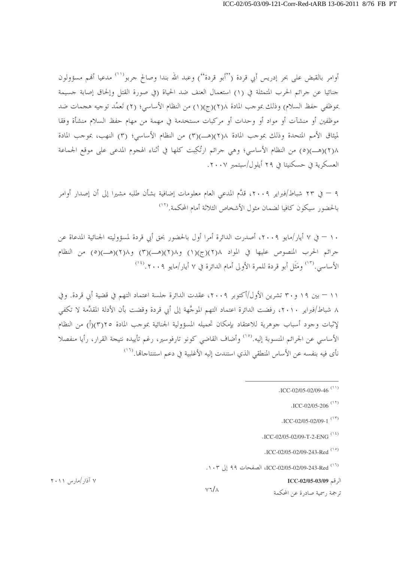أوامر بالقبض على بحر إدريس أبي قردة ('أبو قردة'') وعبد الله بندا وصالح جربو''' مدعيا أفهم مسؤولون حنائيا عن حرائم الحرب المتمثلة في (١) استعمال العنف ضد الحياة (في صورة القتل وإلحاق إصابة حسيمة بموظفى حفظ السلام) وذلك بموجب المادة ١(٢)(ج)(١) من النظام الأساسي؛ (٢) تَعمُّد توجيه هجمات ضد موظفين أو منشآت أو مواد أو وحدات أو مركبات مستخدمة في مهمة من مهام حفظ السلام منشأة وفقا لميثاق الأمم المتحدة وذلك بموجب المادة ٢١/(هـــ)(٣) من النظام الأساسي؛ (٣) النهب، بموجب المادة ٢(٢)(هــ)(٥) من النظام الأساسي؛ وهي جرائم ارتُكِبت كلها في أثناء الهجوم المدعى على موقع الجماعة العسكرية في حسكنيتا في ٢٩ أيلول/سبتمبر ٢٠٠٧.

٩ — في ٢٣ شباط/فبراير ٢٠٠٩، قدَّم المدعى العام معلومات إضافية بشأن طلبه مشيرا إلى أن إصدار أوامر بالحضور سيكون كافيا لضمان مثول الأشخاص الثلاثة أمام المحكمة.<sup>(١٢</sup>)

١٠ – في ٧ أيار /مايو ٢٠٠٩، أصدرت الدائرة أمرا أول بالحضور بحق أبي قردة لمسؤوليته الجنائية المدعاة عن جرائم الحرب المنصوص عليها في المواد ٢(٢)(ج)(١) و٢(٢)(هـ)(٣) و٢(٢)(هـ)(٥) من النظام الأساسي.'``` ومَثَل أبو قردة للمرة الأولى أمام الدائرة في ٧ أيار/مايو ٢٠٠٩.'``

١١ – بين ١٩ و ٣٠ تشرين الأول/أكتوبر ٢٠٠٩، عقدت الدائرة جلسة اعتماد التهم في قضية أبي قردة. وفي ٨ شباط/فبراير ٢٠١٠، رفضت الدائرة اعتماد التهم الموجَّهة إلى أبي قردة وقضت بأن الأدلة المقدَّمة لا تكفي لإثبات وجود أسباب جوهرية للاعتقاد بإمكان تحميله المسؤولية الجنائية بموجب المادة ٢(٣)(أ) من النظام الأساسي عن الجرائم المنسوبة إليه.<sup>(١٥</sup>) وأضاف القاضي كونو تارفوسير، رغم تأييده نتيجة القرار، رأيا منفصلا نأى فيه بنفسه عن الأساس المنطقي الذي استندت إليه الأغلبية في دعم استنتاجاتما.<sup>(١٦</sup>)

الرقم ICC-02/05-03/09

ترجمة , سمية صادرة عن المحكمة

۷ آذار /مارس ۲۰۱۱

 $V7/\lambda$ 

 $\cdot$ ICC-02/05-02/09-46<sup>(11)</sup>

 $\cdot$ ICC-02/05-206<sup>(13)</sup>

 $\cdot$ ICC-02/05-02/09-1<sup>(1٣)</sup>

 $ICC-02/05-02/09-T-2-FNG$ <sup>(1.2)</sup>

<sup>.</sup>ICC-02/05-02/09-243-Red<sup>(1)</sup>

<sup>(13)</sup> ICC-02/05-02/09-243-Red ، إلى ١٠٣.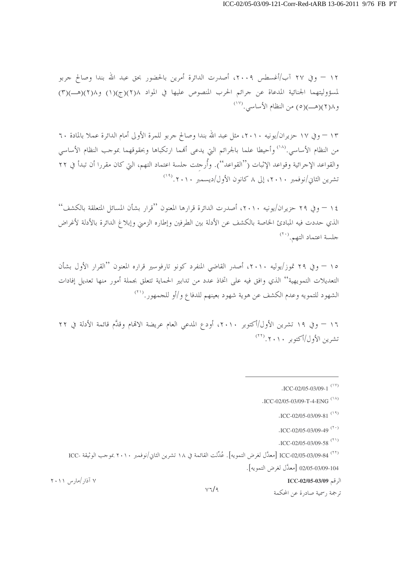١٢ – وفي ٢٧ آب/أغسطس ٢٠٠٩، أصدرت الدائرة أمرين بالحضور بحق عبد الله بندا وصالح جربو لمسؤوليتهما الجنائية المدعاة عن جرائم الحرب المنصوص عليها في المواد ١/(٣)(ج)(١) و١/(٢)(هـ)(٣)  $\binom{(17)}{2}$ و ((٢) (هـ)(٥) من النظام الأساسي.

١٣ – وفي ١٧ حزيران/يونيه ٢٠١٠، مثل عبد الله بندا وصالح جربو للمرة الأولى أمام الدائرة عملا بالمادة ٦٠ من النظام الأساسي.<sup>(١٨</sup>) وأحيطا علما بالجرائم التي يدعى أفمما ارتكباها وبحقوقهما بموحب النظام الأساسي والقواعد الإجرائية وقواعد الإثبات (''القواعد''). وأُرجئت جلسة اعتماد التهم، التي كان مقررا أن تبدأ في ٢٢ تشرين الثاني/نوفمبر ٢٠١٠، إلى ٨ كانون الأول/ديسمبر ٢٠١٠.<sup>(٢٩</sup>)

١٤ – وفي ٢٩ حزير ان/يونيه ٢٠١٠، أصدرت الدائرة قرارها المعنون ''قرار بشأن المسائل المتعلقة بالكشف'' الذي حددت فيه المبادئ الخاصة بالكشف عن الأدلة بين الطرفين وإطاره الزمني وإبلاغ الدائرة بالأدلة لأغراض جلسة اعتماد التهم. (٢٠)

١٥ – وفي ٢٩ تموز/يوليه ٢٠١٠، أصدر القاضي المنفرد كونو تارفوسير قراره المعنون "القرار الأول بشأن التعديلات التمويهية'' الذي وافق فيه على اتخاذ عدد من تدابير الحماية تتعلق بجملة أمور منها تعديل إفادات الشهود للتمويه وعدم الكشف عن هوية شهود بعينهم للدفاع و/أو للجمهور .(``)

١٦ – وفي ١٩ تشرين الأول/أكتوبر ٢٠١٠، أودع المدعي العام عريضة الاقمام وقدَّم قائمة الأدلة في ٢٢ تشرين الأول/أكتوبر ٢٠١٠. (٢٢)

 $ICC-02/05-03/09-58$ <sup>(\*)</sup>

الرقم ICC-02/05-03/09

ترجمة , سمية صادرة عن المحكمة

<sup>.</sup>ICC-02/05-03/09-1  $(1 \text{V})$ 

<sup>.</sup>ICC-02/05-03/09-T-4-ENG  $(1)$ 

 $\cdot$ ICC-02/05-03/09-81<sup>(13)</sup>

 $\cdot$ ICC-02/05-03/09-49<sup>(\*)</sup>

<sup>(</sup>٢٢) ICC-02/05-03/09-84 [معدَّل لغرض التمويه]. عُدِّلت القائمة في ١٨ تشرين الثاني/نوفمبر ٢٠١٠ بموجب الوثيقة -ICC 02/05-03/09-104 [معدَّل لغرض التمويه].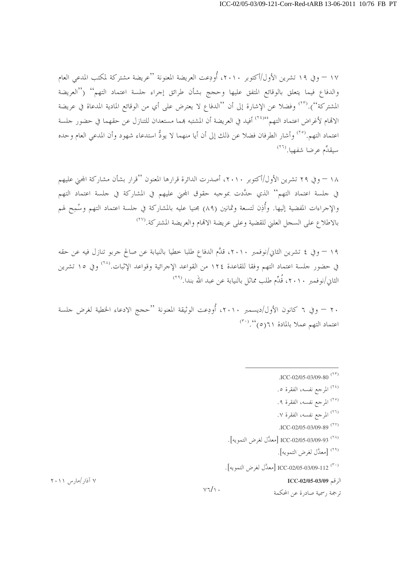١٧ – وفي ١٩ تشرين الأول/أكتوبر ٢٠١٠، أُودِعت العريضة المعنونة ''عريضة مشتركة لمكتب المدعى العام والدفاع فيما يتعلق بالوقائع المتفق عليها وحجج بشأن طرائق إجراء جلسة اعتماد التهم'' (''العريضة المشتركة'').<sup>(٢٣</sup>) وفضلا عن الإشارة إلى أن ''الدفاع لا يعترض على أي من الوقائع المادية المدعاة في عريضة الاقمام لأغراض اعتماد التهم''' أفيد في العريضة أن المشتبه بمما مستعدان للتنازل عن حقهما في حضور جلسة اعتماد التهم.<sup>(٢٥</sup>) وأشار الطرفان فضلا عن ذلك إلى أن أيا منهما لا يودُّ استدعاء شهود وأن المدعى العام وحده سيقدِّم عرضا شفهيا. (٢٦)

١٨ – وفي ٢٩ تشرين الأول/أكتوبر ٢٠١٠، أصدرت الدائرة قرارها المعنون ''قرار بشأن مشاركة المجين عليهم في جلسة اعتماد التهم'' الذي حدَّدت بموجبه حقوق المحنى عليهم في المشاركة في جلسة اعتماد التهم والإجراءات المفضية إليها. وأُذِن لتسعة وثمانين (٨٩) مجنيا عليه بالمشاركة في حلسة اعتماد التهم وسُمِح لهم بالاطلاع على السجل العلني للقضية وعلى عريضة الاتمام والعريضة المشتركة.(٢٧

١٩ – وفي ٤ تشرين الثاني/نوفمبر ٢٠١٠، قدَّم الدفاع طلبا حطيا بالنيابة عن صالح جربو تنازل فيه عن حقه في حضور جلسة اعتماد التهم وفقا للقاعدة ١٢٤ من القواعد الإجرائية وقواعد الإثبات.<sup>(٢٨)</sup> وفي ١٥ تشرين الثاني/نوفمبر ٢٠١٠، قُلِّم طلب مماثل بالنيابة عن عبد الله بندا.<sup>(٢٩</sup>)

٢٠ – وفي ٦ كانون الأول/ديسمبر ٢٠١٠، أُودِعت الوثيقة المعنونة ''حجج الادعاء الخطية لغرض حلسة اعتماد التهم عملا بالمادة ٢٠١, (٣٠).

 $v\sqrt{1}$ .

- .ICC-02/05-03/09-80<sup> $(55)$ </sup>
- <sup>(٢٤)</sup> المرجع نفسه، الفقرة ٥.
- <sup>(٢٥)</sup> المرجع نفسه، الفقرة ٩.
- <sup>(٢٦)</sup> المرجع نفسه، الفقرة ٧.
- .ICC-02/05-03/09-89<sup>(٢٧)</sup>
- <sup>(٢٨)</sup> ICC-02/05-03/09-93 [معدَّل لغرض التمويه].
	- <sup>(٢٩)</sup> [معدَّل لغرض التمويه].
- (٣٠) ICC-02/05-03/09-112 [معدَّل لغرض التمويه].

## الرقم ICC-02/05-03/09

ترجمة , سمية صادرة عن المحكمة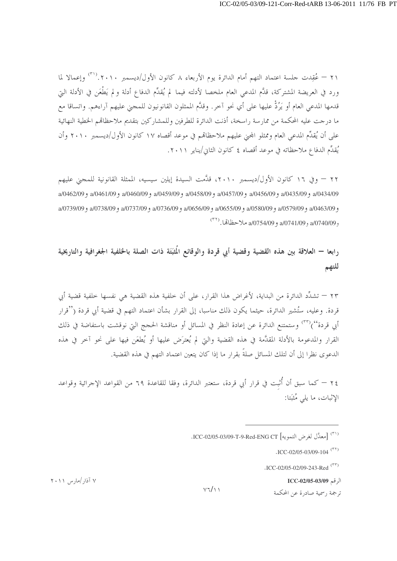٢١ – عُقِدت حلسة اعتماد التهم أمام الدائرة يوم الأربعاء ٨ كانون الأول/ديسمبر ٢٠١٠. (<sup>٣١)</sup> وإعمالا لما ورد في العريضة المشتركة، قدَّم المدعى العام ملخصا لأدلته فيما لم يُقدِّم الدفاع أدلة و لم يَطْعَن في الأدلة الج قدمها المدعى العام أو يَرُدُّ عليها على أي نحو آخر. وقدَّم الممثلون القانونيون للمجنى عليهم آراءهم. واتساقا مع ما درجت عليه المحكمة من ممارسة راسخة، أذنت الدائرة للطرفين وللمشاركين بتقديم ملاحظاهم الخطية النهائية على أن يُقدِّم المدعى العام وممثلو المحنى عليهم ملاحظاهم في موعد أقصاه ١٧ كانون الأول/ديسمبر ٢٠١٠ وأن يُقلِّم الدفاع ملاحظاته في موعد أقصاه ٤ كانون الثاني/يناير ٢٠١١.

٢٢ – وفي ١٦ كانون الأول/ديسمبر ٢٠١٠، قدَّمت السيدة إيلين سيسيه، الممثلة القانونية للمجنى عليهم a/0462/09 و a/0435/09 و a/0457/09 و a/0458/09 و a/0458/09 و a/0459/09 و a/0461/09 و a/0462/09 a/0739/09 و a/0579/09 و a/0580/09 و a/0655/09 و a/0656/09 و a/0736/09 و a/0737/09 و a/0738/09 و a/0739/09 و 2/0740/09 و 2/0741/09 و 2/0754/09 ملاحظاها. <sup>(٢٢)</sup>

رابعا — العلاقة بين هذه القضية وقضية أبي قردة والوقائع الُمثِبَتَة ذات الصلة بالخلفية الجغرافية والتاريخية للتهم

٢٣ – تشدِّد الدائرة من البداية، لأغراض هذا القرار، على أن خلفية هذه القضية هي نفسها خلفية قضية أبي قردة. وعليه، ستُشير الدائرة، حيثما يكون ذلك مناسبا، إلى القرار بشأن اعتماد التهم في قضية أبي قردة (''قرار أبي قردة'')<sup>(٣٣</sup>) وستمتنع الدائرة عن إعادة النظر في المسائل أو مناقشة الحجج التي نوقشت باستفاضة في ذلك القرار والمدعومة بالأدلة المقدَّمة في هذه القضية والتي لم يُعترَض عليها أو يُطعَن فيها على نحو آخر في هذه الدعوى نظرًا إلى أن لتلك المسائل صلةً بقرار ما إذا كان يتعين اعتماد التهم في هذه القضية.

٢٤ — كما سبق أن أُثبت في قرار أبي قردة، ستعتبر الدائرة، وفقا للقاعدة ٦٩ من القواعد الإجرائية وقواعد الإثبات، ما يلي مُثبَتا:

الرقم ICC-02/05-03/09

ترجمة , سمية صادرة عن المحكمة

۷ آذار /مارس ۲۰۱۱

 $Y7/11$ 

<sup>&</sup>lt;sup>(٣١)</sup> [معدَّل لغ ض التمويه] ICC-02/05-03/09-T-9-Red-ENG CT.

 $\cdot$ ICC-02/05-03/09-104<sup>(٣٢)</sup>

 $\cdot$ ICC-02/05-02/09-243-Red (rv)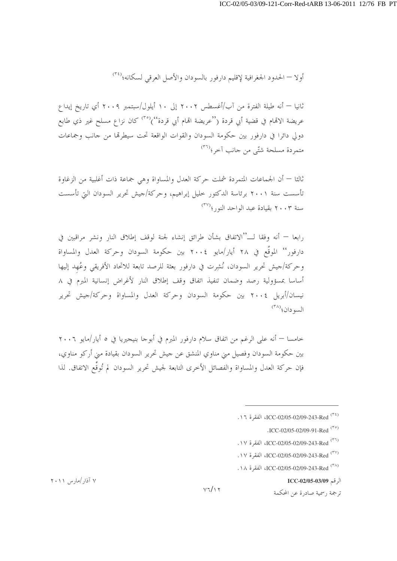أولا — الحدود الجغرافية لإقليم دارفور بالسودان والأصل العرقي لسكانه؛<sup>(٣٤</sup>)

ثانيا — أنه طيلة الفترة من آب/أغسطس ٢٠٠٢ إلى ١٠ أيلول/سبتمبر ٢٠٠٩ أي تاريخ إيداع عريضة الاتمام في قضية أبي قردة (''عريضة اتمام أبي قردة'')<sup>(٣٥</sup>) كان نزاع مسلح غير ذي طابع دولي دائرا في دارفور بين حكومة السودان والقوات الواقعة تحت سيطرقما من جانب وجماعات متمردة مسلحة شتّى من حانب آحر<sup>971)</sup>

ثالثا — أن الجماعات المتمردة شملت حركة العدل والمساواة وهي جماعة ذات أغلبية من الزغاوة تأسست سنة ٢٠٠١ برئاسة الدكتور حليل إبراهيم، وحركة/جيش تحرير السودان التي تأسست سنة ٢٠٠٣ بقيادة عبد الواحد النور؛(٣٧)

رابعا — أنه وفقا لــ''الاتفاق بشأن طرائق إنشاء لجنة لوقف إطلاق النار ونشر مراقبين في دارفور'' الموقَّع في ٢٨ أيار/مايو ٢٠٠٤ بين حكومة السودان وحركة العدل والمساواة وحركة/جيش تحرير السودان، نُشِرت في دارفور بعثة للرصد تابعة للاتحاد الأفريقي وعُهد إليها أساسا بمسؤولية رصد وضمان تنفيذ اتفاق وقف إطلاق النار لأغراض إنسانية المبرم في ٨ نيسان/أبريل ٢٠٠٤ بين حكومة السودان وحركة العدل والمساواة وحركة/جيش تحرير السو دان؛ (٣٨)

خامسا — أنه على الرغم من اتفاق سلام دارفور المبرم في أبوحا بنيجيريا في ٥ أيار/مايو ٢٠٠٦ بين حكومة السودان وفصيل مني مناوي المنشق عن جيش تحرير السودان بقيادة مني أركو مناوي، فإن حركة العدل والمساواة والفصائل الأحرى التابعة لجيش تحرير السودان لم تُوقَّع الاتفاق. لذا

الرقم ICC-02/05-03/09

ترجمة , سمية صادرة عن المحكمة

۷ آذار /مارس ۲۰۱۱

 $Y7/\gamma$ 

<sup>(</sup>٣٤) ICC-02/05-02/09-243-Red الفقرة ١٦.

<sup>.</sup>ICC-02/05-02/09-91-Red  $(5)$ 

TCC-02/05-02/09-243-Red (\*\*) الفقرة ١٧.

<sup>(</sup>٣٧) ICC-02/05-02/09-243-Red، الفقرة ١٧.

ICC-02/05-02/09-243-Red (\*^)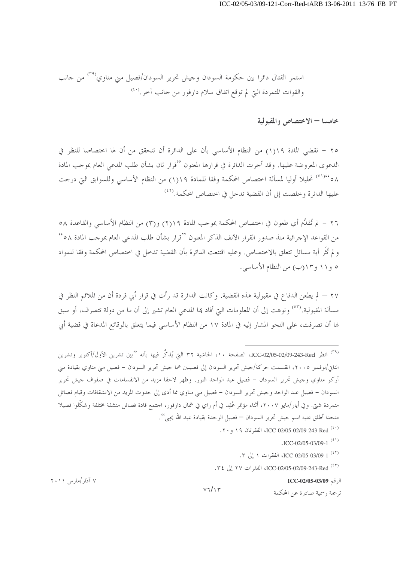خامسا — الاختصاص والمقبولية

٢٥ – تقضى المادة ١(١) من النظام الأساسي بأن على الدائرة أن تتحقق من أن لها احتصاصا للنظر في الدعوى المعروضة عليها. وقد أحرت الدائرة في قرارها المعنون ''قرار ثان بشأن طلب المدعى العام بموجب المادة ٥٨°٬٠١، تحليلا أوليا لمسألة اختصاص المحكمة وفقا للمادة ١(١) من النظام الأساسي وللسوابق التي درجت عليها الدائرة وخلصت إلى أن القضية تدخل في اختصاص المحكمة.(٤٢)

٢٦ – لم تُقلَّع أي طعون في اختصاص المحكمة بموجب المادة ٢١١٩) و(٣) من النظام الأساسي والقاعدة ٥٨ من القواعد الإجرائية منذ صدور القرار الآنف الذكر المعنون ''قرار بشأن طلب المدعى العام بموجب المادة ٥٨°' و لم تُثَر أية مسائل تتعلق بالاختصاص. وعليه اقتنعت الدائرة بأن القضية تدخل في اختصاص المحكمة وفقا للمواد ٥ و١١ و١٢(ب) من النظام الأساسي.

٢٧ – لم يطعن الدفاع في مقبولية هذه القضية. وكانت الدائرة قد رأت في قرار أبي قردة أن من الملائم النظر في مسألة المقبولية.<sup>(٤٣)</sup> ونوهت إلى أن المعلومات التيّ أفاد بما المدعى العام تشير إلى أن ما من دولة تتصرف، أو سبق لها أن تصرفت، على النحو المشار إليه في المادة ١٧ من النظام الأساسي فيما يتعلق بالوقائع المدعاة في قضية أبي

<sup>(٣٩)</sup> انظر ICC-02/09-243-Red، الصفحة ١٠، الحاشية ٣٢ التي يُذكَّر فيها بأنه ''بين تشرين الأول/أكتوبر وتشرين الثاني/نوفمبر ٢٠٠٥، انقسمت حركة/جيش تحرير السودان إلى فصيلين هما جيش تحرير السودان – فصيل مني مناوي بقيادة مني أركو مناوي وحيش تحرير السودان – فصيل عبد الواحد النور. وظهر لاحقا مزيد من الانقسامات في صفوف حيش تحرير السودان – فصيل عبد الواحد وجيش تحرير السودان – فصيل مني مناوي مما أدى إلى حدوث المزيد من الانشقاقات وقيام فصائل متمردة شيٍّ. وفي أيار/مايو ٢٠٠٧، أثناء مؤتمر عُقِد في أم راي في شمال دارفور، احتمع قادة فصائل منشقة مختلفة وشكّلوا فصيلا متحدا أطلق عليه اسم جيش تحرير السودان — فصيل الوحدة بقيادة عبد الله يجيى''.

 $V7/\gamma$ 

- (<sup>٤٠)</sup> ICC-02/05-02/09-243-Red ، ٢٠ و ٢٠.
	- $ICC-02/05-03/09-1$ <sup>(2)</sup>
	- <sup>(٤٢)</sup> ICC-02/05-03/09-1، الفقرات ١ إلى ٣.
- (\*\*) ICC-02/05-02/09-243-Red، الفقرات ٢٧ إلى ٣٤.

الرقم ICC-02/05-03/09

ترجمة , سمية صادرة عن المحكمة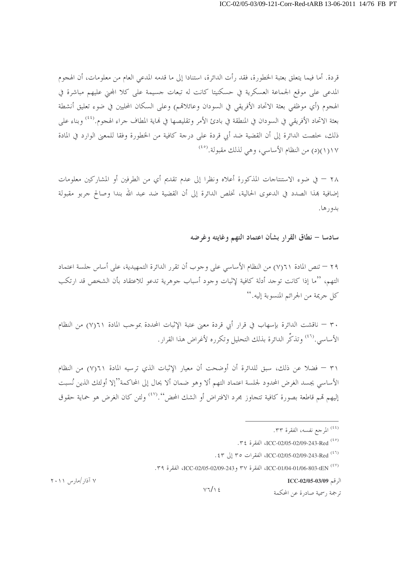قردة. أما فيما يتعلق بعتبة الخطورة، فقد رأت الدائرة، استنادا إلى ما قدمه المدعى العام من معلومات، أن الهجوم المدعى على موقع الجماعة العسكرية في حسكنيتا كانت له تبعات حسيمة على كلا المحنى عليهم مباشرة في الهجوم (أي موظفى بعثة الاتحاد الأفريقي في السودان وعائلاڤم) وعلى السكان المحليين في ضوء تعليق أنشطة بعثة الاتحاد الأفريقي في السودان في المنطقة في بادئ الأمر وتقليصها في نماية المطاف جراء الهجوم.<sup>(٤٤)</sup> وبناء على ذلك، خلصت الدائرة إلى أن القضية ضد أبي قردة على درجة كافية من الخطورة وفقا للمعنى الوارد في المادة ١١٧(١)(د) من النظام الأساسي، وهي لذلك مقبولة.<sup>(٤٥)</sup>

٢٨ – في ضوء الاستنتاجات المذكورة أعلاه ونظرا إلى عدم تقديم أي من الطرفين أو المشاركين معلومات إضافية بهذا الصدد في الدعوى الحالية، تخلص الدائرة إلى أن القضية ضد عبد الله بندا وصالح حربو مقبولة بدورها.

سادسا – نطاق القرار بشأن اعتماد التهم وغايته وغرضه

٢٩ – تنص المادة ٢١(٧) من النظام الأساسي على وجوب أن تقرر الدائرة التمهيدية، على أساس جلسة اعتماد التهم، ''ما إذا كانت توجد أدلة كافية لإثبات وجود أسباب جوهرية تدعو للاعتقاد بأن الشخص قد ارتكب كل جريمة من الجرائم المنسوبة إليه. ''

٣٠ – ناقشت الدائرة بإسهاب في قرار أبي قردة معين عتبة الإثبات المحددة بموجب المادة ٢١(٧) من النظام الأساسي. <sup>(٤٦)</sup> و تذكُّر الدائرة بذلك التحليل و تكر , ه لأغراض هذا القرار .

٣١ – فضلا عن ذلك، سبق للدائرة أن أوضحت أن معيار الإثبات الذي ترسيه المادة ٢١(٧) من النظام الأساسي يجسد الغرض المحدود لجلسة اعتماد التهم ألا وهو ضمان ألا يحال إلى المحاكمة"إلا أولئك الذين نُسبت إليهم قمم قاطعة بصورة كافية تتجاوز بحرد الافتراض أو الشك المحض''.'<sup>(٤٧</sup>) ولئن كان الغرض هو حماية حقوق

الرقم ICC-02/05-03/09

ترجمة , سمية صادرة عن المحكمة

۷ آذار /مارس ۲۰۱۱

 $V7/\sqrt{5}$ 

<sup>&</sup>lt;sup>(٤٤)</sup> المرجع نفسه، الفقرة ٣٣.

<sup>(&</sup>lt;sup>٤٥)</sup> ICC-02/05-02/09-243-Red<sup>(٤٥)</sup>

<sup>(&</sup>lt;sup>٤٦)</sup> ICC-02/05-02/09-243-Red، الفقرات ٣٥ إلى ٤٣.

<sup>(\*\*)</sup> ICC-02/05-02/09-243 , ٣٧ و ICC-02/05-02/09-243، الفقرة ٣٩.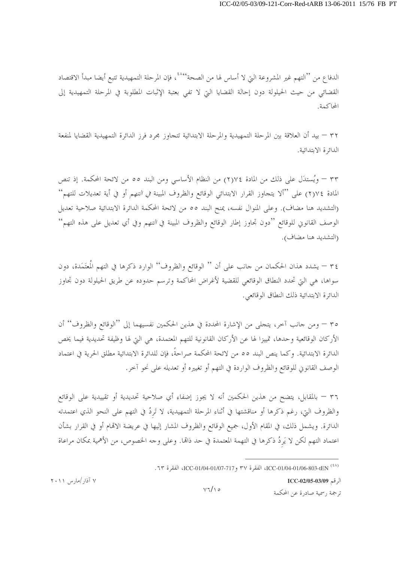الدفاع من ''التهم غير المشروعة التي لا أساس لها من الصحة'''، فإن المرحلة التمهيدية تتبع أيضا مبدأ الاقتصاد القضائي من حيث الحيلولة دون إحالة القضايا التي لا تفي بعتبة الإثبات المطلوبة في المرحلة التمهيدية إلى المحاكمة.

٣٢ — بيد أن العلاقة بين المرحلة التمهيدية والمرحلة الابتدائية تتجاوز مجرد فرز الدائرة التمهيدية القضايا لمنفعة الدائرة الابتدائية.

٣٣ – ويُستدَل على ذلك من المادة ٢١٧٤) من النظام الأساسي ومن البند ٥٥ من لائحة المحكمة. إذ تنص المادة ٢)٧(٢) على ''ألا يتجاوز القرار الابتدائي الوقائع والظروف المبينة *في التهم* أو في أية تعديلات للتهم'' (التشديد هنا مضاف). وعلى المنوال نفسه، يمنح البند ٥٥ من لائحة المحكمة الدائرة الابتدائية صلاحية تعديل الوصف القانوين للوقائع ''دون تجاوز إطار الوقائع والظروف المبينة في *التهم* وفي أي تعديل على هذه التهم'' (التشديد هنا مضاف).

٣٤ – يشدد هذان الحكمان من جانب على أن '' الوقائع والظروف'' الوارد ذكرها في التهم المُعتَمَدة، دون سواها، هي التي تحدد النطاق الوقائعي للقضية لأغراض المحاكمة وترسم حدوده عن طريق الحيلولة دون تجاوز الدائرة الابتدائية ذلك النطاق الوقائعي.

٣٥ – ومن جانب آخر، يتجلَّى من الإشارة المحددة في هذين الحكمين نفسيهما إلى "الوقائع والظروف" أن الأركان الوقائعية وحدها، تمييزا لها عن الأركان القانونية للتهم المعتمدة، هي التي لها وظيفة تحديدية فيما يخص الدائرة الابتدائية. وكما ينص البند ٥٥ من لائحة المحكمة صراحةً، فإن للدائرة الابتدائية مطلق الحرية في اعتماد الوصف القانوين للوقائع والظروف الواردة في التهم أو تغييره أو تعديله على نحو آحر.

٣٦ – بالمقابل، يتضح من هذين الحكمين أنه لا يجوز إضفاء أي صلاحية تحديدية أو تقييدية على الوقائع والظروف التي، رغم ذكرها أو مناقشتها في أثناء المرحلة التمهيدية، لا تَرِدُ في التهم على النحو الذي اعتمدته الدائرة. ويشمل ذلك، في المقام الأول، جميع الوقائع والظروف المشار إليها في عريضة الاتمام أو في القرار بشأن اعتماد التهم لكن لا يَردُ ذكرها في التهمة المعتمدة في حد ذاهّا. وعلى وجه الخصوص، من الأهمية بمكان مراعاة

الرقم ICC-02/05-03/09 ترجمة , سمية صادرة عن المحكمة

۷ آذار/مارس ۲۰۱۱

 $V7/\Omega$ 

<sup>(^^)</sup> ICC-01/04-01/06-803-tEN الفقرة ٣٧ و ICC-01/04-01/07-717، الفقرة ٦٣.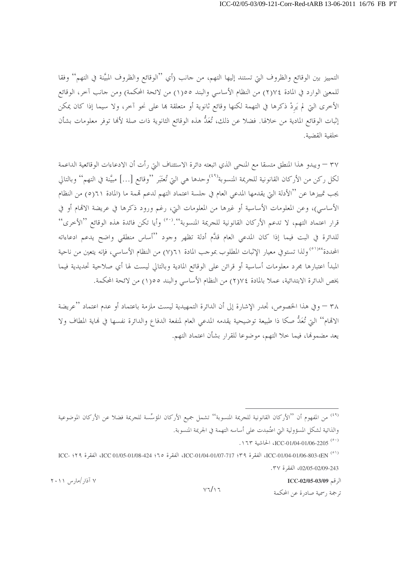التمييز بين الوقائع والظروف التي تستند إليها التهم، من جانب (أي ''الوقائع والظروف المبيَّنة في التهم'' وفقا للمعين الوارد في المادة ٢٦٧٤) من النظام الأساسي والبند ١٥٥٥) من لائحة المحكمة) ومن جانب آخر، الوقائع الأخرى التي لم يَردْ ذكرها في التهمة لكنها وقائع ثانوية أو متعلقة بما على نحو آخر، ولا سيما إذا كان يمكن إثبات الوقائع المادية من خلالها. فضلا عن ذلك، تُعَدُّ هذه الوقائع الثانوية ذات صلة لألها توفر معلومات بشأن خلفية القضية.

٣٧ – ويبدو هذا المنطق متسقا مع المنحي الذي اتبعته دائرة الاستئناف التي رأت أن الادعاءات الوقائعية الداعمة لكل ركن من الأركان القانونية للجريمة المنسوبة'''وحدها هي التي تُعتَبر ''وقائع […] مبيَّنة في التهم'' وبالتالي يجب تمييزها عن ''الأدلة التي يقدمها المدعى العام في حلسة اعتماد التهم لدعم قممة ما (المادة ٢١(٥) من النظام الأساسي)، وعن المعلومات الأساسية أو غيرها من المعلومات التي، رغم ورود ذكرها في عريضة الاقمام أو في قرار اعتماد التهم، لا تدعم الأركان القانونية للجريمة المنسوبة''.<sup>(٥٠)</sup> وأيا تكن فائدة هذه الوقائع ''الأخرى'' للدائرة في البت فيما إذا كان المدعى العام قدَّم أدلة تظهر وجود ''أساس منطقى واضح يدعم ادعاءاته المحددة<sup>٥١)،(٥</sup>) ولذا تستوفي معيار الإثبات المطلوب بموجب المادة ٢١(٧) من النظام الأساسي، فإنه يتعين من ناحية المبدأ اعتبارها مجرد معلومات أساسية أو قرائن على الوقائع المادية وبالتالي ليست لها أي صلاحية تحديدية فيما يخص الدائرة الابتدائية، عملا بالمادة ٧٤(٢) من النظام الأساسي والبند ١٥٥(١) من لائحة المحكمة.

٣٨ – وفي هذا الخصوص، تجدر الإشارة إلى أن الدائرة التمهيدية ليست ملزمة باعتماد أو عدم اعتماد ''عريضة الاتمام'' التي تُعَدُّ صكا ذا طبيعة توضيحية يقدمه المدعى العام لمنفعة الدفاع والدائرة نفسها في نماية المطاف ولا يعد مضمولها، فيما خلا التهم، موضوعا للقرار بشأن اعتماد التهم.

<sup>(٤٩)</sup> من المفهوم أن ''الأركان القانونية للجريمة المنسوبة'' تشمل جميع الأركان المؤسِّسة للجريمة فضلا عن الأركان الموضوعية والذاتية لشكل المسؤولية التي اعتُمِدت على أساسه التهمة في الجريمة المنسوبة.

. \ 17 \ ICC-01/04-01/06-2205 (° · )

(10) ICC- 01/04-01/06-803-tEN الفقرة ٣٩؛ ICC-01/04-01/07-717، الفقرة ١٦٥؛ ICC 01/05-01/08-424، الفقرة ٢٩؛ ICC 02/05-02/09-243. الفقرة ٣٧.

الرقم ICC-02/05-03/09

ترجمة , سمية صادرة عن المحكمة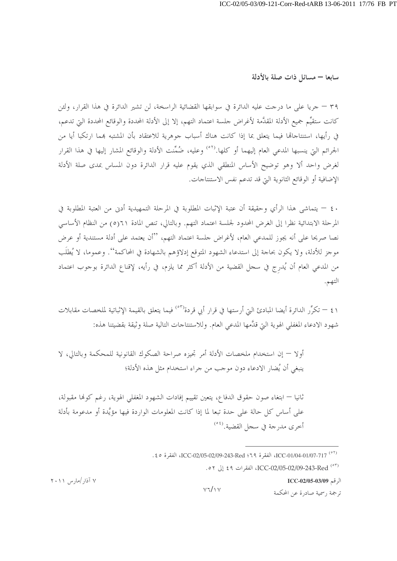سابعا – مسائل ذات صلة بالأدلة

٣٩ – جريا على ما درجت عليه الدائرة في سوابقها القضائية الراسخة، لن تشير الدائرة في هذا القرار، ولئن كانت ستقيِّم جميع الأدلة المقدَّمة لأغراض حلسة اعتماد التهم، إلا إلى الأدلة المحددة والوقائع المحددة التي تدعم، في رأيها، استنتاجاها فيما يتعلق بما إذا كانت هناك أسباب جوهرية للاعتقاد بأن المشتبه بمما ارتكبا أيا من الجرائم التي ينسبها المدعى العام إليهما أو كلها.<sup>(٥٢)</sup> وعليه، ضُمِّنت الأدلة والوقائع المشار إليها في هذا القرار لغرض واحد ألا وهو توضيح الأساس المنطقى الذي يقوم عليه قرار الدائرة دون المساس بمدى صلة الأدلة الإضافية أو الوقائع الثانوية التي قد تدعم نفس الاستنتاجات.

٤٠ – يتماشى هذا الرأي وحقيقة أن عتبة الإثبات المطلوبة في المرحلة التمهيدية أدنى من العتبة المطلوبة في المرحلة الابتدائية نظرًا إلى الغرض المحدود لجلسة اعتماد التهم. وبالتالي، تنص المادة ٢١(٥) من النظام الأساسي نصا صريحا على أنه يجوز للمدعى العام، لأغراض جلسة اعتماد التهم، ''أن يعتمد على أدلة مستندية أو عرض موجز للأدلة، ولا يكون بحاجة إلى استدعاء الشهود المتوقع إدلاؤهم بالشهادة في المحاكمة''. وعموما، لا يُطلَب من المدعى العام أن يُدرج في سجل القضية من الأدلة أكثر مما يلزم، في رأيه، لإقناع الدائرة بوجوب اعتماد التهم.

٤١ – تكرٌّ, الدائرة أيضا المبادئ البيّ أرستها في قرار أبي قردة<sup>(٥٣٠)</sup> فيما يتعلق بالقيمة الإثباتية لملخصات مقابلات شهود الادعاء المغفلي الهوية التي قدَّمها المدعى العام. وللاستنتاجات التالية صلة وثيقة بقضيتنا هذه:

أولا — إن استخدام ملخصات الأدلة أمر تجيزه صراحة الصكوك القانونية للمحكمة وبالتالي، لا ينبغي أن يُضار الادعاء دون موجب من جراء استخدام مثل هذه الأدلة؛

ثانيا — ابتغاء صون حقوق الدفاع، يتعين تقييم إفادات الشهود المغفلي الهوية، رغم كوفما مقبولة، على أساس كل حالة على حدة تبعا لما إذا كانت المعلومات الواردة فيها مؤيَّدة أو مدعومة بأدلة أخرى مد<sub>ا</sub> جة في سجل القضية.<sup>(٥٤)</sup>

الرقم ICC-02/05-03/09

ترجمة , سمية صادرة عن المحكمة

۷ آذار /مارس ۲۰۱۱

 $V7/V$ 

<sup>. 207-101/07-01/04-01/07-717،</sup> الفقرة ٢٩: ICC-02/05-02/09-243-Red، الفقرة ٤٥.

<sup>07)</sup> ICC-02/05-02/09-243-Red ، الفقرات ٤٩ إلى ٥٢.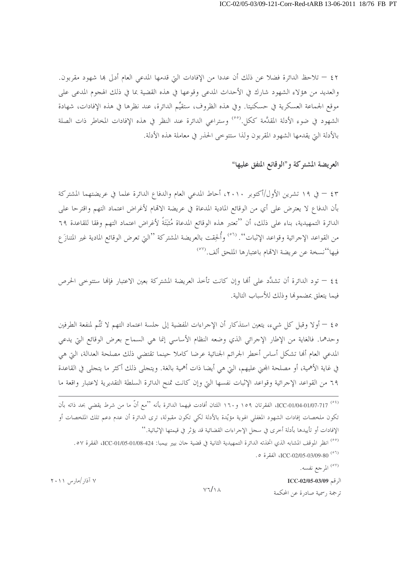٤٢ – تلاحظ الدائرة فضلا عن ذلك أن عددا من الإفادات التيّ قدمها المدعى العام أدلى هِا شهود مقربون. والعديد من هؤلاء الشهود شارك في الأحداث المدعى وقوعها في هذه القضية بما في ذلك الهجوم المدعى على موقع الجماعة العسكرية في حسكنيتا. وفي هذه الظروف، ستقيِّم الدائرة، عند نظرها في هذه الإفادات، شهادة الشهود في ضوء الأدلة المقدَّمة ككل.<sup>(٥٥</sup>) وستراعي الدائرة عند النظر في هذه الإفادات المخاطر ذات الصلة بالأدلة التي يقدمها الشهود المقربون ولذا ستتوحى الحذر في معاملة هذه الأدلة.

العريضة المشتركة و"الوقائع المتفق عليها"

٤٣ – في ١٩ تشرين الأول/أكتوبر ٢٠١٠، أحاط المدعي العام والدفاع الدائرة علما في عريضتهما المشتركة بأن الدفاع لا يعترض على أي من الوقائع المادية المدعاة في عريضة الاتمام لأغراض اعتماد التهم واقترحا على الدائرة التمهيدية، بناء على ذلك، أن ''تعتبر هذه الوقائع المدعاة مُثبَّتَةٌ لأغراض اعتماد التهم وفقا للقاعدة ٦٩ من القواعد الإجرائية وقواعد الإثبات''. <sup>(٥٦</sup>) وأُلحِقت بالعريضة المشتركة ''التي تعرض الوقائع المادية غير المتنازَ ع فيها''نسخة عن عريضة الاتمام باعتبارها الملحق ألف.<sup>(٥٧)</sup>

٤٤ – تود الدائرة أن تشدَّد على ألها وإن كانت تأحذ العريضة المشتركة بعين الاعتبار فإلها ستتوحى الحرص فيما يتعلق بمضمونها وذلك للأسباب التالية.

ه ٤ – أولا وقبل كل شيء، يتعين استذكار أن الإجراءات المفضية إلى جلسة اعتماد التهم لا تَتَّم لمنفعة الطرفين وحدهما. فالغاية من الإطار الإجرائي الذي وضعه النظام الأساسي إنما هي السماح بعرض الوقائع التي يدعى المدعى العام ألها تشكل أساس أخطر الجرائم الجنائية عرضا كاملا حينما تقتضى ذلك مصلحة العدالة، التي هي في غاية الأهمية، أو مصلحة المحنى عليهم، التي هي أيضا ذات أهمية بالغة. ويتحلى ذلك أكثر ما يتحلى في القاعدة ٦٩ من القواعد الإجرائية وقواعد الإثبات نفسها التي وإن كانت تمنح الدائرة السلطة التقديرية لاعتبار واقعة ما

<sup>(٥٧)</sup> المرجع نفسه.

الرقم ICC-02/05-03/09

ترجمة , سمية صادرة عن المحكمة

۷ آذار /مارس ۲۰۱۱

 $Y7/\lambda$ 

<sup>&</sup>lt;sup>(٥٤)</sup> ICC-01/04-01/07-717، الفقرتان ١٥٩ و١٦٠ اللتان أفادت فيهما الدائرة بأنه ''مع أنّ ما من شرط يقضى بحد ذاته بأن تكون ملخصات إفادات الشهود المغفلي الهوية مؤيّدة بالأدلة لكي تكون مقبولة، ترى الدائرة أن عدم دعم تلك الملخصات أو الإفادات أو تأييدها بأدلة أخرى في سجل الإجراءات القضائية قد يؤثر في قيمتها الإثباتية.''

<sup>&</sup>lt;sup>(00)</sup> انظر الموقف المشابه الذي اتخذته الدائرة التمهيدية الثانية في قضية جان بيير بيمبا: ICC-01/05-01/08-424، الفقرة 0٧. .0 (° °) ICC-02/05-03/09-80.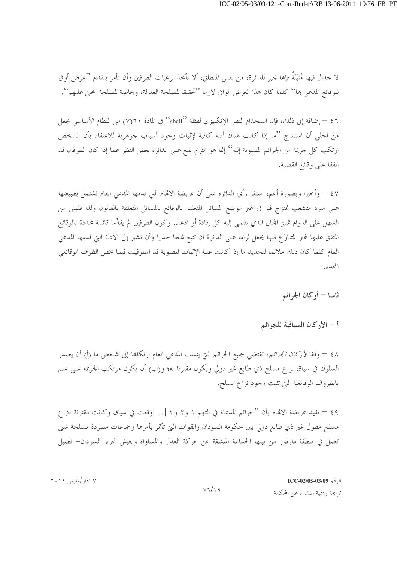لا جدال فيها مُثبَّتَةً فإنَّما تجيز للدائرة، من نفس المنطلق، ألا تأخذ برغبات الطرفين وأن تأمر بتقديم ''عرض أوفي للوقائع المدعى هِا'' كلما كان هذا العرض الوافي لازما ''تحقيقا لمصلحة العدالة، وبخاصة لمصلحة المحنى عليهم''.

٤٦ – إضافة إلى ذلك، فإن استخدام النص الإنكليزي لفظة ''shall'' في المادة ٢١(٧) من النظام الأساسي يجعل من الجلي أن استنتاج ''ما إذا كانت هناك أدلة كافية لإثبات وحود أسباب حوهرية للاعتقاد بأن الشخص ارتكب كل حريمة من الجرائم المنسوبة إليه'' إنما هو التزام يقع على الدائرة بغض النظر عما إذا كان الطرفان قد اتفقا على وقائع القضية.

٤٧ – وأخيرا وبصورة أعم، استقر رأي الدائرة على أن عريضة الاقمام التي قدمها المدعى العام تشتمل بطبيعتها على سرد متشعب تمتزج فيه في غير موضع المسائل المتعلقة بالوقائع بالمسائل المتعلقة بالقانون ولذا فليس من السهل على الدوام تمييز المحال الذي تنتمي إليه كل إفادة أو ادعاء. وكون الطرفين لم يقدِّما قائمة محددة بالوقائع المتفق عليها غير المتنازَع فيها يجعل لزاما على الدائرة أن تتبع فمجا حذرا وأن تشير إلى الأدلة التي قدمها المدعى العام كلما كان ذلك ملائما لتحديد ما إذا كانت عتبة الإثبات المطلوبة قد استوفيت فيما يخص الظرف الوقائعي المحدد.

ثامنا — أركان الجرائم

أ – الأركان السياقية للجرائم

٤٨ – وفقا لأركا*ن الجرائم*، تقتضي جميع الجرائم التي ينسب المدعى العام ارتكاها إلى شخص ما (أ) أن يصدر السلوك في سياق نزاع مسلح ذي طابع غير دولي ويكون مقترنا به؛ و(ب) أن يكون مرتكب الجريمة على علم بالظروف الوقائعية التي تثبت وجود نزاع مسلح.

٤٩ – تفيد عريضة الاقمام بأن ''جرائم المدعاة في التهم ١ و٢ و٣ […]وقعت في سياق وكانت مقترنة بتزاع مسلح مطول غير ذي طابع دولي بين حكومة السودان والقوات التي تأتمر بأمرها وجماعات متمردة مسلحة شتي تعمل في منطقة دارفور من بينها الجماعة المنشقة عن حركة العدل والمساواة وجيش تحرير السودان– فصيل

> الرقم ICC-02/05-03/09 ترجمة , سمية صادرة عن المحكمة

۷ آذار/مارس ۲۰۱۱

 $V7/\Omega9$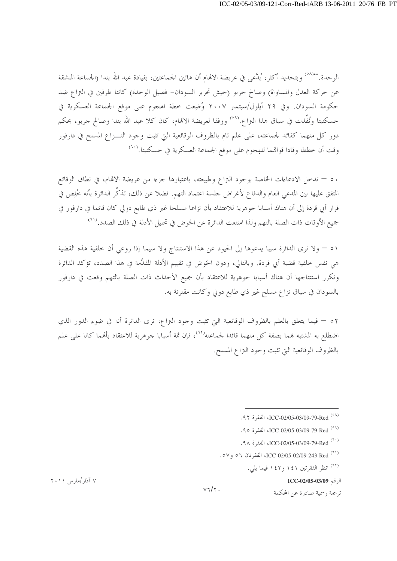الوحدة.'<sup>٥٨)</sup>٬ وبتحديد أكثر ، يُدَّعى في عريضة الاتمام أن هاتين الجماعتين، بقيادة عبد الله بندا (الجماعة المنشقة عن حركة العدل والمساواة) وصالح جربو (جيش تحرير السودان- فصيل الوحدة) كانتا طرفين في التزاع ضد حكومة السودان. وفي ٢٩ أيلول/سبتمبر ٢٠٠٧ وُضِعت خطة الهجوم على موقع الجماعة العسكرية في حسكنيتا ونُفِّذت في سياق هذا التراع.<sup>(٥٩)</sup> ووفقا لعريضة الاتمام، كان كلا عبد الله بندا وصالح جربو، بحكم دور كل منهما كقائد لجماعته، على علم تام بالظروف الوقائعية التي تثبت وجود النــزاع المسلح في دارفور وقت أن خططا وقادا قواقمما للهجوم على موقع الجماعة العسكرية في حسكنيتا. $\left( \cdot ^{\tau }\right)$ 

٥٠ – تدخل الادعاءات الخاصة بوجود النزاع وطبيعته، باعتبارها جزءا من عريضة الاتمام، في نطاق الوقائع المتفق عليها بين المدعى العام والدفاع لأغراض حلسة اعتماد التهم. فضلا عن ذلك، تذكِّر الدائرة بأنه خُلِص في قرار أبي قردة إلى أن هناك أسبابا جوهرية للاعتقاد بأن نزاعا مسلحا غير ذي طابع دولي كان قائما في دارفور في جميع الأوقات ذات الصلة بالتهم ولذا امتنعت الدائرة عن الخوض في تحليل الأدلة في ذلك الصدد.(٦١)

٥١ – ولا ترى الدائرة سببا يدعوها إلى الحيود عن هذا الاستنتاج ولا سيما إذا روعي أن حلفية هذه القضية هي نفس خلفية قضية أبي قردة. وبالتالي، ودون الخوض في تقييم الأدلة المقدَّمة في هذا الصدد، تؤكد الدائرة وتكرر استنتاجها أن هناك أسبابا جوهرية للاعتقاد بأن جميع الأحداث ذات الصلة بالتهم وقعت في دارفور بالسودان في سياق نزاع مسلح غير ذي طابع دولي وكانت مقترنة به.

٥٢ – فيما يتعلق بالعلم بالظروف الوقائعية التي تثبت وجود النزاع، ترى الدائرة أنه في ضوء الدور الذي اضطلع به المشتبه بمما بصفة كل منهما قائدا لجماعته<sup>(٢٢)</sup>، فإن ثمة أسبابا جوهرية للاعتقاد بألهما كانا على علم بالظروف الوقائعية التي تثبت وجود النزاع المسلح.

.9 × 1CC-02/05-03/09-79-Red (° ^)

- .90 ICC-02/05-03/09-79-Red (°)
- <sup>(٦٠)</sup> ICC-02/05-03/09-79-Red<sup>(٦٠)</sup>
- (<sup>(٦)</sup> ICC-02/05-02/09-243-Red<sup>(٦)</sup>

<sup>(٦٢)</sup> انظر الفقرتين ١٤١ و١٤٢ فيما يلي.

الرقم ICC-02/05-03/09

ترجمة , سمية صادرة عن المحكمة

۷ آذار /مارس ۲۰۱۱

 $V\tau/\tau$ .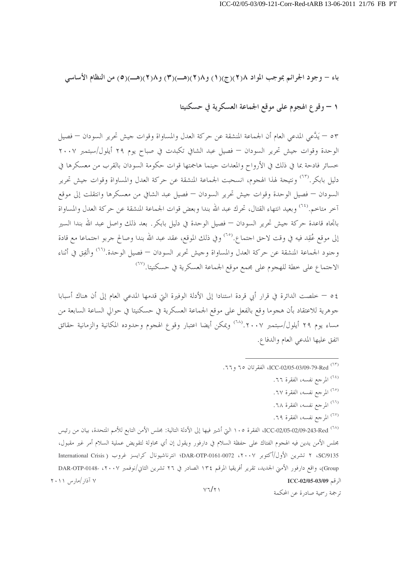باء – وجود الجرائم بموجب المواد ٢(٢)(ج)(١) و٢(٢)(هـ)(٣) و٢(٢)(هـ)(٥) من النظام الأساسي

١ – وقوع الهجوم على موقع الجماعة العسكرية في حسكنيتا

٥٣ – يَدَّعي المدعي العام أن الجماعة المنشقة عن حركة العدل والمساواة وقوات جيش تحرير السودان – فصيل الوحدة وقوات حيش تحرير السودان — فصيل عبد الشافي تكبدت في صباح يوم ٢٩ أيلول/سبتمبر ٢٠٠٧ خسائر فادحة بما في ذلك في الأرواح والمعدات حينما هاجمتها قوات حكومة السودان بالقرب من معسكرها في دليل بابكر .<sup>(٦٣)</sup> ونتيجة لهذا الهجوم، انسحبت الجماعة المنشقة عن حركة العدل والمساواة وقوات جيش تحرير السودان — فصيل الوحدة وقوات جيش تحرير السودان — فصيل عبد الشافي من معسكرها وانتقلت إلى موقع آخر متاخم.<sup>(٢٤)</sup> وبعيد انتهاء القتال، تحرك عبد الله بندا وبعض قوات الجماعة المنشقة عن حركة العدل والمساواة باتجاه قاعدة حركة جيش تحرير السودان — فصيل الوحدة في دليل بابكر . بعد ذلك واصل عبد الله بندا السير إلى موقع عُقِد فيه في وقت لاحق احتماع.<sup>(٦٥)</sup> وفي ذلك الموقع، عقد عبد الله بندا وصالح جربو احتماعا مع قادة وجنود الجماعة المنشقة عن حركة العدل والمساواة وجيش تحرير السودان — فصيل الوحدة.<sup>(٦٦)</sup> واتُفِق في أثناء الاجتماع على خطة للهجوم على مجمع موقع الجماعة العسكرية في حسكنيتا.<sup>(٦٧</sup>)

٤٥ – خلصت الدائرة في قرار أبي قردة استنادا إلى الأدلة الوفيرة التي قدمها المدعى العام إلى أن هناك أسبابا جوهرية للاعتقاد بأن هجوما وقع بالفعل على موقع الجماعة العسكرية في حسكنيتا في حوالي الساعة السابعة من مساء يوم ٢٩ أيلول/سبتمبر ٢٠٠٧. ٢<sup>(٦٨)</sup> ويمكن أيضا اعتبار وقوع الهجوم وحدوده المكانية والزمانية حقائق اتفق عليها المدعى العام والدفاع.

- <sup>(٦٤)</sup> المرجع نفسه، الفقرة ٦٦.
- <sup>(٦٥)</sup> المرجع نفسه، الفقرة ٦٧.
- (<sup>٢٦)</sup> المرجع نفسه، الفقرة ٦٨.
- <sup>(٦٧)</sup> المرجع نفسه، الفقرة ٦٩.

ترجمة , سمية صادرة عن المحكمة

(^^) ICC-02/05-02/09-243-Red، الفقرة ١٠٥ التي أشير فيها إلى الأدلة التالية: مجلس الأمن التابع للأمم المتحدة، بيان من رئيس مجلس الأمن يدين فيه الهجوم الفتاك على حفظة السلام في دارفور ويقول إن أي محاولة لتقويض عملية السلام أمر غير مقبول، SC/9135، ٢ تشرين الأول/أكتوبر ٢٠٠٧، DAR-OTP-0161-0072؛ انترناشيونال كرايسز غروب ( International Crisis Group)، واقع دارفور الأمين الجديد، تقرير أفريقيا المرقم ١٣٤ الصادر في ٢٦ تشرين الثاني/نوفمبر DAR-OTP-0148- ، ٢٠ ۷ آذار /مارس ۲۰۱۱ الرقم ICC-02/05-03/09

 $V7/\gamma$ 

<sup>(</sup>٦٣) ICC-02/05-03/09-79-Red ، الفقرتان ٦٥ و٦٦.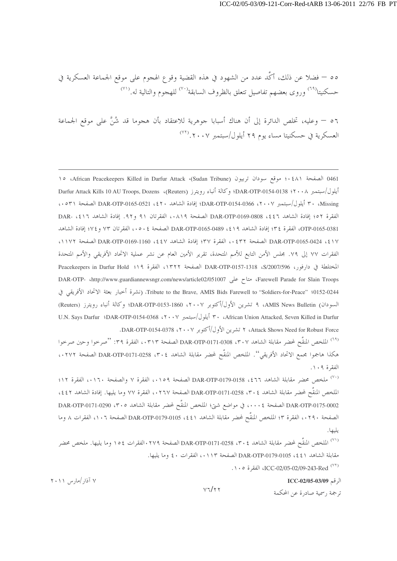٥٥ – فضلا عن ذلك، أكَّد عدد من الشهود في هذه القضية وقوع الهجوم على موقع الجماعة العسكرية في حسكنيتا<sup>(٦٩)</sup> وروى بعضهم تفاصيل تتعلق بالظروف السابقة<sup>(٧٠)</sup> للهجوم والتالية له.<sup>(٧١)</sup>

٥٦ – وعليه، تخلص الدائرة إلى أن هناك أسبابا جوهرية للاعتقاد بأن هجوما قد شُنَّ على موقع الجماعة العسكرية في حسكنيتا مساء يوم ٢٩ أيلول/سبتمبر ٢٠٠٧.

0461 الصفحة ٤٨١؛ موقع سودان تربيون (Sudan Tribune)، African Peacekeepers Killed in Darfur Attack)، ١٥ أيلول/سبتمبر DAR-OTP-0154-0138 :۲۰۰۸؛ Darfur Attack Kills 10 AU Troops, Dozens ،(Reuters) وكالة أنباء رويترز ( Missing الصفحة ٣٠ أيلول/سبتمبر DAR-OTP-0154-0366 ،٢٠٠٧؛ إفادة الشاهد DAR-OTP-0165-0521 ،٤٢٠ الصفحة ٥٣١، الفقرة ٥٢؛ إفادة الشاهد DAR-OTP-0169-0808 ،٤٤٦ الصفحة ٠٨١٩، الفقرتان ٩١ و٩٢. إفادة الشاهد DAR- ،٤١٦ OTP-0165-0381، الفقرة ٣٤؛ إفادة الشاهد 1٩٪، DAR-OTP-0165-0489 الصفحة ٥٠٤، الفقرتان ٧٣ و٧٤؛ إفادة الشاهد 1٧ DAR-OTP-0165-0424 ، \$ 1٧ الصفحة ٢٣٢؛ مالفقرة ٣٧؛ إفادة الشاهد 16V، 1160-DAR-OTP-0169 الصفحة ١١٧٢، الفقرات ٧٧ إلى ٧٩. مجلس الأمن التابع للأمم المتحدة، تقرير الأمين العام عن نشر عملية الاتحاد الأفريقي والأمم المتحدة المختلطة في دارفور، S/2007/596، DAR-OTP-0157-1318 الصفحة ١٣٢٢، الفقرة ١٩: Peacekeepers in Darfur Hold DAR-OTP- (http://www.guardiannewsngr.com/news/article02/051007 (Farewell Parade for Slain Troops Tribute to the Brave, AMIS Bids Farewell to "Soldiers-for-Peace" (0152-0244، (نشرة أخبار بعثة الاتحاد الأفريقي في السودان) AMIS News Bulletin، ٩ تشرين الأول/أكتوبر ٢٠٠٧، 1860-DAR-OTP-0153؛ وكالة أنباء رويترز (Reuters) U.N. Says Darfur 'DAR-OTP-0154-0368 ، ٢٠٠٧ أيلول/سبتمبر ٢٠٠٧، African Union Attacked, Seven Killed in Darfur Attack Shows Need for Robust Force، ۲ تشرين الأول/أكتوبر ۲۰۰۷، DAR-OTP-0154-0378.

<sup>(٦٩)</sup> الملخص المتقَّح لمحضر مقابلة الشاهد DAR-OTP-0171-0308 ،۳۰۷ الصفحة ٠٣١٣، » الفقرة ٣٩: "صرخوا وحين صرخوا هكذا هاجموا مجمع الاتحاد الأفريقي''. الملخص المنقَّح لمحضر مقابلة الشاهد ٣٠٤، DAR-OTP-0171-0258 الصفحة ٠٢٧٢، الفقرة ١٠٩.

(^') ملخص محضر مقابلة الشاهد 151، DAR-OTP-0179-0158 الصفحة ١٥٩،، الفقرة ٧ والصفحة ١٢٠،، الفقرة ١٢؛ الملخص المنقَّح لمحضر مقابلة الشاهد DAR-OTP-0171-0258 ،۳۰ الصفحة ۰۲٦۷، الفقرة ٧٧ وما يليها. إفادة الشاهد ٤٤٢، DAR-OTP-0175-0002 الصفحة ٠٠٠٤، في مواضع شتي؛ الملخص المنقَّح لمحضر مقابلة الشاهد ٥. ٣٠٥، DAR-OTP-0171-0290 الصفحة ٢٩٠، الفقرة ٣؛ الملخص المنقَّح لمحضر مقابلة الشاهد 1 ٤٤، DAR-OTP-0179-0105 الصفحة ١٠٦، الفقرات ٨ وما يليها.

<sup>(٧١)</sup> الملخص المنقَّح لمحضر مقابلة الشاهد DAR-OTP-0171-0258 ،۳۰٤ الصفحة ٢٧٩، الفقرات ١٥٤ وما يليها. ملخص محضر مقابلة الشاهد (٤٤١ 0105-DAR-OTP الصفحة ١١٣، الفقرات ٤٠ وما يليها.

 $v\tau/$ 

. ١٠٥) ICC-02/05-02/09-243-Red (٢٢)

الرقم ICC-02/05-03/09

 $Y \cdot Y$  آذار /مار س ۲۰۱۱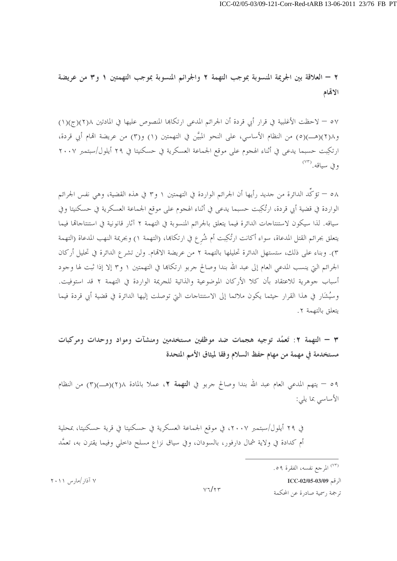٢ – العلاقة بين الجريمة المنسوبة بموجب التهمة ٢ والجرائم المنسوبة بموجب التهمتين ١ و٣ من عريضة الاتمام

٥٧ – لاحظت الأغلبية في قرار أبي قردة أن الجرائم المدعى ارتكاها المنصوص عليها في المادتين ١(٢)(ج)(١) و ٢(٢)(هــ)(٥) من النظام الأساسي، على النحو المبيَّن في التهمتين (١) و(٣) من عريضة الهام أبي قردة، ارتكِبت حسبما يدعى في أثناء الهجوم على موقع الجماعة العسكرية في حسكنيتا في ٢٩ أيلول/سبتمبر ٢٠٠٧ وفي سياقه. (٧٣)

٥٨ — تؤكُّد الدائرة من حديد رأيها أن الجرائم الواردة في التهمتين ١ و٣ في هذه القضية، وهي نفس الجرائم الواردة في قضية أبي قردة، ارتُكِبت حسبما يدعى في أثناء الهجوم على موقع الجماعة العسكرية في حسكنيتا وفي سياقه. لذا سيكون لاستنتاجات الدائرة فيما يتعلق بالجرائم المنسوبة في التهمة ٢ آثار قانونية في استنتاجاتما فيما يتعلق بجرائم القتل المدعاة، سواء أكانت ارتُكِبت أم شُرع في ارتكاها، (التهمة ١) وبجريمة النهب المدعاة (التهمة ٣). وبناء على ذلك، ستستهل الدائرة تحليلها بالتهمة ٢ من عريضة الاتمام. ولن تشرع الدائرة في تحليل أركان الجرائم التي ينسب المدعى العام إلى عبد الله بندا وصالح جربو ارتكاها في التهمتين ١ و٣ إلا إذا ثبت لها وجود أسباب جوهرية للاعتقاد بأن كلا الأركان الموضوعية والذاتية للجريمة الواردة في التهمة ٢ قد استوفيت. وسُبشَارٍ في هذا القرار حيثما يكون ملائما إلى الاستنتاجات التي توصلت إليها الدائرة في قضية أبي قردة فيما يتعلق بالتهمة ٢.

٣ – التهمة ٢: تَعمُد توجيه هجمات ضد موظفين مستخدمين ومنشآت ومواد ووحدات ومركبات مستخدمة في مهمة من مهام حفظ السلام وفقا لميثاق الأمم المتحدة

٥٩ – يتهم المدعى العام عبد الله بندا وصالح جربو في ا**لتهمة ٢،** عملا بالمادة ٢١٨(ص)(٣) من النظام الأساسي بما يلي:

في ٢٩ أيلول/سبتمبر ٢٠٠٧، في موقع الجماعة العسكرية في حسكنيتا في قرية حسكنيتا، بمحلية أم كدادة في ولاية شمال دارفور، بالسودان، وفي سياق نزاع مسلح داخلي وفيما يقترن به، تعمَّد

الرقم ICC-02/05-03/09 ترجمة , سمية صادرة عن المحكمة

<sup>&</sup>lt;sup>(٧٣)</sup> المرجع نفسه، الفقرة ٥٩.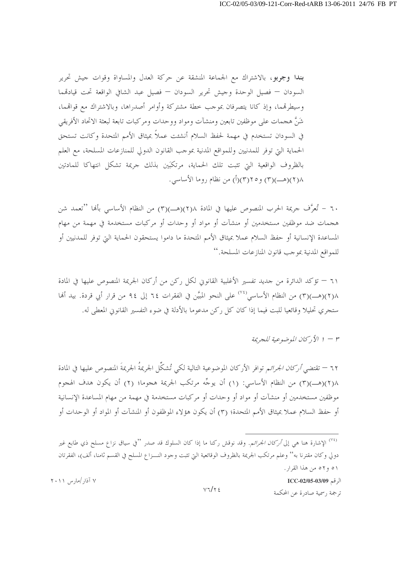بندا وجربو، بالاشتراك مع الجماعة المنشقة عن حركة العدل والمساواة وقوات جيش تحرير السودان — فصيل الوحدة وجيش تحرير السودان — فصيل عبد الشافي الواقعة تحت قيادقمما وسيطرقمما، وإذ كانا يتصرفان بموجب حطة مشتركة وأوامر أصدراها، وبالاشتراك مع قواقمما، شَنَّ هجمات على موظفين تابعين ومنشآت ومواد ووحدات ومركبات تابعة لبعثة الاتحاد الأفريقي في السودان تستخدم في مهمة لحفظ السلام أنشئت عملاً بميثاق الأمم المتحدة وكانت تستحق الحماية التي توفر للمدنيين وللمواقع المدنية بموجب القانون الدولي للمنازعات المسلحة، مع العلم بالظروف الواقعية التي تثبت تلك الحماية، مرتكبَين بذلك حريمة تشكل انتهاكا للمادتين ١(٢)(هـــ)(٣) و٢(٢)(أ) من نظام روما الأساسي.

٦٠ – تُعرَّف جريمة الحرب المنصوص عليها في المادة ٢(٢)(هـــ)(٣) من النظام الأساسي بألها ''تعمد شن هجمات ضد موظفين مستخدمين أو منشآت أو مواد أو وحدات أو مركبات مستخدمة في مهمة من مهام المساعدة الإنسانية أو حفظ السلام عملا بميثاق الأمم المتحدة ما داموا يستحقون الحماية التي توفر للمدنيين أو للمواقع المدنية بموجب قانون المنازعات المسلحة."

٦١ — تؤكد الدائرة من جديد تفسير الأغلبية القانوين لكل ركن من أركان الجريمة المنصوص عليها في المادة ٢)(هــ)(٣) من النظام الأساسي<sup>(٧٤)</sup> على النحو المبيَّن في الفقرات ٦٤ إلى ٩٤ من قرار أبي قردة. بيد ألها ستجرى تحليلًا وقائعيا للبت فيما إذا كان كل ركن مدعوما بالأدلة في ضوء التفسير القانوين المعطي له.

 $\mu \rightarrow \mu$ الأ ركان الموضوعية للجريمة

٦٢ — تقتضي *أركان الجرائ*م توافر الأركان الموضوعية التالية لكى تُشكِّل الجريمةُ الجريمةَ المنصوص عليها في المادة ٢(٢)(هـــ)(٣) من النظام الأساسي: (١) أن يوجِّه مرتكب الجريمة هجوما؛ (٢) أن يكون هدف الهجوم موظفين مستخدمين أو منشآت أو مواد أو وحدات أو مركبات مستخدمة في مهمة من مهام المساعدة الإنسانية أو حفظ السلام عملا بميثاق الأمم المتحدة؛ (٣) أن يكون هؤلاء الموظفون أو المنشآت أو المواد أو الوحدات أو

<sup>&</sup>lt;sup>۷٤)</sup> الإشارة هنا هي إلى *أركان الجرائم.* وقد نوقش ركنا ما إذا كان السلوك قد صدر "في سياق نزاع مسلح ذي طابع غير دولي وكان مقترنا به'' وعلم مرتكب الجريمة بالظروف الوقائعية التي تثبت وجود النـــزاع المسلح في القسم ثامنا، ألف)، الفقرتان ٥١ و٥٢ من هذا القرار.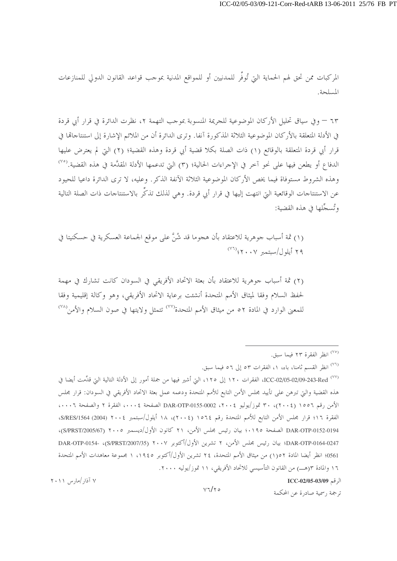المركبات ممن تحق لهم الحماية التي تُوفَّر للمدنيين أو للمواقع المدنية بموجب قواعد القانون الدولي للمنازعات المسلحة.

٦٣ – وفي سياقٍ تحليل الأركان الموضوعية للجريمة المنسوبة بموجب التهمة ٢، نظرت الدائرة في قرار أبي قردة في الأدلة المتعلقة بالأركان الموضوعية الثلاثة المذكورة آنفا. وترى الدائرة أن من الملائم الإشارة إلى استنتاحاقما في قرار أبي قردة المتعلقة بالوقائع (١) ذات الصلة بكلا قضية أبي قردة وهذه القضية؛ (٢) التي لم يعترض عليها الدفاع أو يطعن فيها على نحو آخر في الإجراءات الحالية؛ (٣) التي تدعمها الأدلة المقدَّمة في هذه القضية.<sup>(٧٥)</sup> وهذه الشروط مستوفاة فيما يخص الأركان الموضوعية الثلاثة الآنفة الذكر . وعليه، لا ترى الدائرة داعيا للحيود عن الاستنتاجات الوقائعية التي انتهت إليها في قرار أبي قردة. وهي لذلك تذكُّر بالاستنتاجات ذات الصلة التالية وتُسجِّلها في هذه القضية:

(١) ثمة أسباب جوهرية للاعتقاد بأن هجوما قد شُنَّ على موقع الجماعة العسكرية في حسكنيتا في ٢٩ أيلول/سبتمبر ٢٠٠٧؛ (٧٦

(٢) ثمة أسباب جوهرية للاعتقاد بأن بعثة الاتحاد الأفريقي في السودان كانت تشارك في مهمة لحفظ السلام وفقا لميثاق الأمم المتحدة أنشئت برعاية الاتحاد الأفريقي، وهو وكالة إقليمية وفقا للمعنى الوارد في المادة ٥٢ من ميثاق الأمم المتحدة<sup>(٧٧)</sup> تتمثل ولايتها في صون السلام والأمن<sup>(٧٨)</sup>

## <sup>(٧٥)</sup> انظر الفقرة ٢٣ فيما سبق.

<sup>(٧٦)</sup> انظر القسم ثامنا، باء، ١، الفقرات ٥٣ إلى ٥٦ فيما سبق.

ICC-02/05-02/09-243-Red <sup>(٧٧)</sup>، الفقرات ١٢٠ إلى ١٢٥، التي أشير فيها من جملة أمور إلى الأدلة التالية التي قدِّمت أيضا في هذه القضية والتي تبرهن على تأييد مجلس الأمن التابع للأمم المتحدة ودعمه عمل بعثة الاتحاد الأفريقي في السودان: قرار مجلس الأمن رقم ١٥٥٦ (٢٠٠٤)، ٣٠ تموز/يوليو ٢٠٠٤، DAR-OTP-0155-0002 الصفحة ٢٠٠٤، الفقرة ٢ والصفحة ٠٠٠٦، الفقرة ١٦؛ قرار مجلس الأمن التابع للأمم المتحدة رقم ١٥٦٤ (٢٠٠٤)، ١٨ أيلول/سبتمبر ٢٠٠٤ (2004) S/RES/1564، DAR-OTP-0152-0194 الصفحة ١٩٥.؛ بيان رئيس مجلس الأمن، ٢١ كانون الأول/ديسمبر ٢٠٠٥ (S/PRST/2005/67)، DAR-OTP-0164-0247؛ بيان رئيس مجلس الأمن، ٢ تشرين الأول/أكتوبر ٢٠٠٧ (S/PRST/2007/35)، -DAR-OTP-0154 0561؛ انظر أيضا المادة ١٥٢) من ميثاق الأمم المتحدة، ٢٤ تشرين الأول/أكتوبر ١٩٤٥، ١ مجموعة معاهدات الأمم المتحدة ١٦ والمادة ٣(هــــ) من القانون التأسيسي للاتحاد الأفريقي، ١١ تموز/يوليه ٢٠٠٠.

الرقم ICC-02/05-03/09

ترجمة , سمية صادرة عن المحكمة

 $Y \cdot Y$  آذار /مار س ۲۰۱۱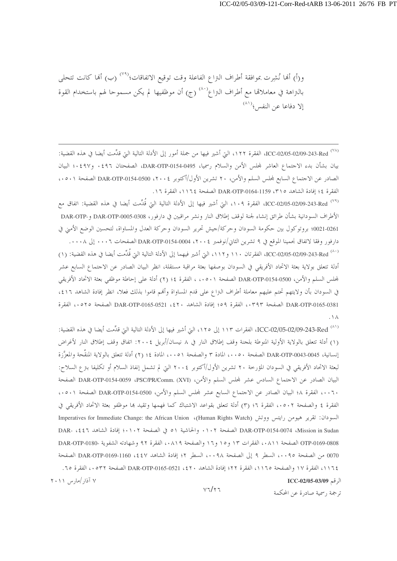و(أ) أَهَا نُشِرت بموافقة أطراف النزاع الفاعلة وقت توقيع الاتفاقات؛<sup>(٧٩)</sup> (ب) أَهَا كانت تتحلَّى بالنزاهة في معاملاتما مع أطراف النزاع<sup>(^^)</sup> (ج) أن موظفيها لم يكن مسموحا لهم باستخدام القوة الا دفاعا عن النفس<sup>؟ (٨١</sup>)

(^^) ICC-02/05-02/09-243-Red، الفقرة ١٢٢، التي أشير فيها من جملة أمور إلى الأدلة التالية التي قدِّمت أيضا في هذه القضية: بيان بشأن بدء الاجتماع العاشر لمحلس الأمن والسلام رسميا، DAR-OTP-0154-0495، الصفحتان ٤٩٦٠ و٤٩٧؛ البيان الصادر عن الاجتماع السابع لمحلس السلم والأمن، ٢٠ تشرين الأول/أكتوبر ٢٠٠٤، DAR-OTP-0154-0500 الصفحة ٥٠١، الفقرة ٤؛ إفادة الشاهد ٣١٥، 1159-DAR-OTP-0164 الصفحة ١١٢٤، الفقرة ١٦.

<sup>(٧٩)</sup> ICC-02/05-02/09-243-Red، الفقرة ١٠٩، التي أشير فيها إلى الأدلة التالية التي قُدِّمت أيضا في هذه القضية: اتفاق مع الأطراف السودانية بشأن طرائق إنشاء لجنة لوقف إطلاق النار ونشر مراقبين في دارفور، DAR-OTP-0005-0308 و-DAR-OTP و-DAR-OTP 021-0261؛ بروتوكول بين حكومة السودان وحركة/جيش تحرير السودان وحركة العدل والمساواة، لتحسين الوضع الأمني في دارفور وفقا لاتفاق نجمينا الموقع في ٩ تشرين الثاني/نوفمبر ٢٠٠٤، DAR-OTP-0154-0004 الصفحات ٠٠٠٦. إلى ٠٠٠٨.

(^^) ICC-02/05-02/09-243-Red، الفقرتان ١١٠ و١١٢، التي أشير فيهما إلى الأدلة التالية التي قُدِّمت أيضا في هذه القضية: (١) أدلة تتعلق بولاية بعثة الاتحاد الأفريقي في السودان بوصفها بعثة مراقبة مستقلة، انظر البيان الصادر عن الاحتماع السابع عشر لمجلس السلم والأمن، DAR-OTP-0154-0500 الصفحة ٥٠١، ، الفقرة ٤؛ (٢) أدلة على إحاطة موظفي بعثة الاتحاد الأفريقي في السودان بأن ولايتهم تحتم عليهم معاملة أطراف النزاع على قدم المساواة وأنهم قاموا بذلك فعلا، انظر إفادة الشاهد ٤١٦، DAR-OTP-0165-0381 الصفحة ٠٣٩٣، الفقرة ٥٩؛ إفادة الشاهد 51٠، DAR-OTP-0165-0521 الصفحة ٥٢٥، الفقرة  $. \vee \wedge$ 

ICC-02/05-02/09-243-Red (^ ^ ) الفقرات ١١٣ إلى ١٢٥، التي أشير فيها إلى الأدلة التالية التي قدِّمت أيضا في هذه القضية: (١) أدلة تتعلق بالولاية الأولية المنوطة بلجنة وقف إطلاق النار في ٨ نيسان/أبريل ٢٠٠٤: اتفاق وقف إطلاق النار لأغراض إنسانية، DAR-OTP-0043-0045 الصفحة ٥٠٠، المادة ٣ والصفحة ٥٠٠، المادة ٤؛ (٢) أدلة تتعلق بالولاية المنقّحة والمعزّزة لبعثة الاتحاد الأفريقي في السودان المؤرخة ٢٠ تشرين الأول/أكتوبر ٢٠٠٤ التي لم تشمل إنفاذ السلام أو تكليفا بترع السلاح: البيان الصادر عن الاجتماع السادس عشر لمحلس السلم والأمن، (PSC/PR/Comm. (XVI) وDAR-OTP-0154-0059 الصفحة .٠٠٦، الفقرة ٤٨ البيان الصادر عن الاحتماع السابع عشر لمحلس السلم والأمن، DAR-OTP-0154-0500 الصفحة ٥٠١، . الفقرة ٤ والصفحة ٥٠٢، الفقرة ٢؛ (٣) أدلة تتعلق بقواعد الاشتباك كما فهمها وتقيد بما موظفو بعثة الاتحاد الأفريقي في السودان: تقرير هيومن رايتس ووتش (Human Rights Watch)، Imperatives for Immediate Change: the African Union DAR-OTP-0154-0074 ،Mission in Sudan الصفحة ١٠٢. والحاشية ٥١ في الصفحة ١٠٢.؛ إفادة الشاهد DAR- ،٤٤٦ OTP-0169-0808 الصفحة ٨١١، الفقرات ١٣ و١٥ و١٦ والصفحة ٨١٩، الفقرة ٩٢ وشهادته الشفوية -DAR-OTP-0180 0070 من الصفحة ١٠٠٩، السطر ٩ إلى الصفحة ١٠٩٨، السطر ٢؛ إفادة الشاهد DAR-OTP-0169-1160 ، 2 الصفحة ١١٦٤، الفقرة ١٧ والصفحة ١١٦٥، الفقرة ٢٢؛ إفادة الشاهد ٤٢٠، DAR-OTP-0165-0521 الصفحة ٥٣٢، الفقرة ٦٥.  $Y \cdot Y$  آذار /مارس ۲۰۱۱ الرقم ICC-02/05-03/09

 $V7/\tau$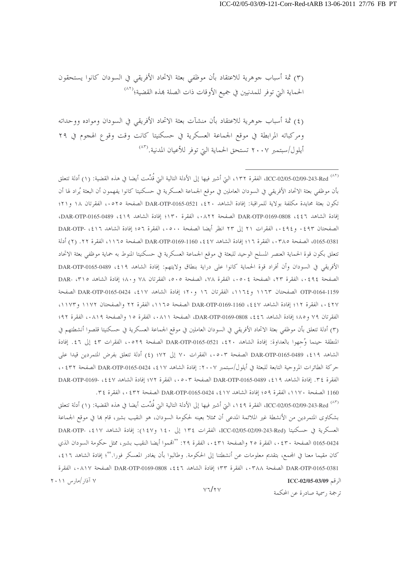(٣) ثمة أسباب جوهرية للاعتقاد بأن موظفي بعثة الاتحاد الأفريقي في السودان كانوا يستحقون الحماية التي توفر للمدنيين في جميع الأوقات ذات الصلة بمذه القضية؛<sup>(٨٢</sup>)

(٤) ثمة أسباب جوهرية للاعتقاد بأن منشآت بعثة الاتحاد الأفريقي في السودان ومواده ووحداته ومركباته المرابطة في موقع الجماعة العسكرية في حسكنيتا كانت وقت وقوع الهجوم في ٢٩ أيلول/سبتمبر ٢٠٠٧ تستحق الحماية التي توفر للأعيان المدنية.(\*^)

(^^) ICC-02/05-02/09-243-Red، الفقرة ١٣٢، التي أشير فيها إلى الأدلة التالية التي قُدِّمت أيضا في هذه القضية: (١) أدلة تتعلق بأن موظفى بعثة الاتحاد الأفريقي في السودان العاملين في موقع الجماعة العسكرية في حسكنيتا كانوا يفهمون أن البعثة يُراد لها أن تكون بعثة محايدة مكلفة بولاية للمراقبة: إفادة الشاهد . ٤٢٠، DAR-OTP-0165-0521 الصفحة ٥٢٥، الفقرتان ١٨ و٢١؛ إفادة الشاهد DAR-OTP-0169-0808 ، \$ \$ 1 الصفحة ٨٢٢، الفقرة ١٣٠؛ إفادة الشاهد 1٩\$، DAR-OTP-0165-0489، الصفحتان ٤٩٣، و٤٩٤،، الفقرات ٢١ إلى ٢٣ انظر أيضا الصفحة ٥٠٠، الفقرة ٥٦؛ إفادة الشاهد DAR-OTP- ،٤١٦ 0165-0381، الصفحة ٢٨٥، الفقرة ١٦؛ إفادة الشاهد ٤٤٧، DAR-OTP-0169-1160 الصفحة ١١٦٥، الفقرة ٢٢. (٢) أدلة تتعلق بكون قوة الحماية العنصر المسلح الوحيد للبعثة في موقع الجماعة العسكرية في حسكنيتا المنوط به حماية موظفى بعثة الاتحاد الأفريقي في السودان وأن أفراد قوة الحماية كانوا على دراية بنطاق ولايتهم: إفادة الشاهد 14\$، DAR-OTP-0165-0489 الصفحة ٢٤٩٤،، الفقرة ٢٣، الصفحة ٥٠٤، الفقرة ٧٨، الصفحة ٥٠٥، الفقرتان ٧٨ و ٨٠؛ إفادة الشاهد DAR- ،٣١٥ OTP-0164-1159 الصفحتان ١١٦٣ و ١١٦٤، الفقرتان ١٦ و ٢٠؛ إفادة الشاهد DAR-OTP-0165-0424 ، \$١٧ الصفحة ٤٢٧ ، ، الفقرة ١٢؛ إفادة الشاهد DAR-OTP-0169-1160 ، \$ \$ ) DAR الصفحة ١١٦٥، الفقرة ٢٢ والصفحتان ١١٧٢ و ١١٧٣، الفقرتان ٧٩ و٨٥؛ إفادة الشاهد ٥٤٤٦، DAR-OTP-0169-0808، الصفحة ٠٨١١، الفقرة ١٥ والصفحة ٠٨١٩، الفقرة ٩٢؛ (٣) أدلة تتعلق بأن موظفى بعثة الاتحاد الأفريقي في السودان العاملين في موقع الجماعة العسكرية في حسكنيتا قلصوا أنشطتهم في المنطقة حينما وُجهوا بالعداوة: إفادة الشاهد DAR-OTP-0165-0521 ،٤٢٠ الصفحة ٥٢٩.، الفقرات ٤٣ إلى ٤٦. إفادة الشاهد 14٪، DAR-OTP-0165-0489 الصفحة ٠٥٠٣، الفقرات ٧٠ إلى ٧٢؛ (٤) أدلة تتعلق بفرض المتمردين قيدا على حركة الطائرات المروحية التابعة للبعثة في أيلول/سبتمبر ٢٠٠٧: إفادة الشاهد ٤١٧، DAR-OTP-0165-0424 الصفحة ٤٣٢، ، الفقرة ٣٤. إفادة الشاهد ١٩٪، 1489-DAR-OTP-0165 الصفحة ٥٠٣، الفقرة ٧٢؛ إفادة الشاهد DAR-OTP-0169- ، ذ 1160 الصفحة ١١٧٠، الفقرة ٥٩؛ إفادة الشاهد DAR-OTP-0165-0424 ، \$١٧، الضفحة ٤٣٢، الفقرة ٣٤.

(^^) ICC-02/05-02/09-243-Red، الفقرة ٩ ٤ ١، التي أشير فيها إلى الأدلة التالية التي قُدِّمت أيضا في هذه القضية: (١) أدلة تتعلق بشكاوى المتمردين من الأنشطة غير الملائمة المدعى أن ممثلا بعينه لحكومة السودان، هو النقيب بشير، قام بما في موقع الجماعة العسكرية في حسكنيتا (ICC-02/05-02/09-243-Red)، الفقرات ١٣٤ إلى ١٤٠ و١٤٧): إفادة الشاهد DAR-OTP- ،٤١٧ 0165-0424 الصفحة ٤٣٠، الفقرة ٢٥ والصفحة ٤٣١، الفقرة ٢٩: ''اقمموا أيضا النقيب بشير، ممثل حكومة السودان الذي كان مقيما معنا في المجمع، بتقديم معلومات عن أنشطتنا إلى الحكومة. وطالبوا بأن يغادر المعسكر فورا.''؛ إفادة الشاهد ٤١٦، DAR-OTP-0165-0381 الصفحة ٠٣٨٨، الفقرة ٣٣؛ إفادة الشاهد bAR-OTP-0169-0808 ، { {٦ الصفحة ٠٨١٧، الفقرة ۷ آذار /مارس ۲۰۱۱ الرقم ICC-02/05-03/09

ترجمة , سمية صادرة عن المحكمة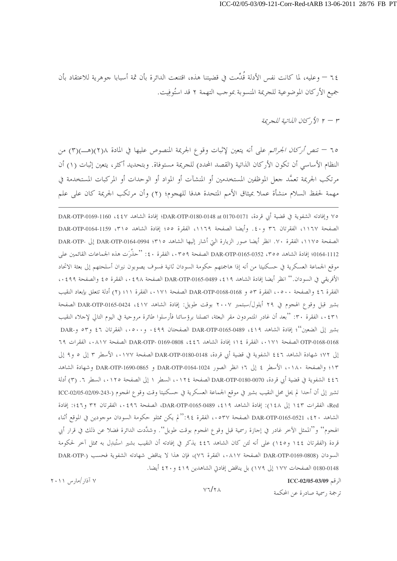٦٤ — وعليه، لما كانت نفس الأدلة قُدِّمت في قضيتنا هذه، اقتنعت الدائرة بأن ثمة أسبابا جوهرية للاعتقاد بأن جميع الأركان الموضوعية للجريمة المنسوبة بموجب التهمة ٢ قد استُوفِيت.

٣ - ٢ الأ, كان اللياتية للجريمة

٦٥ – تنص أركان الجرائم على أنه يتعين لإثبات وقوع الجريمة المنصوص عليها في المادة ٢(٢)(هــ)(٣) من النظام الأساسي أن تكون الأركان الذاتية (القصد المحدد) للجريمة مستوفاة. وبتحديد أكثر، يتعين إثبات (١) أن مرتكب الجريمة تعمَّد جعل الموظفين المستخدمين أو المنشآت أو المواد أو الوحدات أو المركبات المستخدمة في مهمة لحفظ السلام منشأة عملا بميثاق الأمم المتحدة هدفا للهجوم؛ (٢) وأن مرتكب الجريمة كان على علم

٧٥ وإفادته الشفوية في قضية أبي قردة، DAR-OTP-0180-0148 at 0170-0171؛ إفادة الشاهد ٤٤٧، DAR-OTP-0169-1160 الصفحة ١١٦٧، الفقرتان ٣٦ و٤٠. وأيضا الصفحة ١١٦٩، الفقرة ٥٥؛ إفادة الشاهد ١٣١٥، 1159-DAR-OTP-0164 الصفحة ١١٧٥، الفقرة ٧٠. انظر أيضا صور الزيارة التي أشار إليها الشاهد DAR-OTP-0164-0994 ؟ إلى -DAR-OTP 0164-1112؛ إفادة الشاهد 700، DAR-OTP-0165-0352 الصفحة ٢٥٩،، الفقرة ٤٠: ''حذَّرَت هذه الجماعات القائمين على موقع الجماعة العسكرية في حسكنيتا من أنه إذا هاجمتهم حكومة السودان ثانية فسوف يصوبون نيران أسلحتهم إلى بعثة الاتحاد الأفريقي في السودان.'' انظر أيضا إفادة الشاهد 19٪ ، DAR-OTP-0165-0489 الصفحة ٤٩٨، الفقرة ٤٥ والصفحة ٤٩٩، ، الفقرة ٤٦ والصفحة ٥٠٠، الفقرة ٥٣ و DAR-OTP-0168-0168 الصفحة ٠١٧١، الفقرة ١١؛ (٢) أدلة تتعلق بإبعاد النقيب بشير قبل وقوع الهجوم في ٢٩ أيلول/سبتمبر ٢٠٠٧ بوقت طويل: إفادة الشاهد DAR-OTP-0165-0424 ، \$١٧ الصفحة ٤٣١، الفقرة ٣٠: ''بعد أن غادر المتمردون مقر البعثة، اتصلنا برؤسائنا فأرسلوا طائرة مروحية في اليوم التالي لإحلاء النقيب بشير إلى الضعين''؛ إفادة الشاهد 19٪، 1899-DAR-OTP-0165-0489 الصفحتان ٤٩٩، و٥٠٠، الفقرتان ٤٦ و٥٣ و-DAR OTP-0168-0168 الصفحة ١٧١،، الفقرة ١٤ ؟؛ إفادة الشاهد 1 ٤٤، DAR-OTP- 0169-0808 الصفحة ٠٨١٧، الفقرات ٦٩ إلى ٧٢؛ شهادة الشاهد ٤٤٦ الشفوية في قضية أبي قردة، DAR-OTP-0180-0148 الصفحة ١٧٧، الأسطر ٣ إلى ٥ و٩ إلى ١٣؛ والصفحة ١٨٠،، الأسطر ٤ إلى ٢؛ انظر الصور DAR-OTP-0164-1024 و DAR-OTP-1690-0865 وشهادة الشاهد ٤٤٦ الشفوية في قضية أبي قردة، DAR-OTP-0180-0070 الصفحة ١٢٤، السطر ١ إلى الصفحة ١٢٥،، السطر ٦. (٣) أدلة تشير إلى أن أحدا لم يحل محل النقيب بشير في موقع الجماعة العسكرية في حسكنيتا وقت وقوع الهجوم (-243-2009-02/05-2205 Red، الفقرات ١٤٣ إلى ١٤٨): إفادة الشاهد DAR-OTP-0165-0489 ، 219، الصفحة ٤٩٦، الفقرتان ٣٢ و٤٦؛: إفادة الشاهد 15٠٪، DAR-OTP-0165-0521 الصفحة ٥٣٧، الفقرة ٩٤:"لم يكن ممثلو حكومة السودان موجودين في الموقع أثناء الهجوم'' و''الممثل الآخر غادر في إجازة رسمية قبل وقوع الهجوم بوقت طويل''. وشدَّدت الدائرة فضلا عن ذلك في قرار أبي قردة (الفقرتان ١٤٤ و١٤٥) على أنه لئن كان الشاهد ٤٤٦ يذكر في إفادته أن النقيب بشير استُبلِل به ممثل آخر لحكومة السودان (DAR-OTP-0169-0808 الصفحة ٠٨١٧، الفقرة ٧٦)، فإن هذا لا يناقض شهادته الشفوية فحسب (-DAR-OTP 0180-0148 الصفحات ١٧٧ إلى ١٧٩) بل يناقض إفادتي الشاهدين ٤١٩ و ٤٢٠ أيضا.

الرقم ICC-02/05-03/09

ترجمة , سمية صادرة عن المحكمة

 $V7/\tau A$ 

 $Y \cdot Y$  آذار /مار س ۲۰۱۱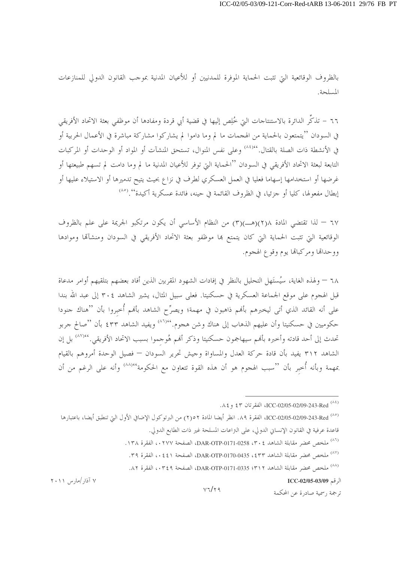بالظروف الوقائعية التي تثبت الحماية الموفرة للمدنيين أو للأعيان المدنية بموجب القانون الدولي للمنازعات المسلحة.

٦٦ – تذكُّر الدائرة بالاستنتاجات التي خُلِص إليها في قضية أبي قردة ومفادها أن موظفي بعثة الاتحاد الأفريقي في السودان ''يتمتعون بالحماية من الهجمات ما لم وما داموا لم يشاركوا مشاركة مباشرة في الأعمال الحربية أو في الأنشطة ذات الصلة بالقتال.''`` وعلى نفس المنوال، تستحق المنشآت أو المواد أو الوحدات أو المركبات التابعة لبعثة الاتحاد الأفريقي في السودان ''الحماية التي توفر للأعيان المدنية ما لم وما دامت لم تسهم طبيعتها أو غرضها أو استخدامها إسهاما فعليا في العمل العسكري لطرف في نزاع بحيث يتيح تدميرها أو الاستيلاء عليها أو إبطال مفعولها، كليا أو جزئيا، في الظروف القائمة في حينه، فائدة عسكرية أكيدة''.<sup>(٨٥</sup>)

٦٧ – لذا تقتضي المادة ٢(٢)(هــ)(٣) من النظام الأساسي أن يكون مرتكبو الجريمة على علم بالظروف الوقائعية التي تثبت الحماية التي كان يتمتع بما موظفو بعثة الاتحاد الأفريقي في السودان ومنشآلها وموادها ووحدالها ومركبالها يوم وقوع الهجوم.

٦٨ – ولهذه الغاية، سيُستَهل التحليل بالنظر في إفادات الشهود المقربين الذين أفاد بعضهم بتلقيهم أوامر مدعاة قبل الهجوم على موقع الجماعة العسكرية في حسكنيتا. فعلى سبيل المثال، يشير الشاهد ٢٠٤ إلى عبد الله بندا على أنه القائد الذي أتى ليخبرهم بألهم ذاهبون في مهمة؛ ويصرِّح الشاهد بألهم أُحبروا بأن ''هناك جنودا حكوميين في حسكنيتا وأن عليهم الذهاب إلى هناك وشن هجوم.''``` ويفيد الشاهد ٤٣٣ بأن ''صالح جربو تحدث إلى أحد قادته وأخبره بألهم سيهاجمون حسكنيتا وذكر ألهم هُوحموا بسبب الاتحاد الأفريقي.''``` بل إن الشاهد ٣١٢ يفيد بأن قادة حركة العدل والمساواة وحيش تحرير السودان — فصيل الوحدة أمروهم بالقيام بمهمة وبأنه أُخبر بأن ''سبب الهجوم هو أن هذه القوة تتعاون مع الحكومة'<sup>٨٨)</sup>' وأنه على الرغم من أن

 $V7/\tau9$ 

الرقم ICC-02/05-03/09

ترجمة , سمية صادرة عن المحكمة

<sup>(^\*)</sup> ICC-02/05-02/09-243-Red، الفقرتان ٤٣ و ٨٤.

<sup>(^^)</sup> ICC-02/05-02/09-243-Red، انظر أيضا المادة ٢٥٢) من البرتوكول الإضافي الأول التي تنطبق أيضا، باعتبارها قاعدة عرفية في القانون الإنساني الدولي، على النزاعات المسلحة غير ذات الطابع الدولي.

<sup>(&</sup>lt;sup>٨٦)</sup> ملخص محضر مقابلة الشاهد DAR-OTP-0171-0258 ، ٣٠٤، الفقرة ١٣٨.

<sup>(^^)</sup> ملخص محضر مقابلة الشاهد DAR-OTP-0170-0435، \$ 3 ، الفقرة ٣٩.

<sup>(^^)</sup> ملخص محضر مقابلة الشاهد DAR-OTP-0171-0335 : ٣١٢، الفقرة ٨٢.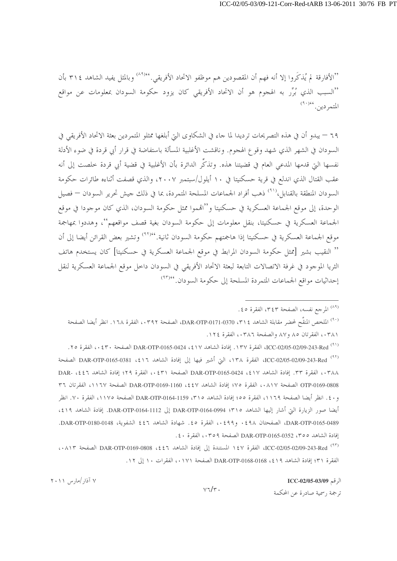''الأفارقة لم يُذكِّروا إلا أنه فهم أن المقصودين هم موظفو الاتحاد الأفريقي.''''' وبالمثل يفيد الشاهد ٣١٤ بأن ''السبب الذي بُرِّرٍ به الهجوم هو أن الاتحاد الأفريقي كان يزود حكومة السودان بمعلومات عن مواقع المتمردين. (٩٠)

٦٩ – يبدو أن في هذه التصريحات ترديدا لما جاء في الشكاوى التي أبلغها ممثلو المتمردين بعثة الاتحاد الأفريقي في السودان في الشهر الذي شهد وقوع الهجوم. وناقشت الأغلبية المسألة باستفاضة في قرار أبي قردة في ضوء الأدلة نفسها التي قدمها المدعى العام في قضيتنا هذه. وتذكِّر الدائرة بأن الأغلبية في قضية أبي قردة خلصت إلى أنه عقب القتال الذي اندلع في قرية حسكنيتا في ١٠ أيلول/سبتمبر ٢٠٠٧، والذي قصفت أثناءه طائرات حكومة السودان المنطقة بالقنابل،<sup>(٩١</sup>) ذهب أفراد الجماعات المسلحة المتمردة، بما في ذلك جيش تحرير السودان — فصيل الوحدة، إلى موقع الجماعة العسكرية في حسكنيتا و''الهموا ممثل حكومة السودان، الذي كان موجودا في موقع الجماعة العسكرية في حسكنيتا، بنقل معلومات إلى حكومة السودان بغية قصف مواقعهم''، وهددوا بمهاجمة موقع الجماعة العسكرية في حسكنيتا إذا هاجمتهم حكومة السودان ثانية. '<sup>٩٢)</sup>٬ وتشير بعض القرائن أيضا إلى أن '' النقيب بشير [ممثل حكومة السودان المرابط في موقع الجماعة العسكرية في حسكنيتا] كان يستخدم هاتف الثريا الموجود في غرفة الاتصالات التابعة لبعثة الاتحاد الأفريقي في السودان داخل موقع الجماعة العسكرية لنقل إحداثيات مواقع الجماعات المتمردة المسلحة إلى حكومة السودان. <sup>٩٣)،</sup>

<sup>(۸۹)</sup> المرجع نفسه، الصفحة ۳٤٣، الفقرة ٤٥.

(٩٠) الملخص المنقَّح لمحضر مقابلة الشاهد DAR-OTP-0171-0370 ، ٣١٤، الصفحة ٠٣٩٢، الفقرة ١٦٨. انظر أيضا الصفحة ٠٣٨١، الفقرتان ٨٥ و٨٧ والصفحة ٠٣٨٦. الفقرة ١٢٤.

(٩١) ICC-02/05-02/09-243-Red، الفقرة ١٣٧. إفادة الشاهد DAR-OTP-0165-0424 ، ٤١٧ الصفحة ٤٣٠، الفقرة ٢٥. (٩٢) ICC-02/05-02/09-243-Red، الفقرة ١٣٨، التي أشير فيها إلى إفادة الشاهد DAR-OTP-0165-0381 ، {١٢ الصفحة ٠٣٨٨، الفقرة ٣٣. إفادة الشاهد DAR-OTP-0165-0424 ، \$١٧ الصفحة ٤٢١، الفقرة ٢٩؛ إفادة الشاهد DAR- ،٤٤٦ OTP-0169-0808 الصفحة ٠٨١٧، الفقرة ٧٥؛ إفادة الشاهد bAR-OTP-0169-1160 ، لصفحة ١١٦٧، الفقرتان ٣٦ و ٤٠. انظر أيضا الصفحة ١١٦٩، الفقرة ٥٥؛ إفادة الشاهد ٣١٥، DAR-OTP-0164-1159 الصفحة ١١٧٥، الفقرة ٧٠. انظر أيضا صور الزيارة التي أشار إليها الشاهد DAR-OTP-0164-0994 ؛ DAR-OTP-0164-1112. إفادة الشاهد ٤١٩، DAR-OTP-0165-0489، الصفحتان ٤٩٨ ، ٤٩٩ ، ، الفقرة ٥٤. شهادة الشاهد ٤٤٦ الشفوية، DAR-OTP-0180-0148. إفادة الشاهد 300، DAR-OTP-0165-0352 الصفحة ٢٥٩،، الفقرة ٤٠.

(٩٣) ICC-02/05-02/09-243-Red، الفقرة ١٤٧ المستندة إلى إفادة الشاهد DAR-OTP-0169-0808 ،٤٤٦ الصفحة ١٨١٣، الفقرة ٣١؛ إفادة الشاهد 14، DAR-OTP-0168-0168 الصفحة ١٧١،، الفقرات ١٠ إلى ١٢.

الرقم ICC-02/05-03/09

ترجمة , سمية صادرة عن المحكمة

۷ آذار /مارس ۲۰۱۱

 $v\tau/\tau$ .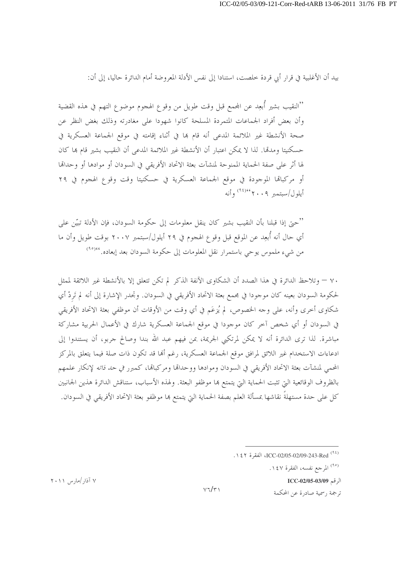بيد أن الأغلبية في قرار أبي قردة خلصت، استنادا إلى نفس الأدلة المعروضة أمام الدائرة حاليا، إلى أن:

''النقيب بشير أبعِد عن المحمع قبل وقت طويل من وقوع الهجوم موضوع التهم في هذه القضية وأن بعض أفراد الجماعات المتمردة المسلحة كانوا شهودا على مغادرته وذلك بغض النظر عن صحة الأنشطة غير الملائمة المدعى أنه قام بما في أثناء إقامته في موقع الجماعة العسكرية في حسكنيتا ومدمَّا. لذا لا يمكن اعتبار أن الأنشطة غير الملائمة المدعى أن النقيب بشير قام بما كان لها أثر على صفة الحماية الممنوحة لمنشآت بعثة الاتحاد الأفريقي في السودان أو موادها أو وحداقما أو مركبالها الموجودة في موقع الجماعة العسكرية في حسكنيتا وقت وقوع الهجوم في ٢٩ أبلول/سيتمبر ٢٠٠٩ م أنه

''حبيّ إذا قبلنا بأن النقيب بشير كان ينقل معلومات إلى حكومة السودان، فإن الأدلة تبيّن على أي حال أنه أُبعِد عن الموقع قبل وقوع الهجوم في ٢٩ أيلول/سبتمبر ٢٠٠٧ بوقت طويل وأن ما من شيء ملموس يوحي باستمرار نقل المعلومات إلى حكومة السودان بعد إبعاده. <sup>٩٥/٤٤</sup>)

٧٠ – وتلاحظ الدائرة في هذا الصدد أن الشكاوى الآنفة الذكر لم تكن تتعلق إلا بالأنشطة غير اللائقة لممثل لحكومة السودان بعينه كان موجودا في مجمع بعثة الاتحاد الأفريقي في السودان. وتحدر الإشارة إلى أنه لم تَردْ أي شكاوي أخرى وأنه، على وجه الخصوص، لم يُزعَم في أي وقت من الأوقات أن موظفي بعثة الاتحاد الأفريقي في السودان أو أي شخص آخر كان موجودا في موقع الجماعة العسكرية شارك في الأعمال الحربية مشاركة مباشرة. لذا ترى الدائرة أنه لا يمكن لمرتكبي الجريمة، بمن فيهم عبد الله بندا وصالح جربو، أن يستندوا إلى ادعاءات الاستخدام غير اللائق لمرافق موقع الجماعة العسكرية، رغم ألها قد تكون ذات صلة فيما يتعلق بالمركز المحمى لمنشآت بعثة الاتحاد الأفريقي في السودان وموادها ووحداقما ومركباقما، كمبرر ف*ي حد ذاته* لإنكار علمهم بالظروف الوقائعية التي تثبت الحماية التي يتمتع ها موظفو البعثة. ولهذه الأسباب، ستناقش الدائرة هذين الجانبين كل على حدة مستهلةً نقاشها بمسألة العلم بصفة الحماية التي يتمتع بما موظفو بعثة الاتحاد الأفريقي في السودان.

(٩٥) المرجع نفسه، الفقرة ١٤٧.

الرقم ICC-02/05-03/09

ترجمة , سمية صادرة عن المحكمة

۷ آذار /مارس ۲۰۱۱

 $V7/r$ 

<sup>(&</sup>lt;sup>٩٤)</sup> ICC-02/05-02/09-243-Red<sup>(٩٤)</sup>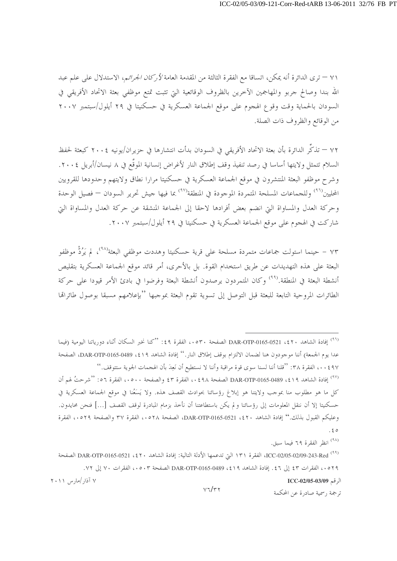٧١ — ترى الدائرة أنه يمكن، اتساقا مع الفقرة الثالثة من المقدمة العامة *لأركان الجرائم*، الاستدلال على علم عبد الله بندا وصالح جربو والمهاجمين الآحرين بالظروف الوقائعية التي تثبت تمتع موظفي بعثة الاتحاد الأفريقي في السودان بالحماية وقت وقوع الهجوم على موقع الجماعة العسكرية في حسكنيتا في ٢٩ أيلول/سبتمبر ٢٠٠٧ من الوقائع والظروف ذات الصلة.

٧٢ — تذكُّر الدائرة بأن بعثة الاتحاد الأفريقي في السودان بدأت انتشارها في حزيران/يونيه ٢٠٠٤ كبعثة لحفظ السلام تتمثل ولايتها أساسا في رصد تنفيذ وقف إطلاق النار لأغراض إنسانية الموقَّع في ٨ نيسان/أبريل ٢٠٠٤. وشرح موظفو البعثة المنتشرون في موقع الجماعة العسكرية في حسكنيتا مرارا نطاق ولايتهم وحدودها للقرويين المحليين<sup>(٩٦</sup>) وللجماعات المسلحة المتمردة الموجودة في المنطقة<sup>(٩٧)</sup> بما فيها جيش تحرير السودان — فصيل الوحدة وحركة العدل والمساواة التي انضم بعض أفرادها لاحقا إلى الجماعة المنشقة عن حركة العدل والمساواة التي شاركت في الهجوم على موقع الجماعة العسكرية في حسكنيتا في ٢٩ أيلول/سبتمبر ٢٠٠٧.

٧٣ – حينما استولت جماعات متمردة مسلحة على قرية حسكنيتا وهددت موظفي البعثة ُ لم يَرُدُّ موظفو البعثة على هذه التهديدات عن طريق استخدام القوة. بل بالأحرى، أمر قائد موقع الجماعة العسكرية بتقليص أنشطة البعثة في المنطقة.<sup>(٩٩)</sup> وكان المتمردون يرصدون أنشطة البعثة وفرضوا في بادئ الأمر قيودا على حركة الطائرات المروحية التابعة للبعثة قبل التوصل إلى تسوية تقوم البعثة بموجبها ''بإعلامهم مسبقا بوصول طائراقما

وعليكم القبول بذلك.'' إفادة الشاهد DAR-OTP-0165-0521 ، \$ 1 الصفحة ٥٢٨ .، الفقرة ٣٧ والصفحة ٥٢٩.، الفقرة  $.50$ 

(۹۸) انظر الفقرة ٦٩ فيما سبق.

 $V7/r7$ 

الرقم ICC-02/05-03/09

ترجمة , سمية صادرة عن المحكمة

<sup>&</sup>lt;sup>(٩٦)</sup> إفادة الشاهد ٤٢٠، DAR-OTP-0165-0521 الصفحة ٥٣٠، الفقرة ٤٩: ''كنا نخبر السكان أثناء دورياتنا اليومية (فيما عدا يوم الجمعة) أننا موجودون هنا لضمان الالتزام بوقف إطلاق النار.'' إفادة الشاهد 1 IS > 0489-0165-0489، الصفحة ٤٩٧ . . ، الفقرة ٣٨: ''قلنا أننا لسنا سوى قوة مراقبة وأننا لا نستطيع أن نَعِدَ بأن الهجمات الجوية ستتوقف.'' (٩٧) إفادة الشاهد 1٩١٤، DAR-OTP-0165-0489 الصفحة ٤٩٨، الفقرة ٤٣ والصفحة ٥٠٠، الفقرة ٥٦: ''شرحتُ لهم أن كل ما هو مطلوب منا بموجب ولايتنا هو إبلاغ رؤسائنا بحوادث القصف هذه. ولا يَسَعُنا في موقع الجماعة العسكرية في حسكنيتا إلا أن ننقل المعلومات إلى رؤسائنا ولم يكن باستطاعتنا أن نأحذ بزمام المبادرة لوقف القصف […] فنحن محايدون.

<sup>&</sup>lt;sup>(٩٩)</sup> ICC-02/05-02/09-243-Red، الفقرة ١٣١ التي تدعمها الأدلة التالية: إفادة الشاهد ٢٠٤، DAR-OTP-0165-0521 الصفحة ٥٢٩، ، الفقرات ٤٣ إلى ٤٦. إفادة الشاهد 14\$، DAR-OTP-0165-0489 الصفحة ٥٠٣، الفقرات ٧٠ إلى ٧٢. ۷ آذار /مارس ۲۰۱۱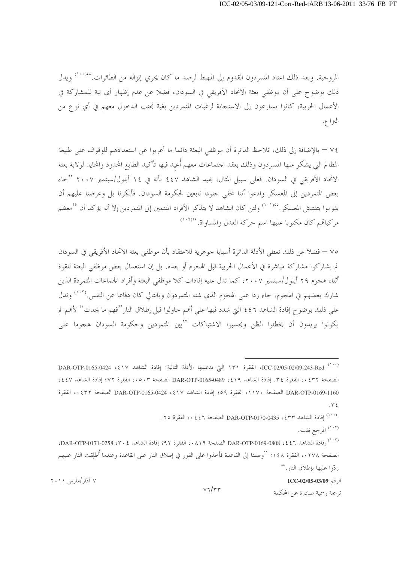المروحية. وبعد ذلك اعتاد المتمردون القدوم إلى المهبط لرصد ما كان يجري إنزاله من الطائرات.''``` ويدل ذلك بوضوح على أن موظفي بعثة الاتحاد الأفريقي في السودان، فضلا عن عدم إظهار أي نية للمشاركة في الأعمال الحربية، كانوا يسارعون إلى الاستجابة لرغبات المتمردين بغية تجنب الدحول معهم في أي نوع من النزاع.

٧٤ — بالإضافة إلى ذلك، تلاحظ الدائرة أن موظفي البعثة دائما ما أعربوا عن استعدادهم للوقوف على طبيعة المظالم اليت يشكو منها المتمردون وذلك بعقد احتماعات معهم أُعيد فيها تأكيد الطابع المحدود والمحايد لولاية بعثة الاتحاد الأفريقي في السودان. فعلي سبيل المثال، يفيد الشاهد ٤٤٧ بأنه في ١٤ أيلول/سبتمبر ٢٠٠٧ "جاء بعض المتمردين إلى المعسكر وادعوا أننا نخفى جنودا تابعين لحكومة السودان. فأنكرنا بل وعرضنا عليهم أن يقوموا بتفتيش المعسكر. ''''' ولئن كان الشاهد لا يتذكر الأفراد المنتمين إلى المتمردين إلا أنه يؤكد أن ''معظم مركباتهم كان مكتوبا عليها اسم حركة العدل والمساواة. ``````

٧٥ — فضلا عن ذلك تعطي الأدلة الدائرة أسبابا جوهرية للاعتقاد بأن موظفي بعثة الاتحاد الأفريقي في السودان لم يشاركوا مشاركة مباشرة في الأعمال الحربية قبل الهجوم أو بعده. بل إن استعمال بعض موظفي البعثة للقوة أثناء هجوم ٢٩ أيلول/سبتمبر ٢٠٠٧، كما تدل عليه إفادات كلا موظفي البعثة وأفراد الجماعات المتمردة الذين شارك بعضهم في الهجوم، حاء ردا على الهجوم الذي شنه المتمردون وبالتالي كان دفاعا عن النفس.<sup>(١٠٣)</sup> وتدل على ذلك بوضوح إفادة الشاهد ٤٤٦ التي شدد فيها على أهُم حاولوا قبل إطلاق النار''فهم ما يحدث'' لأهْم لم يكونوا يريدون أن يخطئوا الظن ويحسبوا الاشتباكات ''بين المتمردين وحكومة السودان هجوما على

<sup>(۱۰۲)</sup> المرجع نفسه.

الرقم ICC-02/05-03/09

ترجمة , سمية صادرة عن المحكمة

<sup>(111)</sup> ICC-02/05-02/09-243-Red، الفقرة ١٣١ التي تدعمها الأدلة التالية: إفادة الشاهد DAR-OTP-0165-0424 الصفحة ٤٣٢، الفقرة ٣٤. إفادة الشاهد 1٩١، DAR-OTP-0165-0489 الصفحة ٥٠٣، الفقرة ٧٢؛ إفادة الشاهد ٤٤٧، DAR-OTP-0169-1160 الصفحة ١١٧٠، الفقرة ٥٩؛ إفادة الشاهد DAR-OTP-0165-0424 ، {١٧ الصفحة ٤٣٢، الفقرة  $.75$ 

<sup>...&#</sup>x27;') إفادة الشاهد DAR-OTP-0170-0435 ، \$ 3 " ) ، الفقرة ٦٥.

<sup>(</sup>١٠٣) إفادة الشاهد 1 ٤٤، DAR-OTP-0169-0808 الصفحة ٨١٩، الفقرة ٩٢؛ إفادة الشاهد DAR-OTP-0171-0258، ٣٠٤ الصفحة ٢٧٨ ، ، الفقرة ١٤٨: ''وصلنا إلى القاعدة فأحذوا على الفور في إطلاق النار على القاعدة وعندما أُطلقت النار عليهم , دّوا عليها بإطلاق النار . ''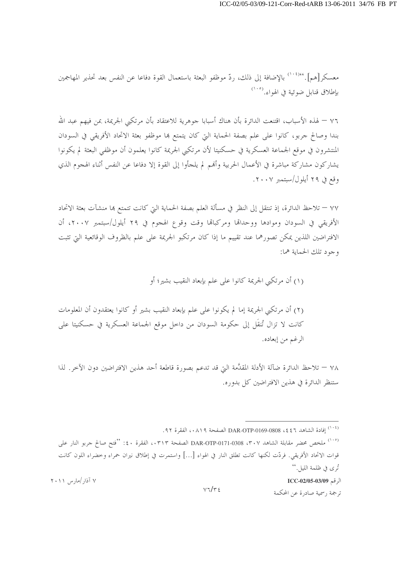معسكر[هم].''``` بالإضافة إلى ذلك، ردّ موظفو البعثة باستعمال القوة دفاعا عن النفس بعد تحذير المهاجمين بإطلاق قنابل ضوئية في الهواء.<sup>(١٠٥</sup>)

٧٦ — لهذه الأسباب، اقتنعت الدائرة بأن هناك أسبابا جوهرية للاعتقاد بأن مرتكبي الجريمة، بمن فيهم عبد الله بندا وصالح جربو، كانوا على علم بصفة الحماية التي كان يتمتع ها موظفو بعثة الاتحاد الأفريقي في السودان المنتشرون في موقع الجماعة العسكرية في حسكنيتا لأن مرتكبي الجريمة كانوا يعلمون أن موظفي البعثة لم يكونوا يشاركون مشاركة مباشرة في الأعمال الحربية وألهم لم يلجأوا إلى القوة إلا دفاعا عن النفس أثناء الهجوم الذي وقع في ٢٩ أيلول/سبتمبر ٢٠٠٧.

٧٧ – تلاحظ الدائرة، إذ تنتقل إلى النظر في مسألة العلم بصفة الحماية التي كانت تتمتع بما منشآت بعثة الاتحاد الأفريقي في السودان وموادها ووحدالها ومركباها وقت وقوع الهجوم في ٢٩ أيلول/سبتمبر ٢٠٠٧، أن الافتراضين اللذين يمكن تصورهما عند تقييم ما إذا كان مرتكبو الجريمة على علم بالظروف الوقائعية التي تثبت وجود تلك الحماية هما:

(١) أن مرتكبي الجريمة كانوا على علم بإبعاد النقيب بشير؛ أو

(٢) أن مرتكبي الجريمة إما لم يكونوا على علم بإبعاد النقيب بشير أو كانوا يعتقدون أن المعلومات كانت لا تزال تُنقَل إلى حكومة السودان من داخل موقع الجماعة العسكرية في حسكنيتا على الرغم من إبعاده.

٧٨ – تلاحظ الدائرة ضآلة الأدلة المقدَّمة التي قد تدعم بصورة قاطعة أحد هذين الافتراضين دون الآخر . لذا ستنظر الدائرة في هذين الافتراضين كل بدوره.

الرقم ICC-02/05-03/09

ترجمة , سمية صادرة عن المحكمة

<sup>&</sup>lt;sup>(۱۰٤)</sup> إفادة الشاهد DAR-OTP-0169-0808 ، ٤٤٦ الصفحة ٠٨١٩، الفقرة ٩٢.

<sup>&</sup>lt;sup>(١٠٥)</sup> ملخص محضر مقابلة الشاهد ٣٠٧، DAR-OTP-0171-0308 الصفحة ٠٣١٣، الفقرة ٤٠: ''فتح صالح جربو النار على قوات الاتحاد الأفريقي. فردّت لكنها كانت تطلق النار في الهواء […] واستمرت في إطلاق نيران حمراء وخضراء اللون كانت تُرى في ظلمة الليل.''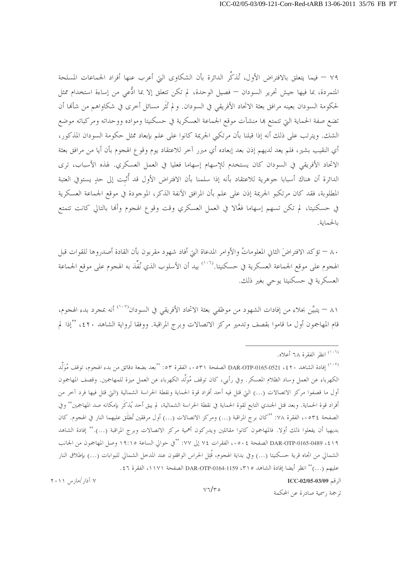٧٩ – فيما يتعلق بالافتراض الأول، تُذكِّر الدائرة بأن الشكاوى التي أعرب عنها أفراد الجماعات المسلحة المتمردة، بما فيها جيش تحرير السودان — فصيل الوحدة، لم تكن تتعلق إلا بما ادُّعي من إساءة استخدام ممثل لحكومة السودان بعينه مرافق بعثة الاتحاد الأفريقي في السودان. و لم تُثَر مسائل أخرى في شكاواهم من شألها أن تضع صفة الحماية التي تتمتع هما منشآت موقع الجماعة العسكرية في حسكنيتا ومواده ووحداته ومركباته موضع الشك. ويترتب على ذلك أنه إذا قبلنا بأن مرتكبي الجريمة كانوا على علم بإبعاد ممثل حكومة السودان المذكور، أي النقيب بشير، فلم يعد لديهم إذن بعد إبعاده أي مبرر آخر للاعتقاد يوم وقوع الهجوم بأن أيا من مرافق بعثة الاتحاد الأفريقي في السودان كان يستخدم للإسهام إسهاما فعليا في العمل العسكري. لهذه الأسباب، ترى الدائرة أن هناك أسبابا جوهرية للاعتقاد بأنه إذا سلمنا بأن الافتراض الأول قد أُثبت إلى حدٍ يستوفي العتبة المطلوبة، فقد كان مرتكبو الجريمة إذن على علم بأن المرافق الآنفة الذكر، الموجودة في موقع الجماعة العسكرية في حسكنيتا، لم تكن تسهم إسهاما فعَّالا في العمل العسكري وقت وقوع الهجوم وألها بالتالي كانت تتمتع بالحماية.

٨٠ — تؤكد الافتراضَ الثاني المعلوماتُ والأوامر المدعاة التي أفاد شهود مقربون بأن القادة أصدروها للقوات قبل الهجوم على موقع الجماعة العسكرية في حسكنيتا.<sup>(١٠٦)</sup> بيد أن الأسلوب الذي نُفِّذ به الهجوم على موقع الجماعة العسكرية في حسكنيتا يوحي بغير ذلك.

٨١ — يتبيَّن بجلاء من إفادات الشهود من موظفي بعثة الاتحاد الأفريقي في السودان<sup>‹‹››</sup>′ أنه بمجرد بدء الهجوم، قام المهاجمون أول ما قاموا بقصف وتدمير مركز الاتصالات وبرج المراقبة. ووفقا لرواية الشاهد ٤٢٠، ''إذا لم

(<sup>١٠٧)</sup> إفادة الشاهد ٤٢٠، DAR-OTP-0165-0521 الصفحة ٥٣١، الفقرة ٥٣: ''بعد بضعة دقائق من بدء الهجوم، توقف مُوَلَّد الكهرباء عن العمل وساد الظلام المعسكر. وفي رأيي، كان توقف مُوَلِّد الكهرباء عن العمل ميزة للمهاجمين. وقصف المهاجمون أول ما قصفوا مركز الاتصالات (…) التي قتل فيه أحد أفراد قوة الحماية ونقطة الحراسة الشمالية (التي قتل فيها فرد آخر من أفراد قوة الحماية. وبعد قتل الجندي التابع لقوة الحماية في نقطة الحراسة الشمالية، لم يبق أحد يُذكَر بإمكانه صد المهاجمين'' وفي الصفحة ٥٣٤، ، الفقرة ٧٨: ''كان برج المراقبة (…) ومركز الاتصالات (…) أول مرفقين تُطلَق عليهما النار في الهجوم. كان بديهيا أن يفعلوا ذلك أولا. فالمهاجمون كانوا مقاتلين ويدركون أهمية مركز الاتصالات وبرج المراقبة (…).'' إفادة الشاهد ٤١٩، DAR-OTP-0165-0489 الصفحة ٥٠٤، الفقرات ٧٤ إلى ٧٧: ''في حوالي الساعة ١٩:١٥ وصل المهاجمون من الجانب الشمالي من اتجاه قرية حسكنيتا (…) وفي بداية الهجوم، قُتِل الحراس الواقفون عند المدحل الشمالي للبوابات (…) بإطلاق النار عليهم (...)'' انظر أيضا إفادة الشاهد ٣١٥، DAR-OTP-0164-1159 الصفحة ١١٧١، الفقرة ٤٦.

الرقم ICC-02/05-03/09

ترجمة , سمية صادرة عن المحكمة

<sup>&</sup>lt;sup>(١٠٦)</sup> انظر الفقرة ٦٨ أعلاه.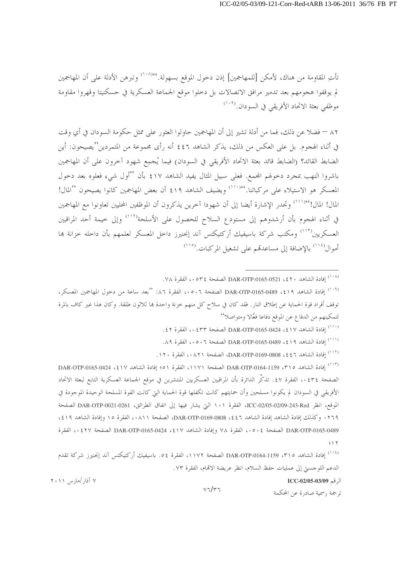تأتِ المقاومة من هناك، لأمكن [للمهاجمين] إذن دحول الموقع بسهولة.''``` وتبرهن الأدلة على أن المهاجمين لم يوقفوا هجومهم بعد تدمير مرافق الاتصالات بل دخلوا موقع الجماعة العسكرية في حسكنيتا وقهروا مقاومة موظفى بعثة الاتحاد الأفريقي في السودان.<sup>(١٠٩</sup>)

٨٢ – فضلا عن ذلك، فما من أدلة تشير إلى أن المهاجمين حاولوا العثور على ممثل حكومة السودان في أي وقت في أثناء الهجوم. بل على العكس من ذلك، يذكر الشاهد ٤٤٦ أنه رأى مجموعة من المتمردين''يصيحون: أين الضابط القائد؟ (الضابط قائد بعثة الاتحاد الأفريقي في السودان) فيما يُجمِع شهود آخرون على أن المهاجمين باشروا النهب بمجرد دحولهم المجمع. فعلى سبيل المثال يفيد الشاهد ٤١٧ بأن "أول شيء فعلوه بعد دحول المعسكر هو الاستيلاء على مركباتنا.''```` ويضيف الشاهد ٤١٩ أن بعض المهاجمين كانوا يصيحون ''المال! المال! المال!''``` وتجدر الإشارة أيضا إلى أن شهودا آخرين يذكرون أن الموظفين المحليين تعاونوا مع المهاجمين في أثناء الهجوم بأن أرشدوهم إلى مستودع السلاح للحصول على الأسلحة<sup>(١١٢)</sup> وإلى خيمة أحد المراقبين العسكريين<sup>(١١٣)</sup> ومكتب شركة باسيفيك أركتيكتس آند إنجنيرز داخل المعسكر لعلمهم بأن داخله خزانة بما أموال<sup>(۱۱٤)</sup> بالإضافة إلى مساعدقم على تشغيل المركبات.<sup>(۱۱۰</sup>)

- . (١٠٠) إفادة الشاهد DAR-OTP-0165-0424 ، ٤١٧ الصفحة ٤٣٣ ، ، الفقرة ٤٢.
- . (<sup>١١١)</sup> إفادة الشاهد DAR-OTP-0165-0489 ، \$ 1 9 الصفحة ٥٠٦، الفقرة ٨٩.
- . (١١٢) إفادة الشاهد DAR-OTP-0169-0808 ، { ٤ } ، الصفحة ٠٨٢١. الفقرة ١٢٠.

(<sup>١١٣)</sup> إفادة الشاهد 1150, DAR-OTP-0164-1159 الصفحة ١١٧١، الفقرة ٥١؛ إفادة الشاهد DAR-OTP-0165-0424 الصفحة ٢٤٣٤، الفقرة ٤٧. تذكُّر الدائرة بأن المراقبين العسكريين المنتشرين في موقع الجماعة العسكرية التابع لبعثة الاتحاد الأفريقي في السودان لم يكونوا مسلحين وأن حمايتهم كانت تكفلها قوة الحماية التي كانت القوة المسلحة الوحيدة الموجودة في الموقع، انظر ICC-02/05-02/05-02/05-1 الفقرة ١٠١ التيّ يشار فيها إلى اتفاق الطرائق، DAR-OTP-0021-0261 الصفحة ٢٦٩، وكذلك إفادة الشاهد إفادة الشاهد DAR-OTP-0169-0808 ، ٤٤٦، الصفحة ٠٨١١، الفقرة ١٥ وإفادة الشاهد ٤١٩، DAR-OTP-0165-0489 الصفحة ٥٠٤، الفقرة ٧٨ وإفادة الشاهد DAR-OTP-0165-0424 ، \$١٧ الصفحة ٤٢٧، الفقرة  $417$ 

<sup>(١١٤)</sup> إفادة الشاهد ٣١٥، DAR-OTP-0164-1159 الصفحة ١١٧٢، الفقرة ٥٤. باسيفيك أركتيكتس آند إنجنيرز شركة تقدم الدعم اللوجسيّ إلى عمليات حفظ السلام، انظر عريضة الاتمام، الفقرة ٧٣.

الرقم ICC-02/05-03/09

 $V7/r7$ ترجمة , سمية صادرة عن المحكمة

<sup>(&</sup>lt;sup>١٠٨)</sup> إفادة الشاهد DAR-OTP-0165-0521 ، ٤٢٠ الصفحة ٥٣٤. الفقرة ٧٨.

<sup>&</sup>lt;sup>(١٠٩)</sup> إفادة الشاهد DAR-OTP-0165-0489 ، ٤١٩ الصفحة ٥٠٦، الفقرة ٨٦: ''بعد ساعة من دخول المهاجمين المعسكر، توقف أفراد قوة الحماية عن إطلاق النار . فقد كان في سلاح كل منهم خزنة واحدة بما ثلاثون طلقة. وكان هذا غير كاف بالمرة لتمكينهم من الدفاع عن الموقع دفاعا فعَّالا ومتواصلاً''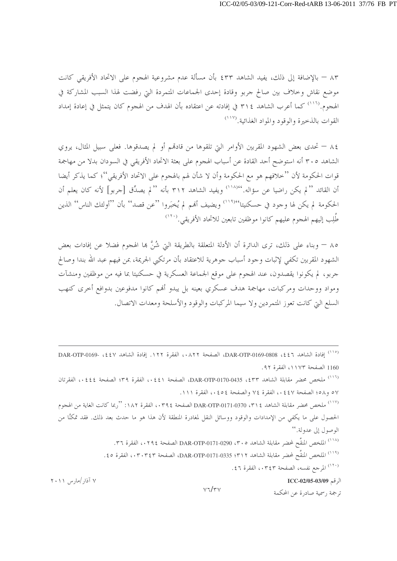٨٣ – بالإضافة إلى ذلك، يفيد الشاهد ٤٣٣ بأن مسألة عدم مشروعية الهجوم على الإتحاد الأفريقي كانت موضع نقاش وخلاف بين صالح جربو وقادة إحدى الجماعات المتمردة التي رفضت لهذا السبب المشاركة في الهجوم.<sup>(١١٦)</sup> كما أعرب الشاهد ٣١٤ في إفادته عن اعتقاده بأن الهدف من الهجوم كان يتمثل في إعادة إمداد القوات بالذخيرة والوقود والمواد الغذائية.<sup>(١١٧</sup>)

٨٤ – تحدى بعض الشهود المقربين الأوامر التي تلقوها من قادهم أو لم يصدقوها. فعلى سبيل المثال، يروي الشاهد ٣٠٥ أنه استوضح أحد القادة عن أسباب الهجوم على بعثة الاتحاد الأفريقي في السودان بدلا من مهاجمة قوات الحكومة لأن ''خلافهم هو مع الحكومة وأن لا شأن لهم بالهجوم على الاتحاد الأفريقي''؛ كما يذكر أيضا أن القائد '' لم يكن راضيا عن سؤاله.''```` ويفيد الشاهد ٣١٢ بأنه '' لم يصدِّق [جربو] لأنه كان يعلم أن الحكومة لم يكن لها وجود في حسكنيتا'''''' ويضيف ألهم لم يُخبَروا ''عن قصد''' بأن ''أولئك الناس'' الذين طُلِب إليهم الهجوم عليهم كانوا موظفين تابعين للاتحاد الأفريقي.<sup>(١٢٠</sup>)

٨٥ – وبناء على ذلك، ترى الدائرة أن الأدلة المتعلقة بالطريقة التي شُنَّ بما الهجوم فضلا عن إفادات بعض الشهود المقربين تكفي لإثبات وجود أسباب جوهرية للاعتقاد بأن مرتكبي الجريمة، بمن فيهم عبد الله بندا وصالح جربو، لم يكونوا يقصدون، عند الهجوم على موقع الجماعة العسكرية في حسكنيتا بما فيه من موظفين ومنشآت ومواد ووحدات ومركبات، مهاجمة هدف عسكري بعينه بل يبدو أفمم كانوا مدفوعين بدوافع أحرى كنهب السلع التي كانت تعوز المتمردين ولا سيما المركبات والوقود والأسلحة ومعدات الاتصال.

<sup>(١١٦)</sup> ملخص محضر مقابلة الشاهد DAR-OTP-0170-0435، 2 (1٤٤١، الصفحة ٤٤١، الفقرة ٣٩؛ الصفحة ٤٤٤، الفقرتان ٥٧ و٥٨؛ الصفحة ٤٤٧، الفقرة ٧٤ والصفحة ٤٥٤، الفقرة ١١١.

(<sup>١١٧)</sup> ملخص محضر مقابلة الشاهد DAR-OTP-0171-0370 ، ٣٩٤ الصفحة ٠٣٩٤، الفقرة ١٨٢: "ربما كانت الغاية من الهجوم الحصول على ما يكفي من الإمدادات والوقود ووسائل النقل لمغادرة المنطقة لأن هذا هو ما حدث بعد ذلك. فقد تمكنًا من الوصول إلى عدولة. "

(<sup>١١٨)</sup> الملخص المنقَّح لمحضر مقابلة الشاهد DAR-OTP-0171-0290 (٣٠٥ الصفحة ٢٦٤، الفقرة ٣٦.

<sup>(١١٩)</sup> الملخص المنقَّح لمحضر مقابلة الشاهد DAR-OTP-0171-0335 ؛ ٣١٢، الفقرة ٤٥ . ٤.

. <sup>(١٢٠)</sup> المرجع نفسه، الصفحة ٠٣٤٣، الفقرة ٤٦.

الرقم ICC-02/05-03/09

ترجمة , سمية صادرة عن المحكمة

 $V7/rV$ 

<sup>&</sup>lt;sup>(١١٥)</sup> إفادة الشاهد DAR-OTP-0169-0808 ، \$ 2 ، A Y Y، الفقرة ١٢٢. إفادة الشاهد DAR-OTP-0169- ، {2 } 1160 الصفحة ١١٧٣، الفقرة ٩٢.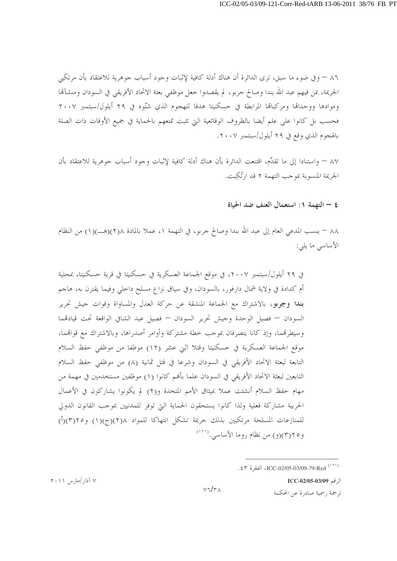٨٦ – وفي ضوءٍ ما سبقٍ، ترى الدائرة أن هناك أدلة كافية لإثبات وجود أسباب جوهرية للاعتقاد بأن مرتكبي الجريمة، بمن فيهم عبد الله بندا وصالح جربو ، لم يقصدوا جعل موظفي بعثة الاتحاد الأفريقي في السودان ومنشآها وموادها ووحداها ومركباها المرابطة في حسكنيتا هدفا للهجوم الذي شَنّوه في ٢٩ أيلول/سبتمبر ٢٠٠٧ فحسب بل كانوا على علم أيضا بالظروف الوقائعية التي تثبت تمتعهم بالحماية في جميع الأوقات ذات الصلة بالهجوم الذي وقع في ٢٩ أيلول/سبتمبر ٢٠٠٧.

٨٧ – واستنادا إلى ما تقدَّم، اقتنعت الدائرة بأن هناك أدلة كافية لإثبات وجود أسباب جوهرية للاعتقاد بأن الجريمة المنسوبة بموجب التهمة ٢ قد ارتُكِبت.

٤ - التهمة ١: استعمال العنف ضد الحياة

٨٨ – ينسب المدعى العام إلى عبد الله بندا وصالح جربو ، في التهمة ١، عملا بالمادة ٢(٢)(هـــ)(١) من النظام الأساسي ما يلي:

في ٢٩ أيلول/سبتمبر ٢٠٠٧، في موقع الجماعة العسكرية في حسكنيتا في قرية حسكنيتا، بمحلية أم كدادة في ولاية شمال دارفور، بالسودان، وفي سياق نزاع مسلح داخلي وفيما يقترن به، هاجم **بندا وجوبو**، بالاشتراك مع الجماعة المنشقة عن حركة العدل والمساواة وقوات جيش تحرير السودان — فصيل الوحدة وجيش تحرير السودان — فصيل عبد الشافي الواقعة تحت قيادتمما وسيطرقمما، وإذ كانا يتصرفان بموجب حطة مشتركة وأوامر أصدراها، وبالاشتراك مع قواقمما، موقع الجماعة العسكرية في حسكنيتا وقتلا اثني عشر (١٢) موظفا من موظفي حفظ السلام التابعة لبعثة الاتحاد الأفريقي في السودان وشرعا في قتل ثمانية (٨) من موظفي حفظ السلام التابعين لبعثة الاتحاد الأفريقي في السودان علما بألهم كانوا (١) موظفين مستخدمين في مهمة من مهام حفظ السلام أنشئت عملا بميثاق الأمم المتحدة و(٢) لم يكونوا يشاركون في الأعمال الحربية مشاركة فعلية ولذا كانوا يستحقون الحماية التي توفر للمدنيين بموحب القانون الدولي للمنازعات المسلحة مرتكبين بذلك جريمة تشكل انتهاكا للمواد ٢١٨(ج)(١) و٢١٥(٣)(أ) و٢٥(٣)(و) من نظام روما الأساسي. (١٢١)

الرقم ICC-02/05-03/09

ترجمة , سمية صادرة عن المحكمة

<sup>.</sup> ٤٣١) ICC-02/05-03/09-79-Red (١٢١)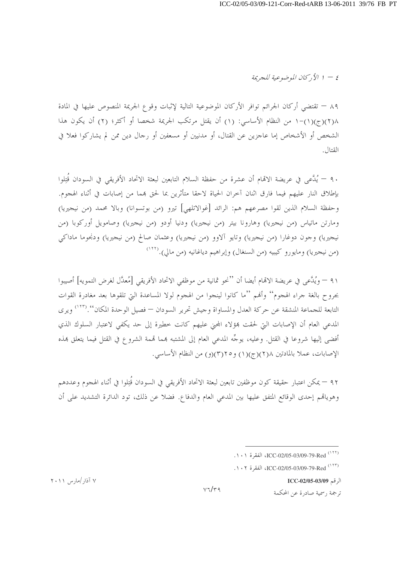$\mathcal{L} = \{ \forall i \in \mathbb{Z} \mid \exists i \in \mathbb{Z} \}$  الأ $\mathcal{L} = \mathcal{L}$ 

٨٩ – تقتضى أركان الجرائم توافر الأركان الموضوعية التالية لإثبات وقوع الجريمة المنصوص عليها في المادة ١/(٣)(ج)(١)–١ من النظام الأساسي: (١) أن يقتل مرتكب الجريمة شخصا أو أكثر؛ (٢) أن يكون هذا الشخص أو الأشخاص إما عاجزين عن القتال، أو مدنيين أو مسعفين أو رجال دين ممن لم يشاركوا فعلا في القتال.

٩٠ – يُدَّعى في عريضة الاقمام أن عشرة من حفظة السلام التابعين لبعثة الاتحاد الأفريقي في السودان قَتِلوا بإطلاق النار عليهم فيما فارق اثنان آحران الحياة لاحقا متأثرين بما لحق بمما من إصابات في أثناء الهجوم. وحفظة السلام الذين لقوا مصرعهم هم: الرائد [غوالاتلهي] تيرو (من بوتسوانا) وبالا محمد (من نيجيريا) ومارتن ماتياس (من نيجيريا) وهارونا بيتر (من نيجيريا) ودنيا أودو (من نيجيريا) وصامويل أوركوبا (من نيجيريا) وجون دوغارا (من نيجيريا) وتايو آلاوو (من نيجيريا) وعثمان صالح (من نيجيريا) ودنجوما ماداكي (من نيجيريا) ومايورو كيبيه (من السنغال) وإبراهيم دياغانيه (من مالي).(<sup>١٢٢)</sup>

٩١ – ويُلَّعي في عريضة الاقمام أيضا أن ''نحو ثمانية من موظفي الاتحاد الأفريقي [مُعدَّل لغرض التمويه] أصيبوا بجروح بالغة جراء الهجوم'' وأفمم ''ما كانوا لينجوا من الهجوم لولا المساعدة التي تلقوها بعد مغادرة القوات التابعة للجماعة المنشقة عن حركة العدل والمساواة وجيش تحرير السودان — فصيل الوحدة المكان''.('''') ويرى المدعى العام أن الإصابات التي لحقت بمؤلاء المجني عليهم كانت خطيرة إلى حد يكفي لاعتبار السلوك الذي أفضى إليها شروعا في القتل. وعليه، يوجِّه المدعى العام إلى المشتبه بمما قممة الشروع في القتل فيما يتعلق بمذه الإصابات، عملا بالمادتين ١(٢)(ج)(١) و٢(٣)(و) من النظام الأساسي.

٩٢ — يمكن اعتبار حقيقة كون موظفين تابعين لبعثة الاتحاد الأفريقي في السودان قُتِلوا في أثناء الهجوم وعددهم وهوياهم إحدى الوقائع المتفق عليها بين المدعى العام والدفاع. فضلاً عن ذلك، تود الدائرة التشديد على أن

. ١٠٢) ICC-02/05-03/09-79-Red (١٢٣)

الرقم ICC-02/05-03/09

ترجمة , سمية صادرة عن المحكمة

۷ آذار /مارس ۲۰۱۱

 $V7/r9$ 

<sup>(&</sup>lt;sup>١٢٢)</sup> ICC-02/05-03/09-79-Red<sup>(١٢٢)</sup>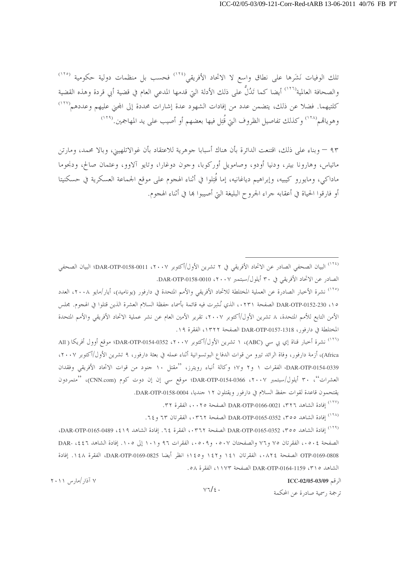تلك الوفيات نَشَرها على نطاق واسع لا الاتحاد الأفريقي<sup>(١٢٤)</sup> فحسب بل منظمات دولية حكومية <sup>(١٢٥</sup>) والصحافة العالمية<sup>(١٢٦)</sup> أيضا كما تَدُلُّ على ذلك الأدلة التي قدمها المدعى العام في قضية أبي قردة وهذه القضية كلتيهما. فضلاً عن ذلك، يتضمن عدد من إفادات الشهود عدة إشارات محددة إلى المحنى عليهم وعددهم<sup>(١٢٧)</sup> وهوياهم ٬۱۲۸٬ وكذلك تفاصيل الظروف التي قُتِل فيها بعضهم أو أصيب على يد المهاجمين.(۱۲۹٬

٩٣ – وبناء على ذلك، اقتنعت الدائرة بأن هناك أسبابا جوهرية للاعتقاد بأن غوالاتلهيين، وبالا محمد، ومارتن ماتياس، وهارونا بيتر، ودنيا أودو، وصامويل أوركوبا، وجون دوغارا، وتايو آلاوو، وعثمان صالح، ودنجوما ماداكي، ومايورو كيبيه، وإبراهيم دياغانيه، إما قُتِلوا في أثناء الهجوم على موقع الجماعة العسكرية في حسكنيتا أو فارقوا الحياة في أعقابه جراء الجروح البليغة التي أصيبوا بما في أثناء الهجوم.

<sup>(١٢٤)</sup> البيان الصحفي الصادر عن الاتحاد الأفريقي في ٢ تشرين الأول/أكتوبر DAR-OTP-0158-0011 ، ٢٠٠٧؛ البيان الصحفي الصادر عن الاتحاد الأفريقي في ٣٠ أيلول/سبتمبر ٢٠٠٧، DAR-OTP-0158-0010.

<sup>(١٢٥)</sup> نشرة الأخبار الصادرة عن العملية المختلطة للاتحاد الأفريقي والأمم المتحدة في دارفور (يوناميد)، أيار/مايو ٢٠٠٨، العدد 0 \، DAR-OTP-0152-230 الصفحة ٢٣١،، الذي نُشِرت فيه قائمة بأسماء حفظة السلام العشرة الذين قتلوا في الهجوم. مجلس الأمن التابع للأمم المتحدة، ٨ تشرين الأول/أكتوبر ٢٠٠٧، تقرير الأمين العام عن نشر عملية الاتحاد الأفريقي والأمم المتحدة المختلطة في دارفور، DAR-OTP-0157-1318 الصفحة ١٣٢٢، الفقرة ١٩.

<sup>(١٢٦)</sup> نشرة أخبار قناة إي بي سي (ABC)، ١ تشرين الأول/أكتوبر ٢٠٠٧، DAR-OTP-0154-0352؛ موقع أوول أفريكا ( All Africa)، أزمة دارفور، وفاة الرائد تيرو من قوات الدفاع البوتسوانية أثناء عمله في بعثة دارفور، ٩ تشرين الأول/أكتوبر ٢٠٠٧، DAR-OTP-0154-0339، الفقرات ١ و٢ و٤٧ وكالة أنباء رويترز، ''مقتل ١٠ جنود من قوات الاتحاد الأفريقي وفقدان العشرات''، ٣٠ أيلول/سبتمبر ٢٠٠٧، DAR-OTP-0154-0366؛ موقع سي إن إن دوت كوم (CNN.com)، ''متمردون يقتحمون قاعدة لقوات حفظ السلام في دارفور ويقتلون ١٢ جنديا، DAR-OTP-0158-0004.

(١٢٧) إفادة الشاهد DAR-OTP-0166-0021 ، ٣٢٦ الصفحة ١٠٠٢، الفقرة ٣٢.

(<sup>١٢٨)</sup> إفادة الشاهد DAR-OTP-0165-0352 ، ٣٥٥ الصفحة ٠٣٦٢، الفقرتان ٦٣ و ٢٤.

<sup>(١٢٩)</sup> إفادة الشاهد DAR-OTP-0165-0352 ، ٣٥٥ الصفحة ٠٣٦٢، الفقرة ٦٤. إفادة الشاهد DAR-OTP-0165-0489، الصفحة ٥٠٤، الفقرتان ٧٥ و٧٦ والصفحتان ٠٥٠٧ و٥٠٩، الفقرات ٩٦ و١٠١ إلى ١٠٥. إفادة الشاهد DAR- ،٤٤٦ OTP-0169-0808 الصفحة ٠٨٢٤، الفقرتان ١٤١ و١٤٢ و١٤٥ إذ انظر أيضا DAR-OTP-0169-0825، الفقرة ١٤٨. إفادة الشاهد ٢١٥، 1159-DAR-OTP-0164 الصفحة ١١٧٣، الفقرة ٥٨.

 $v\tau/\epsilon$ .

الرقم ICC-02/05-03/09

ترجمة , سمية صادرة عن المحكمة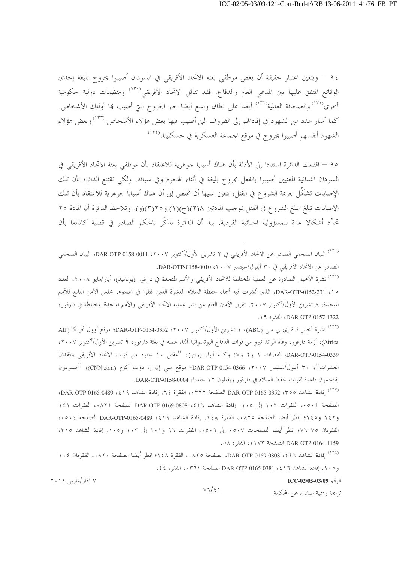٩٤ – ويتعين اعتبار حقيقة أن بعض موظفي بعثة الاتحاد الأفريقي في السودان أصيبوا بجروح بليغة إحدى الوقائع المتفق عليها بين المدعي العام والدفاع. فقد تناقل الاتحاد الأفريقي<sup>٬۱۳۰</sup>٬ ومنظمات دولية حكومية أخرى<sup>(١٣١)</sup> والصحافة العالمية<sup>(١٣٢)</sup> أيضا على نطاق واسع أيضا خبر الجروح التي أصيب هما أولئك الأشخاص. كما أشار عدد من الشهود في إفاداقمم إلى الظروف التي أصيب فيها بعض هؤلاء الأشخاص.<sup>(١٣٣)</sup> وبعض هؤلاء الشهود أنفسهم أصيبوا بجروح في موقع الجماعة العسكرية في حسكنيتا.<sup>(١٣٤)</sup>

٩٥ – اقتنعت الدائرة استنادا إلى الأدلة بأن هناك أسبابا جوهرية للاعتقاد بأن موظفي بعثة الاتحاد الأفريقي في السودان الثمانية المعنيين أصيبوا بالفعل بجروح بليغة في أثناء الهجوم وفي سياقه. ولكي تقتنع الدائرة بأن تلك الإصابات تشكِّل جريمة الشروع في القتل، يتعين عليها أن تخلص إلى أن هناك أسبابا جوهرية للاعتقاد بأن تلك الإصابات تبلغ مبلغ الشروع في القتل بموجب المادتين ٢(٨)(ج)(١) و ٢٥(٣)(و). وتلاحظ الدائرة أن المادة ٢٥ تحدِّد أشكالا عدة للمسؤولية الجنائية الفردية. بيد أن الدائرة تذكِّر بالحكم الصادر في قضية كاتانغا بأن

<sup>(١٣٠)</sup> البيان الصحفي الصادر عن الاتحاد الأفريقي في ٢ تشرين الأول/أكتوبر DAR-OTP-0158-0011 ، ٢٠٠٧؛ البيان الصحفي الصادر عن الاتحاد الأفريقي في ٣٠ أيلول/سبتمبر ٢٠٠٧، DAR-OTP-0158-0010.

<sup>(١٣١)</sup> نشرة الأخبار الصادرة عن العملية المختلطة للاتحاد الأفريقي والأمم المتحدة في دارفور (يوناميد)، أيار/مايو ٢٠٠٨، العدد ١٥، DAR-OTP-0152-231، الذي نُشِرت فيه أسماء حفظة السلام العشرة الذين قتلوا في الهجوم. مجلس الأمن التابع للأمم المتحدة، ٨ تشرين الأول/أكتوبر ٢٠٠٧، تقرير الأمين العام عن نشر عملية الاتحاد الأفريقي والأمم المتحدة المختلطة في دارفور، DAR-OTP-0157-1322، الفقرة ١٩.

<sup>(١٣٢)</sup> نشرة أخبار قناة إي بي سي (ABC)، ١ تشرين الأول/أكتوبر ٢٠٠٧، DAR-OTP-0154-0352؛ موقع أوول أفريكا ( All Africa)، أزمة دارفور، وفاة الرائد تيرو من قوات الدفاع البوتسوانية أثناء عمله في بعثة دارفور، ٩ تشرين الأول/أكتوبر ٢٠٠٧، DAR-OTP-0154-0339، الفقرات ١ و٢ و٤٧ وكالة أنباء رويترز، ''مقتل ١٠ جنود من قوات الاتحاد الأفريقي وفقدان العشرات''، ٣٠ أيلول/سبتمبر ٢٠٠٧، DAR-OTP-0154-0366؛ موقع سي إن إ، دوت كوم (CNN.com)، ''متمردون يقتحمون قاعدة لقوات حفظ السلام في دارفور ويقتلون ١٢ جنديا، DAR-OTP-0158-0004.

(<sup>١٣٣)</sup> إفادة الشاهد DAR-OTP-0165-0352 ، ٣٥٥ الصفحة ٠٣٦٢، الفقرة ٢٤. إفادة الشاهد DAR-OTP-0165-0489، الصفحة ٥٠٤، الفقرات ١٠٢ إلى ١٠٥. إفادة الشاهد DAR-OTP-0169-0808 ،٤٤٦ الصفحة ٠٨٢٤، الفقرات ١٤١ و١٤٢ و١٤٥؛ انظر أيضا الصفحة ٠٨٢٥، الفقرة ١٤٨. إفادة الشاهد ١٤٩، DAR-OTP-0165-0489 الصفحة ٥٠٥، الفقرتان ٧٥ ٧٦؛ انظر أيضا الصفحات ٥٠٧. إلى ٥٠٩.، الفقرات ٩٦ و١٠١ إلى ١٠٣ و١٠٥. إفادة الشاهد ٣١٥، DAR-OTP-0164-1159 الصفحة ١١٧٣، الفقرة ٥٨.

(<sup>١٣٤)</sup> إفادة الشاهد DAR-OTP-0169-0808 ، \$٤٤٦، الصفحة ١٤٨٠، الفقرة ١٤٨؛ انظر أيضا الصفحة ١٨٢٠، الفقرتان ١٠٤ و ١٠٥. إفادة الشاهد DAR-OTP-0165-0381 ٤١٦ الصفحة ٠٣٩١، الفقرة ٤٤.

 $V7/\epsilon$ 

الرقم ICC-02/05-03/09

ترجمة , سمية صادرة عن المحكمة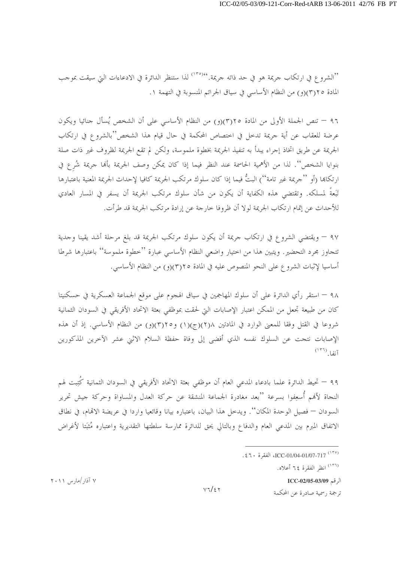''الشروع في ارتكاب جريمة هو في حد ذاته جريمة.''<sup>١٣٥)</sup>' لذا ستنظر الدائرة في الادعاءات التي سيقت بموجب المادة ٢٥(٣)(و) من النظام الأساسي في سياق الجرائم المنسوبة في التهمة ١.

٩٦ – تنص الجملة الأولى من المادة ٢٥(٣)(و) من النظام الأساسي على أن الشخص يُسأل جنائيا ويكون عرضة للعقاب عن أية جريمة تدخل في اختصاص المحكمة في حال قيام هذا الشخص"بالشروع في ارتكاب الجريمة عن طريق اتخاذ إجراء يبدأ به تنفيذ الجريمة بخطوة ملموسة، ولكن لم تقع الجريمة لظروف غير ذات صلة بنوايا الشخص''. لذا من الأهمية الحاسمة عند النظر فيما إذا كان يمكن وصف الجريمة بألها جريمة شُرع في ارتكاهِا (أو ''جريمة غير تامة'') البتُّ فيما إذا كان سلوك مرتكب الجريمة كافيا لإحداث الجريمة المعنية باعتبارها تَبَعةُ لمسلكه. وتقتضي هذه الكفاية أن يكون من شأن سلوك مرتكب الجريمة أن يسفر في المسار العادي للأحداث عن إتمام ارتكاب الجريمة لولا أن ظروفا حارجة عن إرادة مرتكب الجريمة قد طرأت.

٩٧ – ويقتضى الشروع في ارتكاب جريمة أن يكون سلوك مرتكب الجريمة قد بلغ مرحلة أشد يقينا وجدية تتجاوز مجرد التحضير . ويتبين هذا من احتيار واضعي النظام الأساسي عبارة ''خطوة ملموسة'' باعتبارها شرطا أساسيا لإثبات الشروع على النحو المنصوص عليه في المادة ٢٥(٣)(و) من النظام الأساسي.

٩٨ – استقر رأي الدائرة على أن سلوك المهاجمين في سياق الهجوم على موقع الجماعة العسكرية في حسكنيتا كان من طبيعة تجعل من الممكن اعتبار الإصابات التي لحقت بموظفى بعثة الاتحاد الأفريقي في السودان الثمانية شروعًا في القتل وفقًا للمعنى الوارد في المادتين ٢(٢)(ج)(١) و٢(٣)(و) من النظام الأساسي. إذ أن هذه الإصابات نتجت عن السلوك نفسه الذي أفضى إلى وفاة حفظة السلام الاثني عشر الآخرين المذكورين  $\left(1^{177}\right)$ 

٩٩ – تحيط الدائرة علما بادعاء المدعي العام أن موظفي بعثة الاتحاد الأفريقي في السودان الثمانية كُتِبت لهم النجاة لأفمم أُسعِفوا بسرعة ''بعد مغادرة الجماعة المنشقة عن حركة العدل والمساواة وحركة جيش تحرير السودان — فصيل الوحدة المكان''. ويدحل هذا البيان، باعتباره بيانا وقائعيا واردا في عريضة الاتمام، في نطاق الاتفاق المبرم بين المدعى العام والدفاع وبالتالي يحق للدائرة ممارسة سلطتها التقديرية واعتباره مُثبَتا لأغراض

(١٣٦) انظر الفقرة ٢٤ أعلاه.

الرقم ICC-02/05-03/09

ترجمة , سمية صادرة عن المحكمة

<sup>(</sup>١٣٥) ICC-01/04-01/07-717 الفقرة ٤٦٠).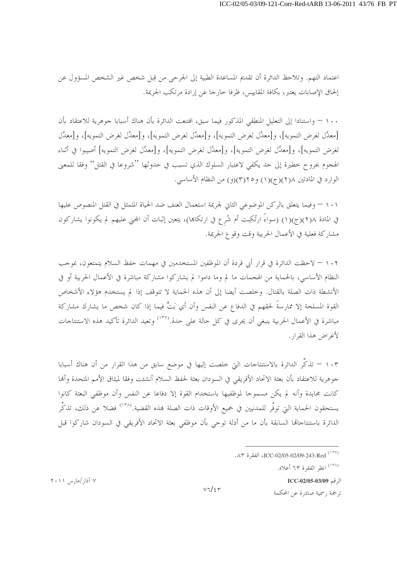اعتماد التهم. وتلاحظ الدائرة أن تقديم المساعدة الطبية إلى الجرحي من قِبل شخص غير الشخص المسؤول عن إلحاق الإصابات يعتبر، بكافة المقاييس، ظرفًا خارجًا عن إرادة مرتكب الجريمة.

١٠٠ – واستنادا إلى التعليل المنطقي المذكور فيما سبق، اقتنعت الدائرة بأن هناك أسبابا جوهرية للاعتقاد بأن [معدَّل لغرض التمويه]، و[معدَّل لغرض التمويه]، و[معدَّل لغرض التمويه]، و[معدَّل لغرض التمويه]، و[معدَّل لغرض التمويه]، و[معدَّل لغرض التمويه]، و[معدَّل لغرض التمويه]، و[معدَّل لغرض التمويه] أصيبوا في أثناء الهجوم بجروح خطيرة إلى حد يكفي لاعتبار السلوك الذي تسبب في حدوثها ''شروعا في القتل'' وفقا للمعنى الوارد في المادتين ١(٢)(ج)(١) و٢(٣)(و) من النظام الأساسي.

١٠١ – وفيما يتعلق بالركن الموضوعي الثاني لجريمة استعمال العنف ضد الحياة المتمثل في القتل المنصوص عليها في المادة ١(٢)(ج)(١) (سواءً ارتُكِبت أم شُرع في ارتكاها)، يتعين إثبات أن المحنى عليهم لم يكونوا يشاركون مشاركة فعلية في الأعمال الحربية وقت وقوع الجريمة.

١٠٢ – لاحظت الدائرة في قرار أبي قردة أن الموظفين المستخدمين في مهمات حفظ السلام يتمتعون، بموجب النظام الأساسي، بالحماية من الهجمات ما لم وما داموا لم يشاركوا مشاركة مباشرة في الأعمال الحربية أو في الأنشطة ذات الصلة بالقتال. وخلصت أيضا إلى أن هذه الحماية لا تتوقف إذا لم يستخدم هؤلاء الأشخاص القوة المسلحة إلا ممارسةً لحقهم في الدفاع عن النفس وأن أي بَتٍّ فيما إذا كان شخص ما يشارك مشاركة مباشرة في الأعمال الحربية ينبغي أن يجري في كل حالة على حدة.(١٣٧) وتعيد الدائرة تأكيد هذه الاستنتاجات لأغراض هذا القرار .

١٠٣ – تذكِّر الدائرة بالاستنتاجات التي خلصت إليها في موضع سابق من هذا القرار من أن هناك أسبابا جوهرية للاعتقاد بأن بعثة الاتحاد الأفريقي في السودان بعثة لحفظ السلام أنشئت وفقا لميثاق الأمم المتحدة وألها كانت محايدة وأنه لم يكن مسموحا لموظفيها باستخدام القوة إلا دفاعا عن النفس وأن موظفي البعثة كانوا يستحقون الحماية التي توفَّر للمدنيين في جميع الأوقات ذات الصلة بمذه القضية.(١٣٨) فضلا عن ذلك، تذكِّر الدائرة باستنتاجاها السابقة بأن ما من أدلة توحي بأن موظفي بعثة الاتحاد الأفريقي في السودان شاركوا قبل

الرقم ICC-02/05-03/09

ترجمة , سمية صادرة عن المحكمة

ICC-02/05-02/09-243-Red<sup>(۱۳۷)</sup>

<sup>(&</sup>lt;sup>١٣٨)</sup> انظر الفقرة ٦٣ أعلاه.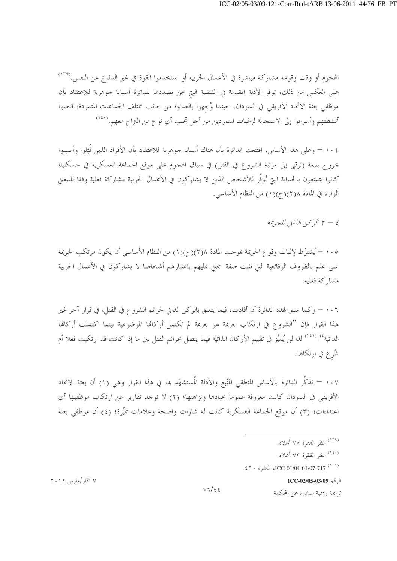الهجوم أو وقت وقوعه مشاركة مباشرة في الأعمال الحربية أو استخدموا القوة في غير الدفاع عن النفس.<sup>(۱۳۹</sup>) على العكس من ذلك، توفر الأدلة المقدمة في القضية التي نحن بصددها للدائرة أسبابا جوهرية للاعتقاد بأن موظفى بعثة الاتحاد الأفريقي في السودان، حينما وُجهوا بالعداوة من حانب مختلف الجماعات المتمردة، قلصوا أنشطتهم وأسرعوا إلى الاستجابة لرغبات المتمردين من أحل تجنب أي نوع من النزاع معهم.<sup>(١٤٠</sup>)

١٠٤ – وعلى هذا الأساس، اقتنعت الدائرة بأن هناك أسبابا حوهرية للاعتقاد بأن الأفراد الذين قَتِلوا وأصيبوا بجروح بليغة (ترقى إلى مرتبة الشروع في القتل) في سياق الهجوم على موقع الجماعة العسكرية في حسكنيتا كانوا يتمتعون بالحماية التي تُوفُّر للأشخاص الذين لا يشاركون في الأعمال الحربية مشاركة فعلية وفقا للمعنى الوارد في المادة ٢(٢)(ج)(١) من النظام الأساسي.

٤ – ٢ الركن الذاتي للجريمة

١٠٥ – يُشترَط لإثبات وقوع الجريمة بموجب المادة ٢(٢)(ج)(١) من النظام الأساسي أن يكون مرتكب الجريمة على علم بالظروف الوقائعية التي تثبت صفة المحيي عليهم باعتبارهم أشخاصا لا يشاركون في الأعمال الحربية مشاركة فعلية.

١٠٦ – وكما سبق لهذه الدائرة أن أفادت، فيما يتعلق بالركن الذاتي لجرائم الشروع في القتل، في قرار آخر غير هذا القرار فإن ''الشروع في ارتكاب جريمة هو جريمة لم تكتمل أركافما الموضوعية بينما اكتملت أركافما الذاتية''.<sup>(٤١)</sup> لذا لن يُميَّز في تقييم الأركان الذاتية فيما يتصل بجرائم القتل بين ما إذا كانت قد ارتكبت فعلا أم شُرع في ارتكاها.

١٠٧ — تذكُّر الدائرة بالأساس المنطقى المتَّبع والأدلة المُستشهَد بما في هذا القرار وهي (١) أن بعثة الاتحاد الأفريقي في السودان كانت معروفة عموما بحيادها ونزاهتها؛ (٢) لا توجد تقارير عن ارتكاب موظفيها أي اعتداءات؛ (٣) أن موقع الجماعة العسكرية كانت له شارات واضحة وعلامات ممَّةٍ ة؛ (٤) أن موظفي بعثة

- <sup>(۱۳۹)</sup> انظر الفقرة ۷۵ أعلاه.
- (<sup>١٤٠)</sup> انظر الفقرة ٧٣ أعلاه.
- (121) ICC-01/04-01/07-717 الفقرة ٤٦٠.

الرقم ICC-02/05-03/09

ترجمة , سمية صادرة عن المحكمة

۷ آذار /مارس ۲۰۱۱

 $V7/\epsilon$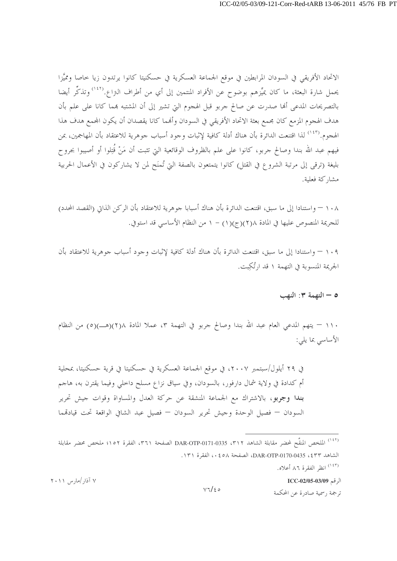الاتحاد الأفريقي في السودان المرابطين في موقع الجماعة العسكرية في حسكنيتا كانوا يرتدون زيا حاصا ومميَّزا يحمل شارة البعثة، ما كان يميِّزهم بوضوح عن الأفراد المنتمين إلى أي من أطراف التزاع.<sup>(١٤٢)</sup> وتذكِّر أيضا بالتصريحات المدعى ألها صدرت عن صالح جربو قبل الهجوم التي تشير إلى أن المشتبه بمما كانا على علم بأن هدف الهجوم المزمع كان مجمع بعثة الاتحاد الأفريقي في السودان وألهما كانا يقصدان أن يكون المحمع هدف هذا الهجوم.<sup>(١٤٣)</sup> لذا اقتنعت الدائرة بأن هناك أدلة كافية لإثبات وجود أسباب جوهرية للاعتقاد بأن المهاجمين، بمن فيهم عبد الله بندا وصالح حربو، كانوا على علم بالظروف الوقائعية التي تثبت أن مَنْ قُتِلوا أو أصيبوا بجروح بليغة (ترقى إلى مرتبة الشروع في القتل) كانوا يتمتعون بالصفة التي تُمنَح لمن لا يشاركون في الأعمال الحربية مشاركة فعلية.

١٠٨ – واستنادا إلى ما سبق، اقتنعت الدائرة بأن هناك أسبابا جوهرية للاعتقاد بأن الركن الذاتي (القصد المحدد) للجريمة المنصوص عليها في المادة ٢(٢)(ج)(١) - ١ من النظام الأساسي قد استوفي.

١٠٩ – واستنادا إلى ما سبق، اقتنعت الدائرة بأن هناك أدلة كافية لإثبات وجود أسباب جوهرية للاعتقاد بأن الجريمة المنسوبة في التهمة ١ قد ارتُكت.

#### ٥ - التهمة ٣: النهب

١١٠ – يتهم المدعى العام عبد الله بندا وصالح جربو في التهمة ٣، عملا المادة ٢١/(٥)(هـــ)(٥) من النظام الأساسي بما يلي:

في ٢٩ أيلول/سبتمبر ٢٠٠٧، في موقع الجماعة العسكرية في حسكنيتا في قرية حسكنيتا، بمحلية أم كدادة في ولاية شمال دارفور، بالسودان، وفي سياق نزاع مسلح داخلي وفيما يقترن به، هاجم بندا وجربو، بالاشتراك مع الجماعة المنشقة عن حركة العدل والمساواة وقوات جيش تحرير السودان — فصيل الوحدة وجيش تحرير السودان — فصيل عبد الشافي الواقعة تحت قيادقمما

(<sup>١٤٣)</sup> انظ الفقرة ٨٦ أعلاه.

الرقم ICC-02/05-03/09

<sup>&</sup>lt;sup>(١٤٢)</sup> الملخص المنقَّح لمحضر مقابلة الشاهد DAR-OTP-0171-0335 ، ٣١٢ الصفحة ٣٦١، الفقرة ١٥٢؛ ملخص محضر مقابلة الشاهد ٤٣٣، DAR-OTP-0170-0435، الصفحة ٥٨، الفقرة ١٣١.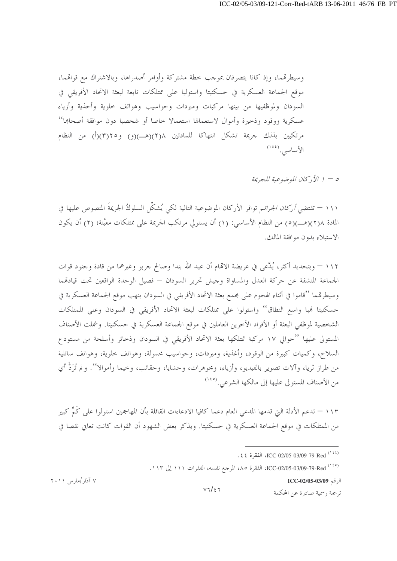وسيطرقمما، وإذ كانا يتصرفان بموجب حطة مشتركة وأوامر أصدراها، وبالاشتراك مع قواقمما، موقع الجماعة العسكرية في حسكنيتا واستوليا على ممتلكات تابعة لبعثة الاتحاد الأفريقي في السودان ولموظفيها من بينها مركبات ومبردات وحواسيب وهواتف حلوية وأحذية وأزياء عسكرية ووقود وذحيرة وأموال لاستعمالها استعمالا حاصا أو شخصيا دون موافقة أصحاها'' مرتكبين بذلك جريمة تشكل انتهاكا للمادتين ٢١٨(هـــ)(و) و٢٥(٣)(أ) من النظام الأساسى. (١٤٤)

0 – ١ الأ رحمان الموضوعية للجريمة

١١١ – تقتضى *أركان الجرائ*م توافر الأركان الموضوعية التالية لكي يُشكِّل السلوكُ الجريمةَ المنصوص عليها في المادة ٢(٢)(هــ)(٥) من النظام الأساسي: (١) أن يستولى مرتكب الجريمة على ممتلكات معيَّنة؛ (٢) أن يكون الاستبلاء بدون موافقة المالك.

١١٢ – وبتحديد أكثر، يُدَّعى في عريضة الإقمام أن عبد الله بندا وصالح جربو وغيرهما من قادة وجنود قوات الجماعة المنشقة عن حركة العدل والمساواة وجيش تحرير السودان — فصيل الوحدة الواقعين تحت قيادقمما وسيطرقمما ''قاموا في أثناء الهجوم على مجمع بعثة الاتحاد الأفريقي في السودان بنهب موقع الجماعة العسكرية في حسكنيتا فمبا واسع النطاق'' واستولوا على ممتلكات لبعثة الاتحاد الأفريقي في السودان وعلى الممتلكات الشخصية لموظفي البعثة أو الأفراد الآخرين العاملين في موقع الجماعة العسكرية في حسكنيتا. وشملت الأصناف المستولى عليها ''حوالي ١٧ مركبة تمتلكها بعثة الاتحاد الأفريقي في السودان وذحائر وأسلحة من مستودع السلاح، وكميات كبيرة من الوقود، وأغذية، ومبردات، وحواسيب محمولة، وهواتف حلوية، وهواتف ساتلية من طراز ثريا، وآلات تصوير بالفيديو، وأزياء، ومجوهرات، وحشايا، وحقائب، وخيما وأموالا''. ولم تُرَدُّ أي من الأصناف المستولى عليها إلى مالكها الشرعي. (<sup>١٤٥</sup>)

١١٣ – تدعم الأدلة التي قدمها المدعى العام دعما كافيا الادعاءات القائلة بأن المهاجمين استولوا على كَمٍّ كبير من الممتلكات في موقع الجماعة العسكرية في حسكنيتا. ويذكر بعض الشهود أن القوات كانت تعاني نقصا في

الرقم ICC-02/05-03/09

ترجمة , سمية صادرة عن المحكمة

<sup>.</sup> ٤٤) ICC-02/05-03/09-79-Red الفقرة ٤٤.

<sup>(120)</sup> ICC-02/05-03/09-79-Red، الفقرة ٨٥، المرجع نفسه، الفقرات ١١١ إلى ١١٣.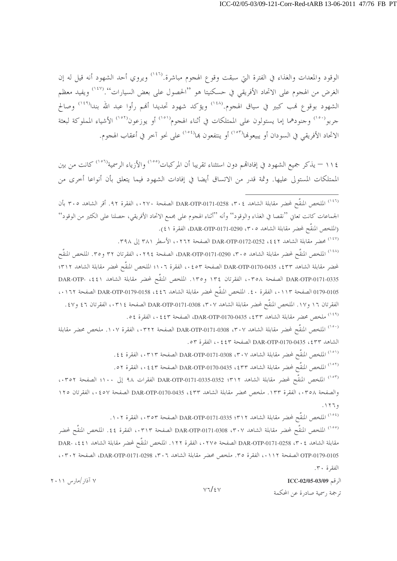الوقود والمعدات والغذاء في الفترة التي سبقت وقوع الهجوم مباشرة.<sup>(١٤٦)</sup> ويروي أحد الشهود أنه قيل له إن الغرض من الهجوم على الاتحاد الأفريقي في حسكنيتا هو ''الحصول على بعض السيارات''.<sup>(١٤٧</sup>) ويفيد معظم الشهود بوقوع نمب كبير في سياق الهجوم.<sup>(١٤٨)</sup> ويؤكد شهود تحديدا أنهم رأوا عبد الله بندا<sup>(١٤٩)</sup> وصالح حربو<sup>١٥٠</sup>) وحنودهما إما يستولون على الممتلكات في أثناء الهجوم<sup>(١٥١)</sup> أو يوزعون<sup>(١٥٢)</sup> الأشياء المملوكة لبعثة الاتحاد الأفريقي في السودان أو يبيعونها<sup>(١٥٢)</sup> أو ينتفعون بما<sup>(١٥٤)</sup> على نحو آخر في أعقاب الهجوم.

١١٤ – يذكر جميع الشهود في إفاداقمم دون استثناء تقريبا أن المركبات<sup>(١٥٥)</sup> والأزياء الرسمية<sup>(١٥٦)</sup> كانت من بين الممتلكات المستولى عليها. وثمة قدر من الاتساق أيضا في إفادات الشهود فيما يتعلق بأن أنواعا أخرى من

رد .<br>(<sup>١٤٦)</sup> الملخص المنقَّح لمحضر مقابلة الشاهد DAR-OTP-0171-0258 ، ٣٠٤ الصفحة ٠٢٧٠، الفقرة ٩٢. أقر الشاهد ٣٠٥ بأن الجماعات كانت تعانى ''نقصا في الغذاء والوقود'' وأنه ''أثناء الهجوم على مجمع الاتحاد الأفريقي، حصلنا على الكثير من الوقود'' (الملخص المنقَّح لمحضر مقابلة الشاهد ٣٠٥، DAR-OTP-0171-0290، الفقرة ٤١). .<br>(<sup>١٤٧)</sup> محضر مقابلة الشاهد 2\$2، DAR-OTP-0172-0252 الصفحة ٢٦٢،، الأسطر ٣٨١ إلى ٣٩٨. <sup>(١٤٨)</sup> الملخص المنقَّح لمحضر مقابلة الشاهد ٢٠٥، DAR-OTP-0171-0290، الصفحة ٢٢٩٤،، الفقرتان ٣٢ و٣٥. الملخص المنقَّح لمحضر مقابلة الشاهد DAR-OTP-0170-0435 ، \$ 0 × 0 × 0 ، الفقرة ١٠٦؛ الملخص المنقَّح لمحضر مقابلة الشاهد ٣١٢؛ DAR-OTP-0171-0335 الصفحة ٢٥٨، الفقرتان ١٣٤ و١٣٥. الملخص المنقَّح لمحضر مقابلة الشاهد DAR-OTP- ، ٤٤١ 0179-0105 الصفحة ١١٣،، الفقرة ٤٠. الملخص المنقَّح لمحضر مقابلة الشاهد 1 ٤٤، DAR-OTP-0179-0158 الصفحة ١٦٢، ، الفقرتان ١٦ و١٧. الملخص المنقَّح لمحضر مقابلة الشاهد ٣٠٧، DAR-OTP-0171-0308 الصفحة ٠٣١٤، الفقرتان ٤٦ و٤٧. <sup>(١٤٩)</sup> ملخص محضر مقابلة الشاهد DAR-OTP-0170-0435، \$٣٣، الفقرة ٥٤. <sup>(١٥٠)</sup> الملخص المنقَّح لمحضر مقابلة الشاهد DAR-OTP-0171-0308 ،۳۰۷ الصفحة ۰۳۲۲، الفقرة ۱۰۷. ملخص محضر مقابلة الشاهد pAR-OTP-0170-0435 ، \$ 23 ) . • { الصفحة ٤٤٣ ، ، الفقر ة ٥٣. (<sup>١٥١)</sup> الملخص المنقَّح لمحضر مقابلة الشاهد DAR-OTP-0171-0308 ،۳۰۷ الصفحة ۰،۳۱۳، الفقرة ٤٤. <sup>(١٥٢)</sup> الملخص المنقَّح لمحضر مقابلة الشاهد DAR-OTP-0170-0435 ، \$ 17 الصفحة ٤٤٣، الفقرة ٥٢. <sup>(١٥٢)</sup> الملخص المنقَّح لمحضر مقابلة الشاهد DAR-OTP-0171-0335-0352 . 1. الله علي ١٠٠؛ الصفحة ٣٥٢.، والصفحة ٢٥٨،، الفقرة ١٣٣. ملخص محضر مقابلة الشاهد ٤٣٣، 135،-170-DAR-OTP-0170 الصفحة ٤٥٧، الفقرتان ١٢٥  $.1779$ <sup>(١٥٤)</sup> الملخص المنقَّح لمحضر مقابلة الشاهد DAR-OTP-0171-0335 :٣١٢ الصفحة ٠٣٥٣، الفقرة ١٠٢. <sup>(١٥٥)</sup> الملخص المنقَّح لمحضر مقابلة الشاهد DAR-OTP-0171-0308 ، ٣٠٧ الصفحة ٠٣١٣، الفقرة ٤٤. الملخص المنقَّح لمحضر مقابلة الشاهد 1 × 0. DAR-OTP-0171-0258 الصفحة ١٢٧٥، الفقرة ١٢٢. الملخص المنقَّح لمحضر مقابلة الشاهد 1 £ 4، DAR OTP-0179-0105 الصفحة ٠١١٢، الفقرة ٣٥. ملخص محضر مقابلة الشاهد ٥٣٠٦، DAR-OTP-0171-0298، الصفحة ٠٣٠٢،

الفقرة ٣٠.

 $\text{ICC-02/05-03/09}$  الرقم

ترجمة , سمية صادرة عن المحكمة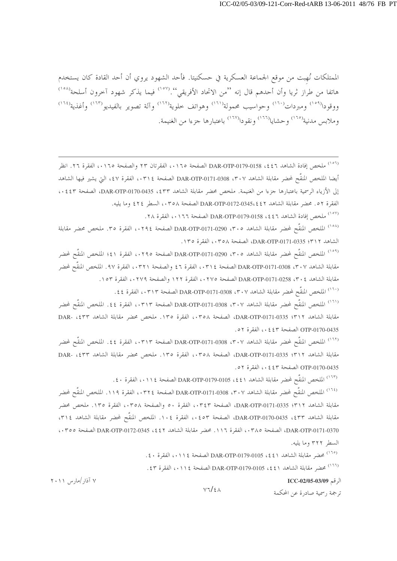الممتلكات نُهبت من موقع الجماعة العسكرية في حسكنيتا. فأحد الشهود يروي أن أحد القادة كان يستخدم هاتفا من طراز ثريا وأن أحدهم قال إنه ''من الاتحاد الأفريقي''.('`` فيما يذكر شهود آخرون أسلحة'<sup>(١٥٨</sup>) ووقودا<sup>(٥٩)</sup> ومبردات<sup>(٦٠)</sup> وحواسيب محمولة<sup>(٦٦١)</sup> وهواتف خلوية<sup>(٦٢)</sup> وآلة تصوير بالفيديو<sup>(٦٦٢)</sup> وأغذية<sup>(٦٦٤)</sup> وملابس مدنية<sup>(١٦٥)</sup> وحشايا<sup>(١٦٦)</sup> ونقودا<sup>(١٦٧)</sup> باعتبارها جزءا من الغنيمة.

<sup>(٥٦)</sup> ملخص إفادة الشاهد DAR-OTP-0179-0158 ، \$ £ 1 الصفحة ١٦٥، الفقرتان ٢٣ والصفحة ١٦٥، الفقرة ٢٦. انظر أيضا الملخص المنقَّح لمحضر مقابلة الشاهد ٣٠٧، DAR-OTP-0171-0308 الصفحة ٠٣١٤، الفقرة ٤٧، التي يشير فيها الشاهد إلى الأزياء الرسمية باعتبارها جزءا من الغنيمة. ملخص محضر مقابلة الشاهد ٤٣٣، DAR-OTP-0170-0435، الصفحة ٤٤٣.، الفقرة ٥٢. محضر مقابلة الشاهد DAR-OTP-0172-0345، ٤٢ الصفحة ٢٥٨، السطر ٢٤٤ وما يليه.

(<sup>١٥٧)</sup> ملخص إفادة الشاهد DAR-OTP-0179-0158 ، £ £ 1 الصفحة ١٦٦، الفقرة ٢٨.

<sup>(١٥٨)</sup> الملخص المنقَّح لمحضر مقابلة الشاهد DAR-OTP-0171-0290 ، ٣٠٥ الصفحة ٠٢٩٤، الفقرة ٣٥. ملخص محضر مقابلة الشاهد ٣١٢؛ DAR-OTP-0171-0335، الصفحة ٣٥٨، الفقرة ١٣٥.

<sup>(١٥٩)</sup> الملخص المنقَّح لمحضر مقابلة الشاهد DAR-OTP-0171-0290 ، ٣٠٥ الصفحة ١٤٩٥، الفقرة ٤١؛ الملخص المنقَّح لمحضر مقابلة الشاهد ٢٠٧، DAR-OTP-0171-0308 الصفحة ٣١٤، الفقرة ٤٦ والصفحة ٢٣٢١، الفقرة ٩٧. الملخص المنقَّح لمحضر مقابلة الشاهد ٢٠٤، DAR-OTP-0171-0258 الصفحة ٢٧٥، الفقرة ١٢٢ والصفحة ٢٧٩،، الفقرة ١٥٣.

<sup>(١٦٠)</sup> الملخص المنقَّح لمحضر مقابلة الشاهد ٣٠٧، DAR-OTP-0171-0308 الصفحة ٠٣١٣، الفقرة ٤٤.

<sup>(١٦١)</sup> الملخص المنقَّح لمحضر مقابلة الشاهد DAR-OTP-0171-0308 ، ٣٠٧ الصفحة ٠٣١٣، الفقرة ٤٤. الملخص المنقَّح لمحضر مقابلة الشاهد P171-0335، DAR-OTP-0171-0335، الصفحة ٢٥٨، الفقرة ١٣٥. ملخص محضر مقابلة الشاهد DAR- ،٤٣٣ OTP-0170-0435 الصفحة ٤٤٣، الفقرة ٥٢.

<sup>(١٦٢)</sup> الملخص المنقَّح لمحضر مقابلة الشاهد DAR-OTP-0171-0308 ،۳۰۷ الصفحة ۰۳۱۳، الفقرة ٤٤. الملخص المنقَّح لمحضر مقابلة الشاهد DAR-OTP-0171-0335 :٣١٢، الصفحة ٣٥٨، الفقرة ١٣٥. ملخص محضر مقابلة الشاهد DAR- ،٤٣٣ OTP-0170-0435 الصفحة ٤٤٣، الفقرة ٥٢.

(<sup>١٦٢)</sup> الملخص المنقَّح لمحضر مقابلة الشاهد DAR-OTP-0179-0105 ، \$ 4 ، 1 ، الفقرة ٤٠ .

<sup>(٦٤)</sup> الملخص المنقَّح لمحضر مقابلة الشاهد DAR-OTP-0171-0308 ،۳۰۷ الصفحة ٠٣٢٤، الفقرة ١١٩. الملخص المنقَّح لمحضر مقابلة الشاهد ٣١٢؛ DAR-OTP-0171-0335، الصفحة ٠٣٤٣، الفقرة ٥٠ والصفحة ٠٣٥٨، الفقرة ١٣٥. ملخص محضر مقابلة الشاهد ٤٣٣، DAR-OTP-0170-0435، الصفحة ٥٣، ١ الفقرة ١٠٤. الملخص المنقَّح لمحضر مقابلة الشاهد ٣١٤، DAR-OTP-0171-0370، الصفحة ٢٨٥، الفقرة ١١٦. محضر مقابلة الشاهد 1٤٤٢، DAR-OTP-0172-0345 الصفحة ٣٥٥، السطر ٣٢٢ وما يليه.

 $V7/\epsilon$ 

(<sup>١٦٥)</sup> محضر مقابلة الشاهد DAR-OTP-0179-0105 ، { { | الصفحة ١١١٤، الفقرة ٤٠}.

(<sup>٢٦١)</sup> محضر مقابلة الشاهد DAR-OTP-0179-0105 ، ٤٤١ الصفحة ١١١٤، الفقرة ٤٣.

الرقم ICC-02/05-03/09

ترجمة , سمية صاد, ة عن المحكمة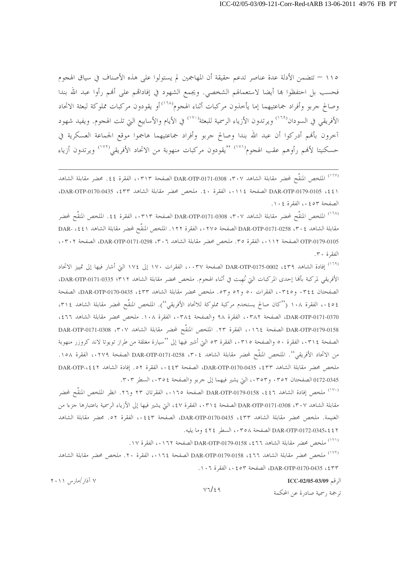١١٥ – تتضمن الأدلة عدة عناصر تدعم حقيقة أن المهاجمين لم يستولوا على هذه الأصناف في سياق الهجوم فحسب بل احتفظوا ها أيضا لاستعمالهم الشخصي. ويجمع الشهود في إفاداقمم على أفمم رأوا عبد الله بندا وصالح جربو وأفراد جماعتيهما إما يأخذون مركبات أثناء الهجوم````) أو يقودون مركبات مملوكة لبعثة الاتحاد الأفريقي في السودان<sup>(٢٩)</sup> ويرتدون الأزياء الرسمية للبعثة<sup>(٧٧٠)</sup> في الأيام والأسابيع التي تلت الهجوم. ويفيد شهود آخرون بألهم أدركوا أن عبد الله بندا وصالح جربو وأفراد جماعتيهما هاجموا موقع الجماعة العسكرية في حسكنيتا لأفمم رأوهم عقب الهجوم<sup>(٧٧١)</sup> "يقودون مركبات منهوبة من الاتحاد الأفريقي<sup>(٧٧٢)</sup> ويرتدون أزياء

<sup>(١٦٧)</sup> الملخص المنقَّح لمحضر مقابلة الشاهد DAR-OTP-0171-0308 ،۳۰۷ الصفحة ٠،٣١٣، الفقرة ٤٤. محضر مقابلة الشاهد (٤٤) DAR-OTP-0179-0105، الصفحة ١١٤، الفقرة ٤٠. ملخص محضر مقابلة الشاهد DAR-OTP-0170-0435، الصفحة ٥٢، ١ الفقرة ١٠٤.

<sup>(١٦٨)</sup> الملخص المنقَّح لمحضر مقابلة الشاهد DAR-OTP-0171-0308 ،۳۰۷ الصفحة ۰۳۱۳، الفقرة ٤٤. الملخص المنقَّح لمحضر مقابلة الشاهد ٢٠٤، DAR-OTP-0171-0258 الصفحة ٢٧٥،، الفقرة ١٢٢. الملخص المنقَّح لمحضر مقابلة الشاهد DAR- ،٤٤١ OTP-0179-0105 الصفحة ٠١١٢، الفقرة ٣٥. ملخص محضر مقابلة الشاهد ٥٣٠٦، DAR-OTP-0171-0298، الصفحة ٠٣٠٢، الفقرة ٣٠.

<sup>(١٦٩)</sup> إفادة الشاهد DAR-OTP-0175-0002 ، ٤٣٩ الصفحة ٠٠٣٧، الفقرات ١٧٠ إلى ١٧٤ التي أشار فيها إلى تمييز الاتحاد الأفريقي لمركبة بألها إحدى المركبات التي نُهبت في أثناء الهجوم. ملخص محضر مقابلة الشاهد DAR-OTP-0171-0335 : 37 الصفحتان ٢٤٤. و٢٤٥.، الفقرات ٥٠ و٥٢ و٥٣. ملخص محضر مقابلة الشاهد DAR-OTP-0170-0435، 2٣٣، الصفحة ٤٥٤.، الفقرة ١٠٨ (''كان صالح يستخدم مركبة مملوكة للاتحاد الأفريقي''). الملخص المنقَّح لمحضر مقابلة الشاهد ٣١٤، DAR-OTP-0171-0370، الصفحة ٠٣٨٢، الفقرة ٩٨ والصفحة ٠٣٨٤، الفقرة ١٠٨. ملخص محضر مقابلة الشاهد ٤٦٦، DAR-OTP-0179-0158 الصفحة ١٦٤،، الفقرة ٢٣. الملخص المنقَّح لمحضر مقابلة الشاهد ٣٠٧، DAR-OTP-0171-0308 الصفحة ٠٣١٤، الفقرة ٥٠ والصفحة ٠٣١٥، الفقرة ٥٣ التي أشير فيها إلى ''سيارة مغلقة من طراز تويوتا لاند كروزر منهوبة من الاتحاد الأفريقي''. الملخص المنقَّح لمحضر مقابلة الشاهد ٣٠٤، DAR-OTP-0171-0258 الصفحة ٠٢٧٩، الفقرة ١٥٨. ملخص محضر مقابلة الشاهد DAR-OTP-0170-0435، 253، الصفحة ٤٤٣، الفقرة ٥٢. إفادة الشاهد DAR-OTP-،٤٤٢ 0172-0345 الصفحتان ٣٥٢. و٢٥٣،، التي يشير فيهما إلى جربو والصفحة ٢٥٤،، السطر ٣٠٣.

<sup>(١٧٠)</sup> ملخص إفادة الشاهد 13t، DAR-OTP-0179-0158 الصفحة ١٦٥، الفقرتان ٢٣ و٢٦. انظر الملخص المنقَّح لمحضر مقابلة الشاهد ٣٠٧، DAR-OTP-0171-0308 الصفحة ٣١٤، الفقرة ٤٧، التي يشير فيها إلى الأزياء الرسمية باعتبارها حزءا من الغنيمة. ملخص محضر مقابلة الشاهد DAR-OTP-0170-0435، 2 الصفحة ١٤٤٣.، الفقرة ٥٢. محضر مقابلة الشاهد DAR-OTP-0172-0345، £ 1 2 الصفحة ٢٥٨، السطر ٤٢٤ وما يليه.

. (<sup>١٧١)</sup> ملخص محضر مقابلة الشاهد DAR-OTP-0179-0158 ، \$ 17 الصفحة ١٧٢، الفقرة ١٧.

<sup>(١٧٢)</sup> ملخص محضر مقابلة الشاهد DAR-OTP-0179-0158 ، \$ 1 الصفحة ١٦٤، الفقرة ٢٠. ملخص محضر مقابلة الشاهد DAR-OTP-0170-0435 ، £ ٣٣)، الصفحة ٥٣، ١٠٦، الفقرة ١٠٦.

الرقم ICC-02/05-03/09

 $V7/\epsilon$ 9 ترجمة , سمية صادرة عن المحكمة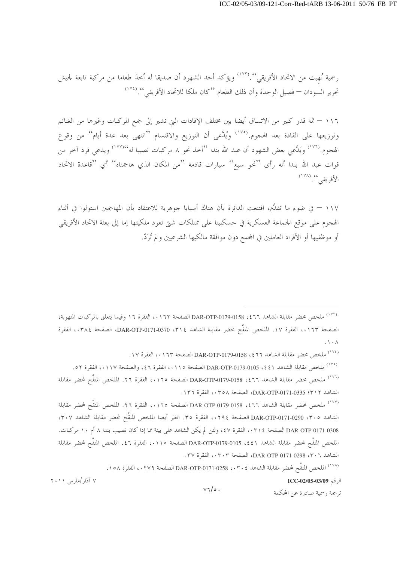رسمية نُهبت من الاتحاد الأفريقي''.('``` ويؤكد أحد الشهود أن صديقا له أخذ طعاما من مركبة تابعة لجيش تحرير السودان — فصيل الوحدة وأن ذلك الطعام ''كان ملكا للاتحاد الأفريقي''. (١٧٤)

١١٦ – ثمة قدر كبير من الاتساق أيضا بين مختلف الإفادات التي تشير إلى جمع المركبات وغيرها من الغنائم وتوزيعها على القادة بعد الهجوم. ```` ويُدَّعى أن التوزيع والاقتسام ``انتهى بعد عدة أيام'' من وقوع الهجوم.<sup>(١٧٦</sup>) ويَلَّعي بعض الشهود أن عبد الله بندا ''أخذ نحو ٨ مركبات نصيبا له'<sup>١٧٧)</sup>' ويدعى فرد آخر من قوات عبد الله بندا أنه رأى ''نحو سبع'' سيارات قادمة ''من المكان الذي هاجمناه'' أي ''قاعدة الاتحاد الأفريقي '' (<sup>١٧٨</sup>)

١١٧ – في ضوء ما تقلَّم، اقتنعت الدائرة بأن هناك أسبابا جوهرية للاعتقاد بأن المهاجمين استولوا في أثناء الهجوم على موقع الجماعة العسكرية في حسكنيتا على ممتلكات شتى تعود ملكيتها إما إلى بعثة الاتحاد الأفريقي أو موظفيها أو الأفراد العاملين في المجمع دون موافقة مالكيها الشرعيين و لم تُرَدّ.

<sup>(١٧٤)</sup> ملخص محضر مقابلة الشاهد DAR-OTP-0179-0158 ، { 7 أَلْصِفَحَة ١٢٣، الفقرة ١٧.

(°<sup>٧٧)</sup> ملخص مقابلة الشاهد DAR-OTP-0179-0105 ، ٤٤١ الصفحة ١١٠٥، الفقرة ٤٦، والصفحة ١١٧، الفقرة ٥٢. <sup>(١٧٦)</sup> ملخص محضر مقابلة الشاهد DAR-OTP-0179-0158 ، \$ 17 الصفحة ١٦٥،، الفقرة ٢٦. الملخص المنقّح لمحضر مقابلة الشاهد DAR-OTP-0171-0335 (٣١٢، الصفحة ٢٥٨، الفقرة ١٣٦.

<sup>(١٧٧)</sup> ملخص محضر مقابلة الشاهد DAR-OTP-0179-0158 ، ٤٦٦ الصفحة ١٦٥،، الفقرة ٢٦. الملخص المنقَّح لمحضر مقابلة الشاهد P·0 » DAR-OTP-0171-0290 الصفحة ١٢٩٤، الفقرة ٣٥. انظر أيضا الملخص المنقَّح لمحضر مقابلة الشاهد ٣٠٧، DAR-OTP-0171-0308 الصفحة ٠٣١٤، الفقرة ٤٧، ولئن لم يكن الشاهد على بينة مما إذا كان نصيب بندا ٨ أم ١٠ مركبات. الملحص المنقَّح لمحضر مقابلة الشاهد DAR-OTP-0179-0105 ، \$ 2 الصفحة ١١٥،، الفقرة ٤٦. الملخص المنقَّح لمحضر مقابلة الشاهد ٣٠٦، DAR-OTP-0171-0298، الصفحة ٠٣٠٣، الفقرة ٣٧.

۷ آذار /مارس ۲۰۱۱

.<br>(<sup>١٧٨)</sup> الملخص المنقَّح لمحضر مقابلة الشاهد DAR-OTP-0171-0258 ، ٣٠٤ مقطعة ٠٢٧٩، الفقرة ١٥٨.

 $V\mathbb{I}/\circ$ .

الرقم ICC-02/05-03/09

<sup>&</sup>lt;sup>(١٧٣)</sup> ملخص محضر مقابلة الشاهد DAR-OTP-0179-0158 ، \$ 17 الصفحة ١٦٢، الفقرة ١٦ وفيما يتعلق بالمركبات المنهوبة، الصفحة ١٦٣،، الفقرة ١٧. الملخص المنقَّح لمحضر مقابلة الشاهد ٣١٤، DAR-OTP-0171-0370، الصفحة ٠٣٨٤، الفقرة  $\Lambda$  .  $\Lambda$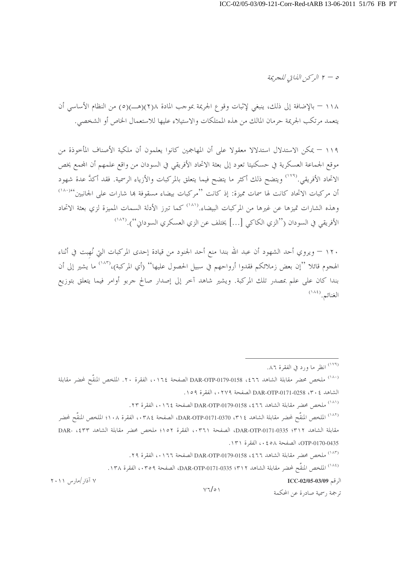$$
\mathcal{L} = \mathcal{L} \cup \left( \mathcal{L} \cup \mathcal{L} \cup \mathcal{L} \right)
$$

١١٨ – بالإضافة إلى ذلك، ينبغي لإثبات وقوع الجريمة بموجب المادة ٢(٢)(هـــ)(٥) من النظام الأساسي أن يتعمد مرتكب الجريمة حرمان المالك من هذه الممتلكات والاستيلاء عليها للاستعمال الخاص أو الشخصي.

١١٩ – يمكن الاستدلال استدلالا معقولا على أن المهاجمين كانوا يعلمون أن ملكية الأصناف المأخوذة من موقع الجماعة العسكرية في حسكنيتا تعود إلى بعثة الاتحاد الأفريقي في السودان من واقع علمهم أن المجمع يخص الاتحاد الأفريقي.<sup>(١٧٩)</sup> ويتضح ذلك أكثر ما يتضح فيما يتعلق بالمركبات والأزياء الرسمية. فقد أكدَّ عدة شهود أن مركبات الاتحاد كانت لها سمات مميزة: إذ كانت ''مركبات بيضاء مسقوفة بما شارات على الجانبين'<sup>١٨٠</sup>١<sup>٨</sup>' وهذه الشارات تميزها عن غيرها من المركبات البيضاء.<sup>(١٨١</sup>) كما تبرز الأدلة السمات المميزة لزي بعثة الاتحاد الأفريقي في السودان (''الزي الكاكي […] يختلف عن الزي العسكري السودان'').''```

١٢٠ – ويروي أحد الشهود أن عبد الله بندا منع أحد الجنود من قيادة إحدى المركبات التي نُهبت في أثناء الهجوم قائلا ''إن بعض زملائكم فقدوا أرواحهم في سبيل الحصول عليها'' (أي المركبة)،''<sup>١٨٣)</sup> ما يشير إلى أن بندا كان على علم بمصدر تلك المركبة. ويشير شاهد آخر إلى إصدار صالح جربو أوامر فيما يتعلق بتوزيع الغنائم. (١٨٤)

(١٨٣) ملخص محضر مقابلة الشاهد ٣٦٦، 158/0-179-DAR-OTP الصفحة ٠١٦٦، الفقرة ٢٩.

(<sup>١٨٤)</sup> الملخص المنقَّح لمحضر مقابلة الشاهد DAR-OTP-0171-0335 ؛ ٣١٢، الفقرة ١٣٨.

الرقم ICC-02/05-03/09

ترجمة , سمية صادرة عن المحكمة

<sup>.</sup>۸۶) انظر ما ورد في الفقرة ۸۲.

<sup>(&</sup>lt;sup>١٨٠)</sup> ملخص محضر مقابلة الشاهد DAR-OTP-0179-0158 ، \$ 1. الصفحة ١٦٤،، الفقرة ٢٠. الملخص المنقَّح لمحضر مقابلة الشاهد £ ٣٠٤ 0258-071-0258 الصفحة ٢٧٩،، الفقرة ١٥٩.

<sup>(&</sup>lt;sup>١٨١)</sup> ملخص محضر مقابلة الشاهد DAR-OTP-0179-0158 ، \$ 17 الصفحة ١٦٤. ، الفقرة ٢٣.

<sup>(&</sup>lt;sup>١٨٢)</sup> الملخص المنقَّح لمحضر مقابلة الشاهد DAR-OTP-0171-0370 ، T الصفحة ٠٣٨٤، الفقرة ١٠٨؛ الملخص المنقَّح لمحضر مقابلة الشاهد P171-0335، DAR-OTP-0171-0335، الصفحة ٣٦١، الفقرة ١٥٢؛ ملخص محضر مقابلة الشاهد DAR- ،٤٣٣ OTP-0170-0435، الصفحة ٥٨ ، • ، الفقرة ١٣١.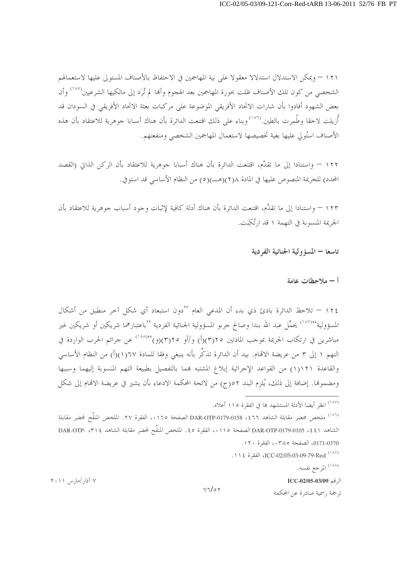١٢١ – ويمكن الاستدلال استدلالا معقولا على نية المهاجمين في الاحتفاظ بالأصناف المستولي عليها لاستعمالهم الشخصي من كون تلك الأصناف ظلت بحوزة المهاجمين بعد الهجوم وألها لم تُرَد إلى مالكيها الشرعيين<sup>(١٨٥</sup>) وأن بعض الشهود أفادوا بأن شارات الاتحاد الأفريقي الموضوعة على مركبات بعثة الاتحاد الأفريقي في السودان قد أُزيلت لاحقا وطُمِرت بالطين.<sup>(١٨٦</sup>) وبناء على ذلك اقتنعت الدائرة بأن هناك أسبابا جوهرية للاعتقاد بأن هذه الأصناف استُولى عليها بغية تخصيصها لاستعمال المهاجمين الشخصى ومنفعتهم.

١٢٢ – واستنادا إلى ما تقدَّم، اقتنعت الدائرة بأن هناك أسبابا جوهرية للاعتقاد بأن الركن الذاتي (القصد المحدد) للجريمة المنصوص عليها في المادة ٢(٢)(هـ)(٥) من النظام الأساسي قد استوفي.

١٢٣ – واستنادا إلى ما تقدَّم، اقتنعت الدائرة بأن هناك أدلة كافية لإثبات وجود أسباب جوهرية للاعتقاد بأن الجريمة المنسوبة في التهمة ١ قد ارتُكَنت.

#### تاسعا — المسؤ ولية الجنائية الفردية

#### أ – ملاحظات عامة

١٢٤ – تلاحظ الدائرة بادئ ذي بدء أن المدعى العام ''دون استبعاد أي شكل آخر منطبق من أشكال المسؤولية'<sup>١٨٧)</sup>° يحمِّل عبد الله بندا وصالح جربو المسؤولية الجنائية الفردية ''باعتبارهما شريكين أو شريكين غير مباشرين في ارتكاب الجريمة بموجب المادتين ٢٥(٣)(أ) و/أو ٢٥(٣)(و)'٨٨١٬٠) عن جرائم الحرب الواردة في التهم ١ إلى ٣ من عريضة الاتمام. بيد أن الدائرة تذكِّر بأنه ينبغي وفقا للمادة ٦٧(١)(أ) من النظام الأساسي والقاعدة ١١٢١(١) من القواعد الإجرائية إبلاغ المشتبه بمما بالتفصيل بطبيعة التهم المنسوبة إليهما وسببها ومضمولها. إضافة إلى ذلك، يُلزم البند ٥٢ج) من لائحة المحكمة الادعاء بأن يشير في عريضة الاقمام إلى شكل

ICC-02/05-03-09-79-Red (١٨٧). الفقرة ١١٤

<sup>(۱۸۸)</sup> المرجع نفسه.

الرقم ICC-02/05-03/09

ترجمة , سمية صادرة عن المحكمة

<sup>&</sup>lt;sup>(١٨٥</sup>) انظ أيضا الأدلة المستشهد ها في الفقرة ١١٥ أعلاه.

<sup>&</sup>lt;sup>(١٨٦)</sup> ملخص محضر مقابلة الشاهد DAR-OTP-0179-0158 ،٤٦٦ الصفحة ١٦٥،، الفقرة ٢٧. الملخص المنقَّح لمحضر مقابلة الشاهد DAR-OTP-0179-0105 ، \$ 1 \، الفقرة ٥ \$ . الملخص المنقَّح لمحضر مقابلة الشاهد DAR-OTP- ، ٣١ \$ ا 0171-0370، الصفحة ٠٣٨٥، الفقرة ١٢٠.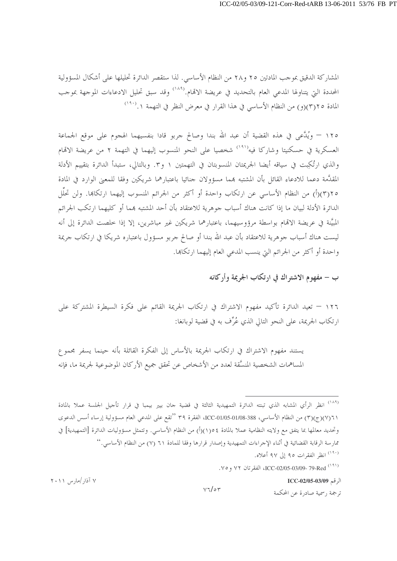المشاركة الدقيق بموجب المادتين ٢٥ و٢٨ من النظام الأساسي. لذا ستقصر الدائرة تحليلها على أشكال المسؤولية المحددة التي يتناولها المدعي العام بالتحديد في عريضة الاقمام.<sup>(١٨٩</sup>) وقد سبق تحليل الادعاءات الموجهة بموجب المادة ٢٥(٣)(و) من النظام الأساسي في هذا القرار في معرض النظر في التهمة ٠.(<sup>١٩٠)</sup>

١٢٥ – ويُلَّعى في هذه القضية أن عبد الله بندا وصالح جربو قادا بنفسيهما الهجوم على موقع الجماعة العسكرية في حسكنيتا وشاركا فيه<sup>(١٩١)</sup> شخصيا على النحو المنسوب إليهما في التهمة ٢ من عريضة الاتمام والذي ارتُكِبت في سياقه أيضا الجريمتان المنسوبتان في التهمتين ١ و٣. وبالتالي، ستبدأ الدائرة بتقييم الأدلة المقدَّمة دعما للادعاء القائل بأن المشتبه بمما مسؤولان جنائيا باعتبارهما شريكين وفقا للمعبي الوارد في المادة ٢٥(٣)(أ) من النظام الأساسي عن ارتكاب واحدة أو أكثر من الجرائم المنسوب إليهما ارتكاها. ولن تحلَّل الدائرة الأدلة لبيان ما إذا كانت هناك أسباب جوهرية للاعتقاد بأن أحد المشتبه بمما أو كليهما ارتكب الجرائم المبيَّنة في عريضة الإقمام بواسطة مرؤوسيهما، باعتبارهما شريكين غير مباشرين، إلا إذا خلصت الدائرة إلى أنه ليست هناك أسباب جوهرية للاعتقاد بأن عبد الله بندا أو صالح جربو مسؤول باعتباره شريكا في ارتكاب جريمة واحدة أو أكثر من الجرائم التي ينسب المدعى العام إليهما ارتكاها.

ب – مفهوم الاشته اك في ارتكاب الجريمة وأركانه

١٢٦ – تعيد الدائرة تأكيد مفهوم الاشتراك في ارتكاب الجريمة القائم على فكرة السيطرة المشتركة على ارتكاب الجريمة، على النحو التالي الذي عُرِّف به في قضية لوبانغا:

يستند مفهوم الاشتراك في ارتكاب الجريمة بالأساس إلى الفكرة القائلة بأنه حينما يسفر مجموع المساهمات الشخصية المنسَّقة لعدد من الأشخاص عن تحقق جميع الأركان الموضوعية لجريمة ما، فإنه

<sup>(١٨٩)</sup> انظر الرأي المشابه الذي تبنته الدائرة التمهيدية الثالثة في قضية حان بيير بيمبا في قرار تأحيل الجلسة عملا بالمادة ٢١(٧)(ج)(٣) من النظام الأساسي، 388-01/05-1020-ICC، الفقرة ٣٩ ''تقع على المدعي العام مسؤولية إرساء أسس الدعوى وتحديد معالمها بما يتفق مع ولايته النظامية عملا بالمادة ١٥(١)(أ) من النظام الأساسي. وتتمثل مسؤوليات الدائرة [التمهيدية] في ممارسة الرقابة القضائية في أثناء الإجراءات التمهيدية وإصدار قرارها وفقا للمادة ٦١ (٧) من النظام الأساسي.'' <sup>(١٩٠)</sup> انظر الفقرات ٩٥ إلى ٩٧ أعلاه.

. ٧٩١) ICC-02/05-03/09- 79-Red (١٩١) الفقر تان ٧٢ و ٧٥.

الرقم ICC-02/05-03/09

ترجمة , سمية صادرة عن المحكمة

۷ آذار /مارس ۲۰۱۱

 $V7/\circ 7$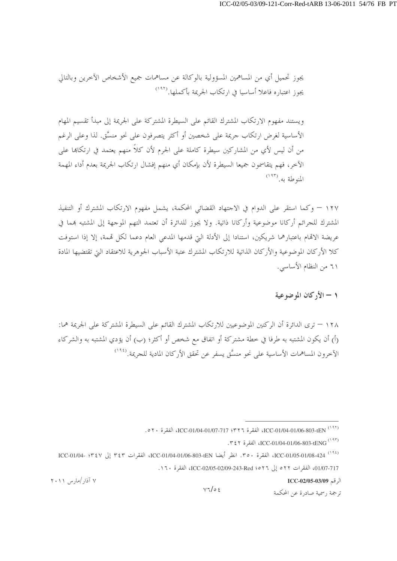يجوز تحميل أي من المساهمين المسؤولية بالوكالة عن مساهمات جميع الأشخاص الآخرين وبالتالي يجوز اعتباره فاعلا أساسيا في ارتكاب الجريمة بأكملها.<sup>(١٩٢</sup>)

ويستند مفهوم الارتكاب المشترك القائم على السيطرة المشتركة على الجريمة إلى مبدأ تقسيم المهام الأساسية لغرض ارتكاب جريمة على شخصين أو أكثر يتصرفون على نحو منسَّق. لذا وعلى الرغم من أن ليس لأي من المشاركين سيطرة كاملة على الجرم لأن كلاً منهم يعتمد في ارتكاها على الآخر، فهم يتقاسمون جميعا السيطرة لأن بإمكان أي منهم إفشال ارتكاب الجريمة بعدم أداء المهمة المنوطة به. (١٩٣)

١٢٧ – وكما استقر على الدوام في الاحتهاد القضائي المحكمة، يشمل مفهوم الارتكاب المشترك أو التنفيذ المشترك للجرائم أركانا موضوعية وأركانا ذاتية. ولا يجوز للدائرة أن تعتمد التهم الموجهة إلى المشتبه بمما في عريضة الاقمام باعتبارهما شريكين، استنادا إلى الأدلة التي قدمها المدعى العام دعما لكل قممة، إلا إذا استوفت كلا الأركان الموضوعية والأركان الذاتية للارتكاب المشترك عتبة الأسباب الجوهرية للاعتقاد التي تقتضيها المادة ٦١ من النظام الأساسي.

### ١ - الأركان الموضوعية

١٢٨ – ترى الدائرة أن الركنين الموضوعيين للارتكاب المشترك القائم على السيطرة المشتركة على الجريمة هما: (أ) أن يكون المشتبه به طرفا في خطة مشتركة أو اتفاق مع شخص أو أكثر؛ (ب) أن يؤدي المشتبه به والشركاء الآخرون المساهمات الأساسية على نحو منسَّق يسفر عن تحقق الأركان المادية للجريمة.<sup>(۱۹٤</sup>)

الرقم ICC-02/05-03/09

ترجمة , سمية صادرة عن المحكمة

<sup>(1971)</sup> ICC-01/04-01/06-803-tEN، الفقرة ٢٢٦؟ ICC-01/04-01/04-01/04، الفقرة ٥٢٠.

TENG (197)، الفقرة TCC-01/04-01/06-803-tENG

<sup>(193)</sup> ICC-01/05-01/08-424، انظر أيضا ICC-01/04-01/06-803-tEN، الفقرات ٣٤٣ إلى ٢٤٧؛ ICC-01/04- 11/04-01/07-717، الفقرات ٥٢٢ إلى ١٥٢٦-243-209-243-20205، الفقرة ١٦٠.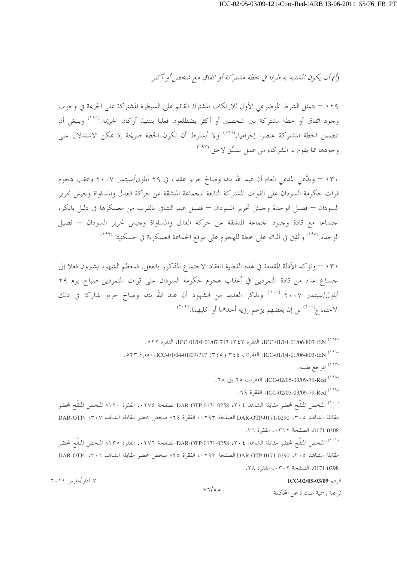(أ) أن يكون المشتبه به طرفا في حطة مشتركة أو اتفاق مع شخص أو أكثر

١٢٩ – يتمثل الشرط الموضوعي الأول للارتكاب المشترك القائم على السيطرة المشتركة على الجريمة في وجوب وجود اتفاق أو خطة مشتركة بين شخصين أو أكثر يضطلعون فعليا بتنفيذ أركان الجريمة.<sup>(١٩٥)</sup> وينبغي أن تتضمن الخطة المشتركة عنصرا إجراميا.<sup>(١٩٦</sup>) ولا يُشتَرط أن تكون الخطة صريحة إذ يمكن الاستدلال على وجودها مما يقوم به الشركاء من عمل منسَّق لاحق.<sup>(۱۹۷</sup>)

١٣٠ – ويدَّعي المدعى العام أن عبد الله بندا وصالح جربو عقدا، في ٢٩ أيلول/سبتمبر ٢٠٠٧ وعقب هجوم قوات حكومة السودان على القوات المشتركة التابعة للجماعة المنشقة عن حركة العدل والمساواة وجيش تحرير السودان — فصيل الوحدة وجيش تحرير السودان — فصيل عبد الشافي بالقرب من معسكرها في دليل بابكر، اجتماعا مع قادة وجنود الجماعة المنشقة عن حركة العدل والمساواة وجيش تحرير السودان — فصيل الوحدة.<sup>(١٩٨)</sup> واتُفِق في أثنائه على خطة للهجوم على موقع الجماعة العسكرية في حسكنيتا.<sup>(١٩٩</sup>′)

١٣١ – وتؤكد الأدلة المقدمة في هذه القضية انعقاد الاجتماع المذكور بالفعل. فمعظم الشهود يشيرون فعلا إلى اجتماع عدد من قادة المتمردين في أعقاب هجوم حكومة السودان على قوات المتمردين صباح يوم ٢٩ أيلول/سبتمبر ٢٠٠٧. (٢٠٠) ويذكر العديد من الشهود أن عبد الله بندا وصالح جربو شاركا في ذلك الاجتماع<sup>(٢٠١)</sup> بل إن بعضهم يزعم رؤية أحدهما أو كليهما.<sup>(٢٠٢)</sup>

011) ICC-01/04-01/06-803-tEN ، الفقرة ٣٤٣؛ ICC-01/04-01/07-717، الفقرة ٥٢٢.

(٢٩٦) ICC-01/04-01/06-803-tEN، الفقرتان ٢٤٤ و ٢٤٥: ICC-01/04-01/07-717، الفقرة ٥٢٣.

(<sup>١٩٧)</sup> المرجع نفسه.

(<sup>١٩٨)</sup> ICC-02/05-03/09-79-Red، الفقرات ٦٥ إلى ٦٨.

.79) ICC-02/05-03/09-79-Red (199)

(\* ``) الملخص المنقَّح لمحضر مقابلة الشاهد DAR-OTP-0171-0258 ، Y ، \$ الصفحة ١٢٧٤، الفقرة ١٢٠ الملخص المنقَّح لمحضر مقابلة الشاهد ٣٠٥، DAR-OTP-0171-0290 الصفحة ١٢٩٣،، الفقرة ٢٤؛ ملخص محضر مقابلة الشاهد DAR-OTP- ، ٣٠٧ 0171-0308. الصفحة ٠٣١٢، الفقرة ٣٦.

<sup>(٢٠١)</sup> الملخص المنقَّح لمحضر مقابلة الشاهد DAR-OTP-0171-0258 ، ٣٠٤ الصفحة ٢٧٦، الفقرة ١٣٥؛ الملخص المنقَّح لمحضر مقابلة الشاهد ٣٠٥، DAR-OTP-0171-0290 الصفحة ١٢٩٣،، الفقرة ٢٥؛ ملخص محضر مقابلة الشاهد DAR-OTP- ، ٣٠٦ 0171-0298. الصفحة ٠٣٠٢، الفقرة ٢٨.

الرقم ICC-02/05-03/09

ترجمة , سمية صادرة عن المحكمة

۷ آذار /مارس ۲۰۱۱

 $V7/\circ$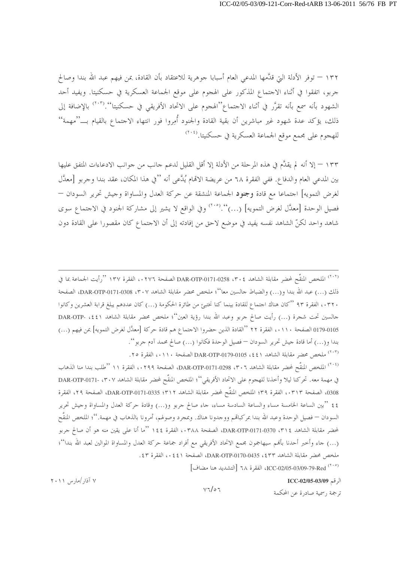١٣٢ – توفر الأدلة التي قدَّمها المدعى العام أسبابا جوهرية للاعتقاد بأن القادة، عن فيهم عبد الله بندا وصالح جربو، اتفقوا في أثناء الاجتماع المذكور على الهجوم على موقع الجماعة العسكرية في حسكنيتا. ويفيد أحد الشهود بأنه سمع بأنه تقرَّر في أثناء الاحتماع''الهجوم على الاتحاد الأفريقي في حسكنيتا''.(°``) بالإضافة إلى ذلك، يؤكد عدة شهود غير مباشرين أن بقية القادة والجنود أُمِروا فور انتهاء الاحتماع بالقيام بـــ''مهمة'' للهجوم على مجمع موقع الجماعة العسكرية في حسكنيتا.<sup>(۲۰۶</sup>)

١٣٣ – إلا أنه لم يقدَّم في هذه المرحلة من الأدلة إلا أقل القليل لدعم جانب من جوانب الادعاءات المتفق عليها بين المدعى العام والدفاع. ففي الفقرة ٦٨ من عريضة الاتِّعام يُدَّعى أنه ''في هذا المكان، عقد بندا وجربو [معدَّل لغرض التمويه] احتماعا مع قادة وجنود الجماعة المنشقة عن حركة العدل والمساواة وجيش تحرير السودان — فصيل الوحدة [معدَّل لغرض التمويه] (…)''.''') وفي الواقع لا يشير إلى مشاركة الجنود في الاحتماع سوى شاهد واحد لكنِّ الشاهد نفسه يفيد في موضع لاحق من إفادته إلى أن الاحتماع كان مقصورا على القادة دون

<sup>(٢٠٢)</sup> الملخص المنقَّح لمحضر مقابلة الشاهد DAR-OTP-0171-0258 ، ٣٠٤ الصفحة ١٣٧٦، الفقرة ١٣٧ ''رأيت الجماعة بما في ذلك (…) عبد الله بندا و(…) والضباط حالسين معا''؛ ملخص محضر مقابلة الشاهد DAR-OTP-0171-0308 ، ۳۰۷، الصفحة ٢٣٠٠، الفقرة ٩٣ ''كان هناك اجتماع للقادة بينما كنا نختبئ من طائرة الحكومة (…) كان عددهم يبلغ قرابة العشرين وكانوا جالسين تحت شجرة (...) رأيت صالح جربو وعبد الله بندا رؤية العين''؛ ملخص محضر مقابلة الشاهد (٤٤١، -DAR-OTP 0179-0105 الصفحة ١١٠، الفقرة ٢٢ ''القادة الذين حضروا الاجتماع هم قادة حركة [معدَّل لغرض التمويه] بمن فيهم (…) بندا و(…) أما قادة جيش تحرير السودان — فصيل الوحدة فكانوا (…) صالح محمد آدم جربو''.

(٢٠٣) ملخص محضر مقابلة الشاهد DAR-OTP-0179-0105 ، ٤٤١ الصفحة ١١٠، الفقرة ٢٥.

<sup>(٢٠٤)</sup> الملخص المنقَّح لمحضر مقابلة الشاهد ٣٠٦، DAR-OTP-0171-0298، الصفحة ٢٩٩، الفقرة ١١ ''طلب بندا منا الذهاب في مهمة معه. تحركنا ليلا وأخذنا للهجوم على الاتحاد الأفريقي''؛ الملخص المنقَّح لمحضر مقابلة الشاهد DAR-OTP-0171 0308، الصفحة ٠٣١٣، الفقرة ٣٩؛ الملخص المنقَّح لمحضر مقابلة الشاهد DAR-OTP-0171-0335 :٣١٢، الفقرة ٤٤ ''بين الساعة الخامسة مساء والساعة السادسة مساء، جاء صالح جربو و(…) وقادة حركة العدل والمساواة وجيش تحرير السودان — فصيل الوحدة وعبد الله بندا بمركباقمم ووحدونا هناك. وبمحرد وصولهم، أمرونا بالذهاب في مهمة.''؛ الملخص المنقّح لمحضر مقابلة الشاهد ٣١٤، 370-DAR-OTP-0171، الصفحة ٠٣٨٨، الفقرة ١٤٤ "ما أنا على يقين منه هو أن صالح جربو (…) جاء وأخبر أحدنا بأفمم سيهاجمون مجمع الاتحاد الأفريقي مع أفراد جماعة حركة العدل والمساواة الموالين لعبد الله بندا''؛ ملخص محضر مقابلة الشاهد DAR-OTP-0170-0435 ، \$ ٣٣، الصفحة ٤٤١، الفقرة ٤٣.

(<sup>٢٠٥)</sup> ICC-02/05-03/09-79-Red ، الفقرة ٦٨ [التشديد هنا مضاف]

الرقم ICC-02/05-03/09

۷ آذار /مارس ۲۰۱۱

 $V7/\circ7$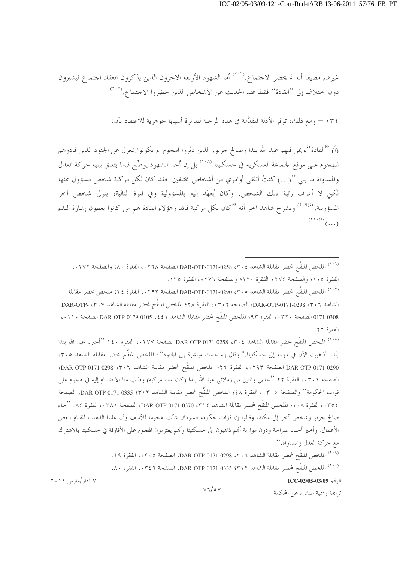غيرهم مضيفا أنه لم يحضر الاحتماع.<sup>(٢٠٦)</sup> أما الشهود الأربعة الآخرون الذين يذكرون انعقاد احتماع فيشيرون دون اختلاف إلى "القادة" فقط عند الحديث عن الأشخاص الذين حضروا الاجتماع.(٢٠٧)

١٣٤ – ومع ذلك، توفر الأدلة المقدَّمة في هذه المرحلة للدائرة أسبابا جوهرية للاعتقاد بأن:

(أ) ''القادة''، عن فيهم عبد الله بندا وصالح جربو، الذين دبّروا الهجوم لم يكونوا بمعزل عن الجنود الذين قادوهم للهجوم على موقع الجماعة العسكرية في حسكنيتا.<sup>(۲۰۸</sup>) بل إن أحد الشهود يوضِّح فيما يتعلق ببنية حركة العدل والمساواة ما يلي ''(…) كنتُ أتلقى أوامري من أشخاص مختلفين. فقد كان لكل مركبة شخص مسؤول عنها لكني لا أعرف رتبة ذلك الشخص. وكان يُعهَد إليه بالمسؤولية وفي المرة التالية، يتولى شخص آخر المسؤولية. ٢٠٩)٬٢٠) ويشرح شاهد آخر أنه ''كان لكل مركبة قائد وهؤلاء القادة هم من كانوا يعطون إشارة البدء  $\sum_{(\tau,\tau)}$ 

<sup>(٢٠٧)</sup> الملخص المنقَّح لمحضر مقابلة الشاهد DAR-OTP-0171-0290 ، ٣٠٥ الصفحة ٠٢٩٣، الفقرة ٢٤؛ ملخص محضر مقابلة الشاهد DAR-OTP-0171-0298 ، ٣٠٦، الصفحة ٠٣٠٢، الفقرة ٢٨؛ الملخص المنقَّح لمحضر مقابلة الشاهد DAR-OTP- ،٣٠٧ 0171-0308 الصفحة ٣٢٠، الفقرة ٩٣؟ الملخص المنقَّح لمحضر مقابلة الشاهد (٤٤، DAR-OTP-0179-0105 الصفحة ١١٠،، الفقرة ٢٢.

(<sup>٢٠٨)</sup> الملخص المنقَّح لمحضر مقابلة الشاهد DAR-OTP-0171-0258 ، ٣٠٤ الصفحة ٠٢٧٧، الفقرة ١٤٠ ''أحبرنا عبد الله بندا بأننا "ذاهبون الآن في مهمة إلى حسكنيتا." وقال إنه تحدث مباشرة إلى الجنود''؛ الملخص المنقَّح لمحضر مقابلة الشاهد ٣٠٥، DAR-OTP-0171-0290 الصفحة ٢٩٣، ، الفقرة ٢٦؛ الملخص المنقَّح لمحضر مقابلة الشاهد DAR-OTP-0171-0298، ^ الصفحة ٠٣٠١، الفقرة ٢٢ ''جاءين واثنين من زملائي عبد الله بندا (كان معنا مركبة) وطلب منا الانضمام إليه في هجوم على قوات الحكومة'' والصفحة ٠٣٠٥، الفقرة ٤٨؛ الملخص المنقَّح لمحضر مقابلة الشاهد DAR-OTP-0171-0335 :٣١٢، الصفحة ٢٥٤، الفقرة ١٠٨؛ الملخص المنقَّح لمحضر مقابلة الشاهد ٣١٤، DAR-OTP-0171-0370، الصفحة ٠٣٨١، الفقرة ٨٤. ''جاء صالح جربو وشخص آخر إلى مكاننا وقالوا إن قوات حكومة السودان شنّت هجوما للأسف وأن علينا الذهاب للقيام ببعض الأعمال. وأخبر أحدنا صراحة ودون مواربة أفمم ذاهبون إلى حسكنيتا وأفمم يعتزمون الهجوم على الأفارقة في حسكنيتا بالاشتراك مع حركة العدل والمساواة.''

> (<sup>٢٠٩)</sup> الملخص المنقَّح لمحضر مقابلة الشاهد ٥٢٠٦، DAR-OTP-0171-0298، الصفحة ٠٣٠٥، الفقرة ٤٩. ( <sup>( ٢١٠</sup>) الملخص المنقَّح لمحضر مقابلة الشاهد DAR-OTP-0171-0335 ؛ T ( ، Y ٤٩، الفقرة ٨٠.

> > الرقم ICC-02/05-03/09

ترجمة , سمية صادرة عن المحكمة

۷ آذار /مارس ۲۰۱۱

 $V\sqrt{\sigma V}$ 

<sup>(</sup>٢٠٦) الملخص المنقَّح لمحضر مقابلة الشاهد DAR-OTP-0171-0258 ، ٣٠٤ الصفحة ٢٦٨، الفقرة ٨٠؛ والصفحة ٠٢٧٢، الفقرة ١٠٥؛ والصفحة ٢٧٤ ٠ الفقرة ١٢٠؛ والصفحة ٢٧٦، ، الفقرة ١٣٥.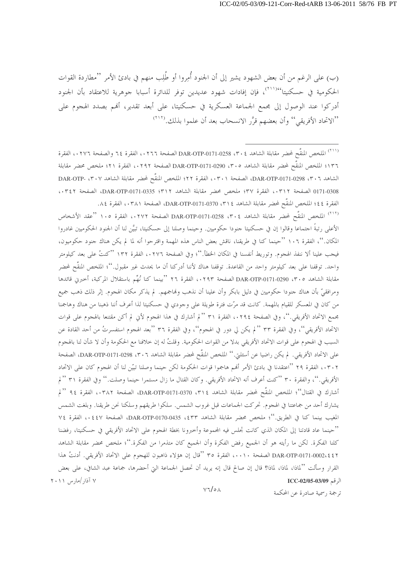(ب) على الرغم من أن بعض الشهود يشير إلى أن الجنود أُمِروا أو طُلِبٍ منهم في بادئ الأمر ''مطاردة القوات الحكومية في حسكنيتا<sup>٬۲۱۱</sup>٬٬<sup>۲۱</sup> فإن إفادات شهود عديدين توفر للدائرة أسبابا جوهرية للاعتقاد بأن الجنود أدركوا عند الوصول إلى مجمع الجماعة العسكرية في حسكنيتا، على أبعد تقدير، أفمم بصدد الهجوم على ''الاتحاد الأفريقي'' وأن بعضهم قرَّر الانسحاب بعد أن علموا بذلك.(\*\``)

(<sup>٢١٢)</sup> الملخص المنقَّح لمحضر مقابلة الشاهد DAR-OTP-0171-0258 ، Y · ٤ الصفحة ١٧٢،، الفقرة ١٠٥ ''عقد الأشخاص الأعلى رتبةً احتماعا وقالوا إن في حسكنيتا حنودا حكوميين. وحينما وصلنا إلى حسكنيتا، تبيَّن لنا أن الجنود الحكوميين غادروا المكان.''، الفقرة ١٠٦ ''حينما كنا في طريقنا، ناقش بعض الناس هذه المهمة واقترحوا أنه لما لم يكن هناك جنود حكوميون، فيجب علينا ألا ننفذ الهجوم. وتوريط أنفسنا في المكان الخطأ.''؛ وفي الصفحة ١٣٢٦ ، الفقرة ١٣٢ ''كنتُ على بعد كيلومتر واحد. توقفنا على بعد كيلومتر واحد من القاعدة. توقفنا هناك لأننا أدركنا أن ما يحدث غير مقبول.''؛ الملخص المنقّح لمحضر مقابلة الشاهد ٣٠٥، 290(DAR-OTP-0171-029 الصفحة ٠٢٩٣، الفقرة ٢٦ ''بينما كنا نُهِّم باستقلال المركبة، أخبرني قائدها ومرافقيّ بأن هناك جنودا حكوميين في دليل بابكر وأن علينا أن نذهب ولهاجمهم. لم يذكر مكان الهجوم. إثر ذلك ذهب جميع من كان في المعسكر للقيام بالمهمة. كانت قد مرّت فترة طويلة على وجودي في حسكنيتا لذا أعرف أننا ذهبنا من هناك وهاجمنا مجمع الاتحاد الأفريقي.''، وفي الصفحة ١٢٩٤، الفقرة ٣١ '' لم أشارك في هذا الهجوم لأني لم أكن مقتنعا بالهجوم على قوات الاتحاد الأفريقي''، وفي الفقرة ٣٣ ''لم يكن لي دور في الهجوم''، وفي الفقرة ٣٦ ''بعد الهجوم استفسرتُ من أحد القادة عن السبب في الهجوم على قوات الاتحاد الأفريقي بدلا من القوات الحكومية. وقلتُ له إن خلافنا مع الحكومة وأن لا شأن لنا بالهجوم على الاتحاد الأفريقي. لم يكن راضيا عن أسئلتي.'' الملخص المنقَّح لمحضر مقابلة الشاهد DAR-OTP-0171-0298 ،۳۰۲، الصفحة ٠٣٠٢، الفقرة ٢٩ ''اعتقدنا في بادئ الأمر أفمم هاجموا قوات الحكومة لكن حينما وصلنا تبيّن لنا أن الهجوم كان على الاتحاد الأفريقي.''، والفقرة ٣٠ ''كنت أعرف أنه الاتحاد الأفريقي. وكان القتال ما زال مستمرا حينما وصلت.'' وفي الفقرة ٣١ '' لم أشارك في القتال''؛ الملخص المنقَّح لمحضر مقابلة الشاهد CAR-OTP-0171-0370، الصفحة ٠٣٨٢، الفقرة ٩٤ ''لم يشارك أحد من جماعتنا في الهجوم. تحركت الجماعات قبل غروب الشمس. سلكوا طريقهم وسلكنا نحن طريقنا. وبلغت الشمس المغيب بينما كنا في الطريق.''؛ ملخص محضر مقابلة الشاهد ٤٣٣، DAR-OTP-0170-0435، الصفحة ٤٤٧، الفقرة ٧٤ ''حينما عاد قادتنا إلى المكان الذي كانت تجلس فيه المحموعة وأخبرونا بخطة الهجوم على الاتحاد الأفريقي في حسكنيتا، رفضنا كلنا الفكرة. لكن ما رأيته هو أن الجميع رفض الفكرة وأن الجميع كان متذمرا من الفكرة.''؛ ملخص محضر مقابلة الشاهد DAR-OTP-0171-0002، ٤ \$ لصفحة ١٠٠١، الفقرة ٣٥ ''قال إن هؤلاء ذاهبون للهجوم على الاتحاد الأفريقي. أدنتُ هذا القرار وسألت ''لماذا، لماذا؛ قال إن صالح قال إنه يريد أن تحصل الجماعة التي أحضرها، جماعة عبد الشافي، على بعض ۷ آذار /مارس ۲۰۱۱ الرقم ICC-02/05-03/09  $V7/\circ A$ 

<sup>&</sup>lt;sup>(٢١١)</sup> الملخص المنقَّح لمحضر مقابلة الشاهد DAR-OTP-0171-0258 ، ٣٠٤ الصفحة ٠٢٦٦، الفقرة ٢٤ والصفحة ٠٢٧٦، الفقرة ١٣٦؛ الملخص المنقَّح لمحضر مقابلة الشاهد ٣٠٥، DAR-OTP-0171-0290 الصفحة ٢٩٢،، الفقرة ٢١؛ ملخص محضر مقابلة الشاهد ٣٠٦، DAR-OTP-0171-0298، الصفحة ٠٣٠١، الفقرة ٢٢؛ الملخص المنقَّح لمحضر مقابلة الشاهد DAR-OTP- ، ٣٠٧ 0171-0308 الصفحة ٣١٢، الفقرة ٣٧؛ ملخص محضر مقابلة الشاهد DAR-OTP-0171-0335 :٣١٢، الصفحة ٣٤٢، الفقرة ٤٤؛ الملخص المنقَّح لمحضر مقابلة الشاهد ٢١٤، DAR-OTP-0171-0370، الصفحة ٠٣٨١، الفقرة ٨٤.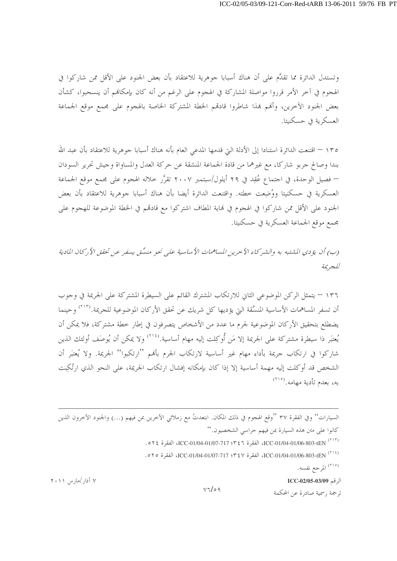وتستدل الدائرة مما تقدَّم على أن هناك أسبابا جوهرية للاعتقاد بأن بعض الجنود على الأقل ممن شاركوا في الهجوم في آخر الأمر قرروا مواصلة المشاركة في الهجوم على الرغم من أنه كان بإمكالهم أن ينسحبوا، كشأن بعض الجنود الآخرين، وأفمم بمذا شاطروا قادقمم الخطة المشتركة الخاصة بالهجوم على مجمع موقع الجماعة العسكرية في حسكنيتا.

١٣٥ – اقتنعت الدائرة استنادا إلى الأدلة التي قدمها المدعي العام بأنه هناك أسبابا جوهرية للاعتقاد بأن عبد الله بندا وصالح جربو شاركا، مع غيرهما من قادة الجماعة المنشقة عن حركة العدل والمساواة وجيش تحرير السودان — فصيل الوحدة، في اجتماع عُقِد في ٢٩ أيلول/سبتمبر ٢٠٠٧ تقرَّر خلاله الهجوم على مجمع موقع الجماعة العسكرية في حسكنيتا ووُضِعت خطته. واقتنعت الدائرة أيضا بأن هناك أسبابا جوهرية للاعتقاد بأن بعض الجنود على الأقل ممن شاركوا في الهجوم في نماية المطاف اشتركوا مع قادقمم في الخطة الموضوعة للهجوم على مجمع موقع الجماعة العسكرية في حسكنيتا.

(ب) أن يؤدي المشتبه به والشركاء الآخرين المساهمات الأساسية على نحو منسَّق يسفر عن تحقق الأركان المادية للجريمة

١٣٦ – يتمثل الركن الموضوعي الثاني للارتكاب المشترك القائم على السيطرة المشتركة على الجريمة في وجوب أن تسفر المساهمات الأساسية المنسَّقة التي يؤديها كل شريك عن تحقق الأركان الموضوعية للجريمة.(٢١٣) وحينما يضطلع بتحقيق الأركان الموضوعية لجرم ما عدد من الأشخاص يتصرفون في إطار خطة مشتركة، فلا يمكن أن يُعتبَر ذا سيطرة مشتركة على الجريمة إلا مَن أُوكِلت إليه مهام أساسية.<sup>(٢١٤)</sup> ولا يمكن أن يُوصَف أولئك الذين شاركوا في ارتكاب جريمة بأداء مهام غير أساسية لارتكاب الجرم بألهم ''ارتكبوا'' الجريمة. ولا يُعتبَر أن الشخص قد أو كلت إليه مهمة أساسية إلا إذا كان بإمكانه إفشال ارتكاب الجريمة، على النحو الذي ارتُكِبت به، بعدم تأدية مهامه. (٢١٥)

السيارات'' وفي الفقرة ٣٧ ''وقع الهجوم في ذلك المكان. ابتعدتُ مع زملائي الآخرين بمن فيهم (…) والجنود الآخرون الذين كانوا على متن هذه السيارة بمن فيهم حراسي الشخصيون.''

- (٢١٣) ICC-01/04-01/06-803-tEN، الفقرة ٣٤٦: ICC-01/04-01/06-803-tEN، الفقرة ٥٢٤.
- (115) ICC-01/04-01/06-803-tEN، الفقرة ٢٤٧؛ ICC-01/04-01/04-01/04-01/04، الفقرة ٥٢٥.

<sup>(٢١٥)</sup> المرجع نفسه.

الرقم ICC-02/05-03/09 ترجمة , سمية صادرة عن المحكمة

۷ آذار /مارس ۲۰۱۱

 $V7/\circ q$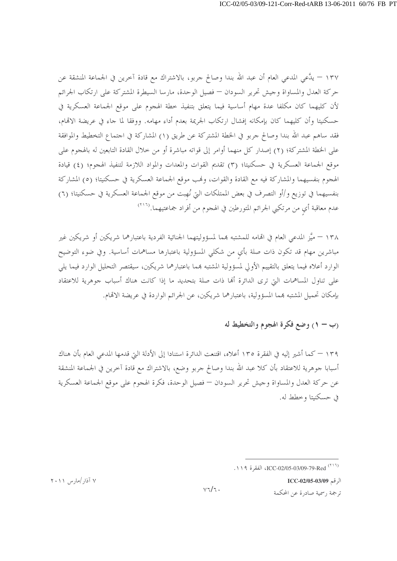١٣٧ – يدَّعي المدعى العام أن عبد الله بندا وصالح حربو، بالاشتراك مع قادة آخرين في الجماعة المنشقة عن حركة العدل والمساواة وجيش تحرير السودان — فصيل الوحدة، مارسا السيطرة المشتركة على ارتكاب الجرائم لأن كليهما كان مكلفا عدة مهام أساسية فيما يتعلق بتنفيذ خطة الهجوم على موقع الجماعة العسكرية في حسكنيتا وأن كليهما كان بإمكانه إفشال ارتكاب الجريمة بعدم أداء مهامه. ووفقا لما جاء في عريضة الاقمام، فقد ساهم عبد الله بندا وصالح جربو في الخطة المشتركة عن طريق (١) المشاركة في اجتماع التخطيط والموافقة على الخطة المشتركة؛ (٢) إصدار كل منهما أوامر إلى قواته مباشرة أو من خلال القادة التابعين له بالهجوم على موقع الجماعة العسكرية في حسكنيتا؛ (٣) تقديم القوات والمعدات والمواد اللازمة لتنفيذ الهجوم؛ (٤) قيادة الهجوم بنفسيهما والمشاركة فيه مع القادة والقوات، ونمب موقع الجماعة العسكرية في حسكنيتا؛ (٥) المشاركة بنفسيهما في توزيع و/أو التصرف في بعض الممتلكات التي نُهبت من موقع الجماعة العسكرية في حسكنيتا؛ (٦) عدم معاقبة أي من مرتكبي الجرائم المتورطين في الهجوم من أفراد جماعتيهما.<sup>(٢١٦</sup>)

١٣٨ – ميَّز المدعى العام في الهامه للمشتبه بمما لمسؤوليتهما الجنائية الفردية باعتبارهما شريكين أو شريكين غير مباشرين مهام قد تكون ذات صلة بأي من شكلي المسؤولية باعتبارها مساهمات أساسية. وفي ضوء التوضيح الوارد أعلاه فيما يتعلق بالتقييم الأولى لمسؤولية المشتبه بمما باعتبارهما شريكين، سيقتصر التحليل الوارد فيما يلي على تناول المساهمات التي ترى الدائرة ألها ذات صلة بتحديد ما إذا كانت هناك أسباب جوهرية للاعتقاد بإمكان تحميل المشتبه بمما المسؤولية، باعتبارهما شريكين، عن الجرائم الواردة في عريضة الاتمام.

# (ب – ١) وضع فكرة الهجوم والتخطيط له

١٣٩ — كما أشير إليه في الفقرة ١٣٥ أعلاه، اقتنعت الدائرة استنادا إلى الأدلة التي قدمها المدعي العام بأن هناك أسبابا حوهرية للاعتقاد بأن كلا عبد الله بندا وصالح حربو وضع، بالاشتراك مع قادة آخرين في الجماعة المنشقة عن حركة العدل والمساواة وجيش تحرير السودان — فصيل الوحدة، فكرة الهجوم على موقع الجماعة العسكرية في حسكنيتا وخطط له.

الرقم ICC-02/05-03/09

ترجمة رسمية صادرة عن المحكمة

۷ آذار /مارس ۲۰۱۱

 $v\tau/\tau$ .

<sup>(\* 11)</sup> ICC-02/05-03/09-79-Red (\* 11)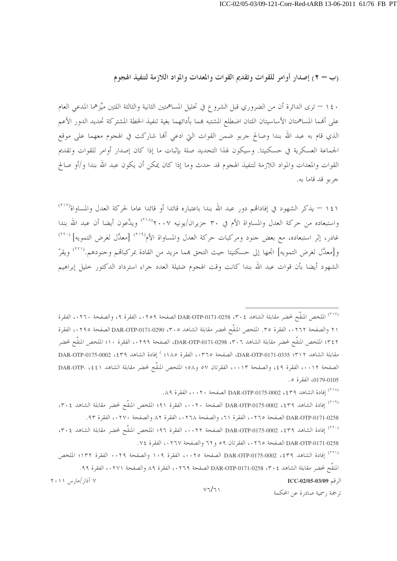(ب – ٢) إصدار أوامر للقوات وتقديم القوات والمعدات والمواد اللازمة لتنفيذ الهجوم

١٤٠ – ترى الدائرة أن من الضروري قبل الشروع في تحليل المساهمتين الثانية والثالثة اللتين ميَّزهما المدعى العام على أفمما المساهمتان الأساسيتان اللتان اضطلع المشتبه بمما بأدائهما بغية تنفيذ الخطة المشتركة تحديد الدور الأعم الذي قام به عبد الله بندا وصالح جربو ضمن القوات التي ادعى ألها شاركت في الهجوم معهما على موقع الجماعة العسكرية في حسكنيتا. وسيكون لهذا التحديد صلة بإثبات ما إذا كان إصدار أوامر للقوات وتقديم القوات والمعدات والمواد اللازمة لتنفيذ الهجوم قد حدث وما إذا كان يمكن أن يكون عبد الله بندا و/أو صالح جربو قد قاما به.

١٤١ – يذكر الشهود في إفاداتهم دور عبد الله بندا باعتباره قائدا أو قائدا عاما لحركة العدل والمساواة(٢١٧) واستبعاده من حركة العدل والمساواة الأم في ٣٠ حزيران/يونيه ٢٠٠٧' (٢١٨) ويدَّعون أيضا أن عبد الله بندا غادر، إثر استبعاده، مع بعض جنود ومركبات حركة العدل والمساواة الأم<sup>(۲۱۹)</sup> [معدَّل لغرض التمويه] <sup>(۲۲۰)</sup> و[معدَّل لغرض التمويه] اتجها إلى حسكنيتا حيث التحق بمما مزيد من القادة بمركباهم وجنودهم.'<sup>(٢٢١)</sup> ويقرّ الشهود أيضا بأن قوات عبد الله بندا كانت وقت الهجوم ضئيلة العدد جراء استرداد الدكتور حليل إبراهيم

<sup>(٢١٧)</sup> الملخص المنقَّح لمحضر مقابلة الشاهد DAR-OTP-0171-0258 ، ٣٠٤ الصفحة ٢٥٩،، الفقرة ٩، والصفحة ٢٦٠، الفقرة ٢١ والصفحة ٢٦٢، الفقرة ٣٥. الملخص المنقَّح لمحضر مقابلة الشاهد ٣٠٥، DAR-OTP-0171-0290 الصفحة ٢٩٥، الفقرة ٣٤٢؛ الملخص المنقَّح لمحضر مقابلة الشاهد ٣٠٦، DAR-OTP-0171-0298، الصفحة ٢٩٩،، الفقرة ١٠؛ الملخص المنقَّح لمحضر مقابلة الشاهد DAR-OTP-0171-0335 : ٣١٢، الصفحة ٣٦٥، الفقرة ١٨٥؟ ) إفادة الشاهد DAR-OTP-0175-0002 الصفحة ٠٠١٢،، الفقرة ٤٩، والصفحة ٠٠١٣،، الفقرتان ٥٧ و٥٨؛ الملخص المنقَّح لمحضر مقابلة الشاهد DAR-OTP-0179-0105، الفقرة ٥.

(<sup>٢١٨)</sup> إفادة الشاهد DAR-OTP-0175-0002 ، ٤٣٩ الصفحة ١٠٠٢، الفقرة ٨٩.

<sup>(٢١٩)</sup> إفادة الشاهد DAR-OTP-0175-0002 ، ٤٣٩ الصفحة ٥٠٠٢، الفقرة ٩١؛ الملخص المنقَّح لمحضر مقابلة الشاهد ٣٠٤، DAR-OTP-0171-0258 الصفحة ٢٦٥، ، الفقرة ٢٦، والصفحة ٢٦٨، الفقرة ٨٢ والصفحة ٢٧٠، الفقرة ٩٣. (٢٢٠) إفادة الشاهد DAR-OTP-0175-0002 ، ٤٣٩ الصفحة ٠٠٢٢، الفقرة ٩٦؛ الملخص المنقَّح لمحضر مقابلة الشاهد ٣٠٤،

DAR-OTP-0171-0258 الصفحة ٢٦٥، الفقرتان ٥٩ و ٦٢ والصفحة ٠٢٦٧، الفقرة ٧٤.

(<sup>٢٢١)</sup> افادة الشاهد DAR-OTP-0175-0002 ، ٤٣٩ الصفحة ٠٠٢٥، الفقرة ١٠٩ والصفحة ٠٠٢٩ الفقرة ١٣٢؛ الملخص المنقَّح لمحضر مقابلة الشاهد £ ٣٠٤، 258(-DAR-OTP-0171-0258 الصفحة ٢٦٩،، الفقرة ٨٩ والصفحة ٢٧١،، الفقرة ٩٩. ۷ آذار /مارس ۲۰۱۱ الرقم ICC-02/05-03/09

 $V7/71$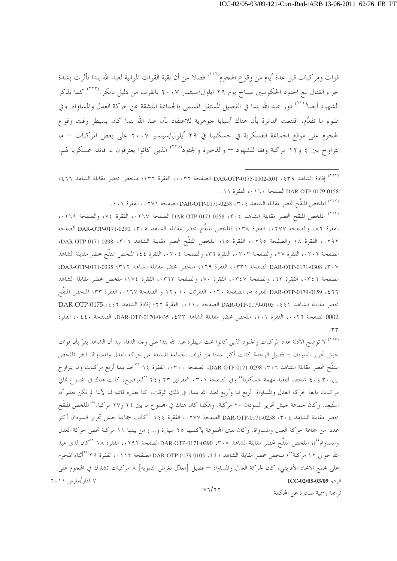قوات ومركبات قبل عدة أيام من وقوع الهجوم`````` فضلا عن أن بقية القوات الموالية لعبد الله بندا تأثرت بشدة جراء القتال مع الجنود الحكوميين صباح يوم ٢٩ أيلول/سبتمبر ٢٠٠٧ بالقرب من دليل بابكر.<sup>(٢٢٣)</sup> كما يذكر الشهود أيضا<sup>(٢٢٤)</sup> دور عبد الله بندا في الفصيل المستقل المسمى بالجماعة المنشقة عن حركة العدل والمساواة. وفي ضوء ما تقدَّم، اقتنعت الدائرة بأن هناك أسبابا جوهرية للاعتقاد بأن عبد الله بندا كان يسيطر وقت وقوع الهجوم على موقع الجماعة العسكرية في حسكنيتا في ٢٩ أيلول/سبتمبر ٢٠٠٧ على بعض المركبات — ما يتراوح بين ٤ و١٢ مركبة وفقا للشهود — والذخيرة والجنود<sup>(٢٢٥)</sup> الذين كانوا يعترفون به قائدا عسكريا لهم.

.١٠٢) الملخص المنقَّح لمحضر مقابلة الشاهد ٣٠٤، DAR-OTP-0171-0258 الصفحة ٠٢٧١، الفقرة ١٠١.

(٢٢٤) الملخص المنقَّح لمحضر مقابلة الشاهد DAR-OTP-0171-0258 (٣٠٤ الصفحة ١٢٦٧، الفقرة ٧٤، والصفحة ١٢٦٩، الفقرة ٨٦، والصفحة ٠٢٧٧، الفقرة ١٣٨؛ الملخص المنقَّح لمحضر مقابلة الشاهد 5٠٥، DAR-OTP-0171-0290 الصفحة ٠٢٩٢، الفقرة ١٨ والصفحة ٢٩٥،، الفقرة ٤٥؛ الملخص المنقَّح لمحضر مقابلة الشاهد DAR-OTP-0171-0298، الصفحة ٠٣٠٢، الفقرة ٢٧، والصفحة ٠٣٠٣، الفقرة ٣٦، والصفحة ٠٣٠٤، الفقرة ٤٤؛ الملخص المنقَّح لمحضر مقابلة الشاهد DAR-OTP-0171-0308 ، ٣٠٧ الصفحة ٣٣١، ، الفقرة ١٦٩؛ ملخص محضر مقابلة الشاهد DAR-OTP-0171-0335، الصفحة ٠٣٤٦، الفقرة ٦٢، والصفحة ٠٣٤٧، الفقرة ٧٠، والصفحة ٠٣٦٣، الفقرة ١٧٤؛ ملخص محضر مقابلة الشاهد ٤٦٦، DAR-OTP-0179-0159 الفقرة ٥، الصفحة ١٦٠، الفقرتان ١٠ و١٢ و الصفحة ١٦٧،، الفقرة ٣٣؛ الملخص المنقّح لمحضر مقابلة الشاهد DAR-OTP-0179-0105 ، \$ \$1 الصفحة ١١٠، الفقرة ٢٢؛ إفادة الشاهد DAR-OTP-0175-، \$ 2 0002 الصفحة ٢٠٢٦، الفقرة ١٠١؛ ملخص محضر مقابلة الشاهد DAR-OTP-0170-0435، لصفحة ٤٤٠، الفقرة  $.54$ 

<sup>(٢٢٥)</sup> لا توضح الأدلة عدد المركبات والجنود الذين كانوا تحت سيطرة عبد الله بندا على وجه الدقة. بيد أن الشاهد يقرّ بأن قوات جيش تحرير السودان – فصيل الوحدة كانت أكثر عددا من قوات الجماعة المنشقة عن حركة العدل والمساواة. انظر الملخص المنقَّح لمحضر مقابلة الشاهد ٢٠٦، DAR-OTP-0171-0298، الصفحة ٠٣٠٠، الفقرة ١٤ ''أحذ بندا أربع مركبات وما يتراوح بين ٣٠ و٤٠ شخصا لتنفيذ مهمة حسكنيتا'' وفي الصفحة ٣٠١. الفقرتين ٢٣ و٢٤ ''للتوضيح، كانت هناك في المحموع ثماني مركبات تابعة لحركة العدل والمساواة. أربع لنا وأربع لعبد الله بندا. في ذلك الوقت، كنا نعتبره قائدا لنا لأننا لم نكن نعلم أنه استُبعِد. وكان لجماعة جيش تحرير السودان ٢٠ مركبة. وهكذا كان هناك في المجموع ما بين ٢٤ و٢٧ مركبة.'' الملخص المنقّح لمحضر مقابلة الشاهد ٢٠٤، DAR-OTP-0171-0258 الصفحة ٠٢٧٧، الفقرة ١٤٤ ''كانت جماعة جيش تحرير السودان أكثر عددا من جماعة حركة العدل والمساواة. وكان لدى المجموعة بأكملها ٢٥ سيارة (…) من بينها ١١ مركبة تخص حركة العدل والمساواة''؛؛ الملخص المنقَّح لمحضر مقابلة الشاهد ٣٠٥، DAR-OTP-0171-0290 الصفحة ٠٢٩٢، الفقرة ١٨ ''كان لدى عبد الله حوالي ١٢ مركبة''؛ ملخص محضر مقابلة الشاهد (٤٤، 0105-DAR-OTP-0179 الصفحة ١١٣،، الفقرة ٣٩ ''أثناء الهجوم على مجمع الاتحاد الأفريقي، كان لحركة العدل والمساواة — فصيل [معدَّل لغرض التمويه] ٨ مركبات تشارك في الهجوم على ۷ آذار /مارس ۲۰۱۱ الرقم ICC-02/05-03/09  $V7/T$ 

<sup>&</sup>lt;sup>(٢٢٢)</sup> إفادة الشاهد DAR-OTP-0175-0002-R01 ، \$ 2 الصفحة ٠٠٣٦، الفقرة ١٣٦؛ ملخص محضر مقابلة الشاهد ٤٦٦، DAR-OTP-0179-0158 الصفحة ٢١٠، الفقرة ١١.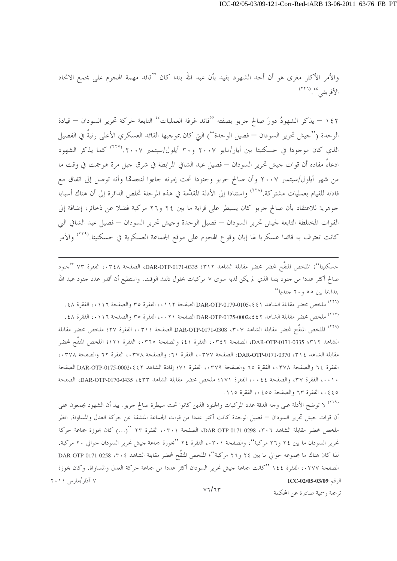والأمر الأكثر مغزى هو أن أحد الشهود يفيد بأن عبد الله بندا كان ''قائد مهمة الهجوم على مجمع الاتحاد الأفريقي. `` (٢٢٦)

١٤٢ – يذكر الشهودُ دورَ صالح جربو بصفته ''قائد غرفة العمليات'' التابعة لحركة تحرير السودان – قيادة الوحدة (''جيش تحرير السودان — فصيل الوحدة'') التي كان بموجبها القائد العسكري الأعلى رتبةٌ في الفصيل الذي كان موجودا في حسكنيتا بين أيار/مايو ٢٠٠٧ و٣٠ أيلول/سبتمبر ٢٠٠٧. (<sup>٢٢٧)</sup> كما يذكر الشهود ادعاءً مفاده أن قوات جيش تحرير السودان — فصيل عبد الشافي المرابطة في شرق جبل مرة هوجمت في وقت ما من شهر أيلول/سبتمبر ٢٠٠٧ وأن صالح جربو وجنودا تحت إمرته جاءوا لنجدقما وأنه توصل إلى اتفاق مع قادته للقيام بعمليات مشتركة.<sup>(٢٢٨)</sup> واستنادا إلى الأدلة المقدَّمة في هذه المرحلة تخلص الدائرة إلى أن هناك أسبابا جوهرية للاعتقاد بأن صالح جربو كان يسيطر على قرابة ما بين ٢٤ و٢٦ مركبة فضلا عن ذحائر، إضافة إلى القوات المختلطة التابعة لجيش تحرير السودان — فصيل الوحدة وجيش تحرير السودان — فصيل عبد الشافي التي كانت تعترف به قائدا عسكريا لها إبان وقوع الهجوم على موقع الجماعة العسكرية في حسكنيتا.<sup>(٢٢٩)</sup> والأمر

حسكنيتا''؛ الملخص المنقَّح لمحضر محضر مقابلة الشاهد P(171-0335 :۳۱۲-DAR-OTP-0171، الفقرة ٧٣ ''جنود صالح أكثر عددا من حنود بندا الذي لم يكن لديه سوى ٧ مركبات بحلول ذلك الوقت. واستطيع أن أقدر عدد حنود عبد الله بندا بما بين ٥٥ و ٦٠ جنديا''

(<sup>٢٢٦)</sup> ملخص محضر مقابلة الشاهد DAR-OTP-0179-0105، £ \$ ) DAR-OTP الصفحة ٩١١٢ ، الفقرة ص والصفحة ٠١١٦ ، الفقرة ٤٨ . (<sup>٢٢٧)</sup> ملخص محضر مقابلة الشاهد DAR-OTP-0175-0002، ٤ \$ ، DAR-OTP الصفحة ٢١١٦ ، ، الفقرة ٣٥ والصفحة ٠١١٦، الفقرة ٤٨. <sup>(٢٢٨)</sup> الملخص المنقَّح لمحضر مقابلة الشاهد DAR-OTP-0171-0308 ،۳۰۷ الصفحة ۰۳۱۱، الفقرة ۲۷؛ ملخص محضر مقابلة الشاهد DAR-OTP-0171-0335 :٣١٢، الصفحة ٠٣٤٢، الفقرة ٤١؛ والصفحة ٣٦٥، الفقرة ١٢١؛ الملخص المنقَّح لمحضر مقابلة الشاهد ٢١٤، DAR-OTP-0171-0370، الصفحة ٠٣٧٧، الفقرة ٢١، والصفحة ٠٣٧٨، الفقرة ٦٢ والصفحة ٠٣٧٨. الفقرة ٢٤ والصفحة ٣٧٨، ، الفقرة ٦٥ والصفحة ٠٣٧٩، الفقرة ٧١؛ إفادة الشاهد DAR-OTP-0175-0002،٤٤٢ الصفحة ٠٠١٠، الفقرة ٣٧، والصفحة ٠٠٤٤، الفقرة ١٧١؛ ملخص محضر مقابلة الشاهد DAR-OTP-0170-0435، الصفحة ٤٤٥، الفقرة ٦٣ والصفحة ٥٥٤، الفقرة ١١٥.

<sup>(۲۲۹)</sup> لا توضح الأدلة على وجه الدقة عدد المركبات والجنود الذين كانوا تحت سيطرة صالح جربو. بيد أن الشهود يجمعون على أن قوات جيش تحرير السودان — فصيل الوحدة كانت أكثر عددا من قوات الجماعة المنشقة عن حركة العدل والمساواة. انظر ملخص محضر مقابلة الشاهد ٢٠٦، DAR-OTP-0171-0298، الصفحة ٠٣٠١، الفقرة ٢٣ "(...) كان بحوزة جماعة حركة تحرير السودان ما بين ٢٤ و٢٦ مركبة''، والصفحة ٠٣٠١، الفقرة ٢٤ ''بحوزة جماعة جيش تحرير السودان حوالي ٢٠ مركبة. لذا كان هناك ما مجموعه حوالي ما بين ٢٤ و٢٦ مركبة''؛ الملخص المنقَّح لمحضر مقابلة الشاهد ٢٠٤، DAR-OTP-0171-0258 الصفحة ١٢٧٧، الفقرة ١٤٤ ''كانت جماعة جيش تحرير السودان أكثر عددا من جماعة حركة العدل والمساواة. وكان بحوزة ۷ آذار /مارس ۲۰۱۱ الرقم ICC-02/05-03/09

 $V7/T$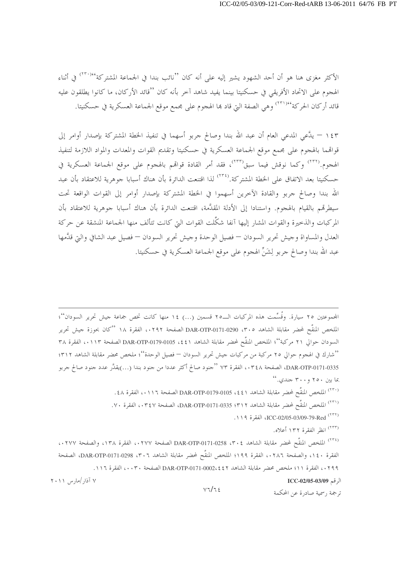الأكثر مغزى هنا هو أن أحد الشهود يشير إليه على أنه كان ''نائب بندا في الجماعة المشتركة'<sup>٢٣٠)</sup> في أثناء الهجوم على الاتحاد الأفريقي في حسكنيتا بينما يفيد شاهد آخر بأنه كان ''قائد الأركان، ما كانوا يطلقون عليه قائد أركان الحركة'٬<sup>۲۳۱)</sup>٬ وهي الصفة التي قاد بما الهجوم على مجمع موقع الجماعة العسكرية في حسكنيتا.

١٤٣ – يدَّعي المدعي العام أن عبد الله بندا وصالح جربو أسهما في تنفيذ الخطة المشتركة بإصدار أوامر إلى قواقمما بالهجوم على مجمع موقع الجماعة العسكرية في حسكنيتا وتقديم القوات والمعدات والمواد اللازمة لتنفيذ الهجوم.<sup>(٢٣٢)</sup> وكما نوقش فيما سبق<sup>(٢٣٣)</sup>، فقد أمر القادة قوالهم بالهجوم على موقع الجماعة العسكرية في حسكنيتا بعد الاتفاق على الخطة المشتركة.<sup>(٢٣٤)</sup> لذا اقتنعت الدائرة بأن هناك أسبابا جوهرية للاعتقاد بأن عبد الله بندا وصالح جربو والقادة الآخرين أسهموا في الخطة المشتركة بإصدار أوامر إلى القوات الواقعة تحت سيطرقم بالقيام بالهجوم. واستنادا إلى الأدلة المقدَّمة، اقتنعت الدائرة بأن هناك أسبابا جوهرية للاعتقاد بأن المركبات والذحيرة والقوات المشار إليها آنفا شكَّلت القوات التي كانت تتألف منها الجماعة المنشقة عن حركة العدل والمساواة وجيش تحرير السودان — فصيل الوحدة وجيش تحرير السودان — فصيل عبد الشافي والتي قدَّمها عبد الله بندا وصالح جربو لِشَنِّ الهجوم على موقع الجماعة العسكرية في حسكنيتا.

المجموعتين ٢٥ سيارة. وقُسِّمت هذه المركبات الــ٢٥ قسمين (...) ١٤ منها كانت تخص جماعة جيش تحرير السودان''؛ الملخص المنقَّح لمحضر مقابلة الشاهد DAR-OTP-0171-0290 ،۳۰٥ الصفحة ۰۲۹۲، الفقرة ۱۸ ''كان بحوزة جيش تحرير السودان حوالي ٢١ مركبة''؛ الملخص المنقَّح لمحضر مقابلة الشاهد ٤٤١، DAR-OTP-0179-0105 الصفحة ١١٣.، الفقرة ٣٨ ''شارك في الهجوم حوالي ٢٥ مركبة من مركبات جيش تحرير السودان — فصيل الوحدة''؛ ملخص محضر مقابلة الشاهد ٣١٢؛ DAR-OTP-0171-0335، الصفحة ٢٤٨، الفقرة ٧٣ ''جنود صالح أكثر عددا من جنود بندا (...)يقدَّر عدد جنود صالح جربو بما بين ٢٥٠ و ٣٠٠ جندي.''

- (٣٠) الملخص المنقَّح لمحضر مقابلة الشاهد 1 ٤٤، DAR-OTP-0179-0105 الصفحة ٠١١٦، الفقرة ٤٨. ('<sup>٢٣١)</sup> الملخص المنقَّح لمحضر مقابلة الشاهد DAR-OTP-0171-0335 ؛ ٣١٢، الفقرة ٧٠. . ١١٩) ICC-02/05-03/09-79-Red (٢٣٢)
	- (٢٣٣) انظر الفقرة ١٣٢ أعلاه.

(٢٣٤) الملخص المنقَّح لمحضر مقابلة الشاهد DAR-OTP-0171-0258 ، ٣٠٤ الصفحة ١٣٨،، الفقرة ١٣٨، والصفحة ١٢٧٧. الفقرة ١٤٠، والصفحة ١٢٨٦، الفقرة ١٩٩؛ الملخص المنقَّح لمحضر مقابلة الشاهد DAR-OTP-0171-0298، "صفحة ٢٩٩، الفقرة ١١؛ ملخص محضر مقابلة الشاهد DAR-OTP-0171-0002،٤٤٢ الصفحة ٠٠٣٠، الفقرة ١١٦.

 $V7/T5$ 

الرقم ICC-02/05-03/09

ترجمة , سمية صادرة عن المحكمة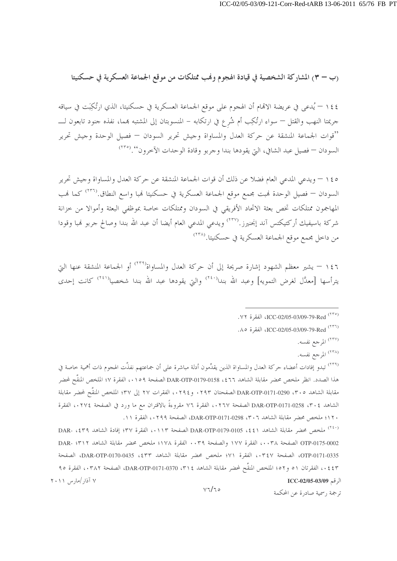## (ب – ٣) المشاركة الشخصية في قيادة الهجوم وفب ممتلكات من موقع الجماعة العسكرية في حسكنيتا

١٤٤ – يُدعى في عريضة الاقمام أن الهجوم على موقع الجماعة العسكرية في حسكنيتا، الذي ارتُكِبَت في سياقه جريمتا النهب والقتل — سواء ارتُكِب أم شُرع في ارتكابه – المنسوبتان إلى المشتبه بمما، نفذه جنود تابعون لـــــــ ''قوات الجماعة المنشقة عن حركة العدل والمساواة وجيش تحرير السودان — فصيل الوحدة وجيش تحرير السودان — فصيل عبد الشافي، التي يقودها بندا وجربو وقادة الوحدات الآخرون''.(°<sup>۲۳)</sup>

١٤٥ – ويدعى المدعى العام فضلا عن ذلك أن قوات الجماعة المنشقة عن حركة العدل والمساواة وجيش تحرير السودان — فصيل الوحدة لهبت مجمع موقع الجماعة العسكرية في حسكنيتا لهبا واسع النطاق.(°<sup>۲۳)</sup> كما لهب المهاجمون ممتلكات تخص بعثة الاتحاد الأفريقي في السودان وممتلكات خاصة بموظفى البعثة وأموالا من خزانة شركة باسيفيك أركتيكتس آند إنجنيرز.<sup>(٢٣٧)</sup> ويدعى المدعى العام أيضا أن عبد الله بندا وصالح جربو فمبا وقودا من داخل مجمع موقع الجماعة العسكرية في حسكنيتا.<sup>(۲۳۸)</sup>

١٤٦ – يشير معظم الشهود إشارة صريحة إلى أن حركة العدل والمساواة<sup>(٢٣٩)</sup> أو الجماعة المنشقة عنها التي يترأسها [معلَّل لغرض التمويه] وعبد الله بندا<sup>(٢٤٠)</sup> والتي يقودها عبد الله بندا شخصيا<sup>(٢٤١)</sup> كانت إحدى

<sup>(٢٣٧)</sup> المرجع نفسه.

<sup>(۲۳۸)</sup> المرجع نفسه.

ترجمة , سمية صادرة عن المحكمة

<sup>(٢٣٩)</sup> تبدو إفادات أعضاء حركة العدل والمساواة الذين يقلِّمون أدلة مباشرة على أن جماعتهم نفذَّت الهجوم ذات أهمية خاصة في هذا الصدد. انظر ملخص محضر مقابلة الشاهد DAR-OTP-0179-0158 ، \$ 1 1 الصفحة ٥٩١، الفقرة ٧؛ الملخص المنقّح لحضر مقابلة الشاهد ٣٠٥، DAR-OTP-0171-0290 الصفحتان ٢٩٣. و ٢٩٤.، الفقرات ٢٧ إلى ٣٧؛ الملخص المنقَّح لمحضر مقابلة الشاهد DAR-OTP-0171-0258 ، ٣٠٤ الصفحة ٠٢٦٧، الفقرة ٧٦ مقروءةً بالاقتران مع ما ورد في الصفحة ٠٢٧٤، الفقرة ١٢٠؛ ملخص محضر مقابلة الشاهد ٥٢٠٦، DAR-OTP-0171-0298، الصفحة ٠٢٩٩، الفقرة ١١.

(<sup>٢٤٠)</sup> ملخص محضر مقابلة الشاهد DAR-OTP-0179-0105 ، { {١ / مالصفحة ١١٣، الفقرة ٣٧؛ إفادة الشاهد DAR- ، {٣٩ OTP-0175-0002 الصفحة ٠٠٣٨، الفقرة ١٧٧ والصفحة ٠٠٣٩ الفقرة ١٧٨؛ ملخص محضر مقابلة الشاهد DAR- ١٣١٢ OTP-0171-0335، الصفحة ٠٣٤٧، الفقرة ٧١؛ ملخص محضر مقابلة الشاهد DAR-OTP-0170-0435، 25m، الصفحة ٤٤٣،، الفقرتان ٥١ و٥٢؛ الملخص المنقَّح لمحضر مقابلة الشاهد ٣١٤، DAR-OTP-0171-0370، الصفحة ٠٣٨٢، الفقرة ٩٥  $Y \cdot Y$  آذار /مارس ۲۰۱۱ الرقم ICC-02/05-03/09

<sup>(</sup>٢٣٥) ICC-02/05-03/09-79-Red (٢٣٥)

<sup>(</sup>٢٣٦) ICC-02/05-03/09-79-Red<sup>(٢٣٦)</sup>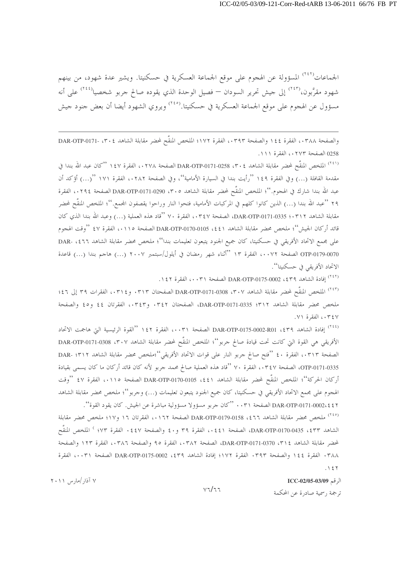الجماعات<sup>(٢٤٢)</sup> المسؤولة عن الهجوم على موقع الجماعة العسكرية في حسكنيتا. ويشير عدة شهود، من بينهم شهود مقرَّبون،<sup>(۲٤٣)</sup> إلى جيش تحرير السودان — فصيل الوحدة الذي يقوده صالح جربو شخصيا<sup>(۲٤٤)</sup> على أنه مسؤول عن الهجوم على موقع الجماعة العسكرية في حسكنيتا.<sup>(٢٤٥)</sup> ويروي الشهود أيضا أن بعض جنود جيش

والصفحة ٠٣٨٨، الفقرة ١٤٤ والصفحة ٠٣٩٣، الفقرة ١٧٢؛ الملخص المنقَّح لمحضر مقابلة الشاهد DAR-OTP-0171- ، ٣٠٤ 0258 الصفحة ٠٢٧٣، الفقرة ١١١.

(<sup>٢٤١)</sup> الملخص المنقَّح لمحضر مقابلة الشاهد DAR-OTP-0171-0258 ، ٣٠٤ الصفحة ٢٧٨ ، الفقرة ١٤٧ "كان عبد الله بندا في مقدمة القافلة (...) وفي الفقرة ١٤٩ "رأيت بندا في السيارة الأمامية"، وفي الصفحة ٠٢٨٢، الفقرة ١٧١ "(...) أؤكد أن عبد الله بندا شارك في الهجوم.''؛ الملخص المنقَّح لمحضر مقابلة الشاهد ٣٠٥، DAR-OTP-0171-0290، ب الفقرة ٢٩ ''عبد الله بندا (…) الذين كانوا كلهم في المركبات الأمامية، فتحوا النار وراحوا يقصفون المحمع.''؛ الملخص المنقّح لمحضر مقابلة الشاهد DAR-OTP-0171-0335 : • ٣١٢، الصفحة ٣٤٧، ، الفقرة ٧٠ ''قاد هذه العملية (...) وعبد الله بندا الذي كان قائد أركان الجيش''؛ ملخص محضر مقابلة الشاهد DAR-OTP-0170-0105 ، ٤٤١ الصفحة ١١١٥، الفقرة ٤٧ ''وقت الهجوم على مجمع الاتحاد الأفريقي في حسكنيتا، كان جميع الجنود يتبعون تعليمات بندا''؛ ملخص محضر مقابلة الشاهد ١٤٦٦، -DAR OTP-0179-0070 الصفحة ٠٠٧٢، الفقرة ١٣ ''أثناء شهر رمضان في أيلول/سبتمبر ٢٠٠٧ (...) هاجم بندا (...) قاعدة الاتحاد الأفريقي في حسكنيتا''.

(٢٤٢) إفادة الشاهد DAR-OTP-0175-0002 ، ٤٣٩ الصفحة (٠٠٣١) الفقرة ١٤٢.

<sup>(٢٤٣)</sup> الملخص المنقَّح لمحضر مقابلة الشاهد DAR-OTP-0171-0308 ، ٣٠٧ الصفحتان ٠٣١٣ و ٠٣١٤، الفقرات ٣٩ إلى ٤٦؛ ملخص محضر مقابلة الشاهد ٣١٢؛ DAR-OTP-0171-0335، الصفحتان ٣٤٢. و٣٤٣.، الفقرتان ٤٤ و٤٥ والصفحة ٠٣٤٧، الفقرة ٧١.

<sup>(٢٤٤)</sup> إفادة الشاهد PAR-OTP-0175-0002-R01 ، \$ 1 الصفحة ٠٠٣١، الفقرة ١٤٢ ''القوة الرئيسية التي هاجمت الاتحاد الأفريقي هي القوة التي كانت تحت قيادة صالح جربو''؛ الملخص المنقَّح لمحضر مقابلة الشاهد P·Y، DAR-OTP-0171-0308 الصفحة ٠٣١٣، الفقرة ٤٠ ''فتح صالح جربو النار على قوات الاتحاد الأفريقي''؛ملخص محضر مقابلة الشاهد DAR- :٣١٢ OTP-0171-0335، الصفحة ٠٣٤٧، الفقرة ٧٠ ''قاد هذه العملية صالح محمد جربو لأنه كان قائد أركان ما كان يسمى بقيادة أركان الحركة''؛ الملخص المنقَّح لمحضر مقابلة الشاهد 1 ٤٤، DAR-OTP-0170-0105 الصفحة ١١٥.، الفقرة ٤٧ ''وقت الهجوم على مجمع الاتحاد الأفريقي في حسكنيتا، كان جميع الجنود يتبعون تعليمات (…) وجربو''؛ ملخص محضر مقابلة الشاهد DAR-OTP-0171-0002، ٤ ٤ كان جربو مسؤولا مسؤولية مباشرة عن الجيش. كان يقود القوة''.

<sup>(٢٤٥)</sup> ملخص محضر مقابلة الشاهد DAR-OTP-0179-0158 ، ٤٦٦ الصفحة ١٦٢، الفقرتان ١٦ و١٧؛ ملخص محضر مقابلة الشاهد DAR-OTP-0170-0435، الصفحة ٤٤١، الفقرة ٣٩ و٤٠ والصفحة ٤٤٧، الفقرة ٧٣؛ <sup>)</sup> الملخص المنقَّح لمحضر مقابلة الشاهد ٣١٤، 370-DAR-OTP-0171، الصفحة ٠٣٨٢، الفقرة ٩٥ والصفحة ٠٣٨٦، الفقرة ١٢٣ والصفحة ٣٨٨ • الفقرة ١٤٤ والصفحة ٣٩٣ • الفقرة ١٧٢؛ إفادة الشاهد ٤٣٩، DAR-OTP-0175-0002 الصفحة ٠٠٣١، الفقرة  $.157$ 

الرقم ICC-02/05-03/09

ترجمة , سمية صادرة عن المحكمة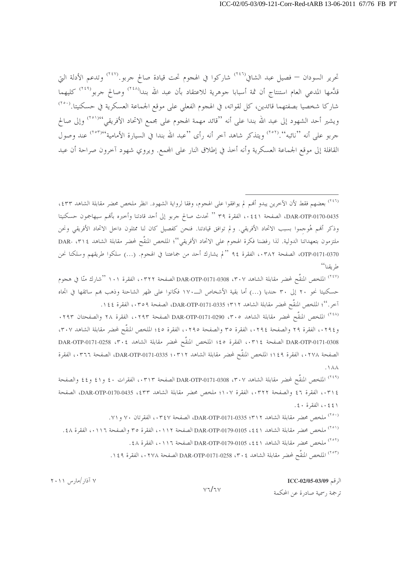تحرير السودان — فصيل عبد الشافي<sup>(٢٤٦)</sup> شاركوا في الهجوم تحت قيادة صالح جربو.<sup>(٢٤٧)</sup> وتدعم الأدلة التي قدَّمها المدعى العام استنتاج أن ثمة أسبابا جوهرية للاعتقاد بأن عبد الله بندا<sup>(٢٤٨)</sup> وصالح جربو<sup>(٢٤٩)</sup> كليهما شاركا شخصيا بصفتهما قائدين، كل لقواته، في الهجوم الفعلي على موقع الجماعة العسكرية في حسكنيتا.<sup>(٢٥٠</sup>) ويشير أحد الشهود إلى عبد الله بندا على أنه ''قائد مهمة الهجوم على مجمع الاتحاد الأفريقي''``` وإلى صالح جربو على أنه ''نائبه''.('°٬ ويتذكر شاهد آخر أنه رأى ''عبد الله بندا في السيارة الأمامية'٬٬۰۳٬٬ عند وصول القافلة إلى موقع الجماعة العسكرية وأنه أخذ في إطلاق النار على المجمع. ويروي شهود آخرون صراحة أن عبد

<sup>(٢٤٦)</sup> بعضهم فقط لأن الآخرين يبدو أُمُم لم يوافقوا على الهجوم، وفقا لرواية الشهود. انظر ملخص محضر مقابلة الشاهد ٤٣٣، DAR-OTP-0170-0435، الصفحة ٤٤١، الفقرة ٣٩ " تحدث صالح جربو إلى أحد قادتنا وأخبره بأفمم سيهاجمون حسكنيتا وذكر أفمم هُوجموا بسبب الاتحاد الأفريقي. ولم توافق قيادتنا. فنحن كفصيل كان لنا ممثلون داخل الاتحاد الأفريقي ونحن ملتزمون بتعهداتنا الدولية. لذا رفضنا فكرة الهجوم على الاتحاد الأفريقي''؛ الملخص المنقَّح لمحضر مقابلة الشاهد ١٣١٤ -DAR OTP-0171-0370، الصفحة ٠٣٨٢، الفقرة ٩٤ "لم يشارك أحد من جماعتنا في الهجوم. (...) سلكوا طريقهم وسلكنا نحن ط بقنا''

<sup>(٢٤٧)</sup> الملخص المنقَّح لمحضر مقابلة الشاهد DAR-OTP-0171-0308 ،۳۰۷ الصفحة ۰۳۲۲. الفقرة ۱۰۱ <sup>٬ (م</sup>شارك منّا في هجوم حسكنيتا نحو ٢٠ إلى ٣٠ جنديا (...) أما بقية الأشخاص الــ١٧٠ فكانوا على ظهر الشاحنة وذهب بمم سائقها في اتجاه آخر.''؛ الملخص المنقَّح لمحضر مقابلة الشاهد ٣١٢؛ DAR-OTP-0171-0335، الصفحة ٠٣٥٩، الفقرة ١٤٤.

<sup>(٢٤٨)</sup> الملخص المنقَّح لمحضر مقابلة الشاهد DAR-OTP-0171-0290 ، من الصفحة ١٢٩٣، الفقرة ٢٨ والصفحتان ٢٩٣. و٢٩٤،، الفقرة ٢٩ والصفحة ٢٩٤،، الفقرة ٣٥ والصفحة ٢٩٥،، الفقرة ٤٥؛ الملخص المنقَّح لمحضر مقابلة الشاهد ٣٠٧، DAR-OTP-0171-0308 الصفحة ٠٣١٤، الفقرة ٤٥؛ الملخص المنقَّح لمحضر مقابلة الشاهد 0.258 .٣٠٤ DAR-OTP-0171 الصفحة ٠٢٧٨، الفقرة ١٤٩؛ الملخص المنقَّح لمحضر مقابلة الشاهد DAR-OTP-0171-0335 :٠٣١٢، الصفحة ٠٣٦٦، الفقرة  $. \backslash \wedge \wedge$ 

<sup>(٢٤٩)</sup> الملخص المنقَّح لمحضر مقابلة الشاهد DAR-OTP-0171-0308 ،۳۰۷ الصفحة ۰،۳۱۳، الفقرات ٤٠ و٤١ و٤٤ والصفحة ٢١٤، الفقرة ٤٦ والصفحة ٢٢٢٢، الفقرة ١٠٧؛ ملخص محضر مقابلة الشاهد DAR-OTP-0170-0435، 2 وDAR-OTP-0170، ٤٤١، الفقرة ٤٠.

<sup>(٢٥٠)</sup> ملخص محضر مقابلة الشاهد DAR-OTP-0171-0335 ؛ P (٢٤٧، الفقرتان ٧٠ و ٧١.

(<sup>٢٥١)</sup> ملخص محضر مقابلة الشاهد DAR-OTP-0179-0105 ، \$ ٤١ لصفحة ٠١١٢، الفقرة ٣٥ والصفحة ٠١١٦، الفقرة ٤٨ .

(<sup>٢٥٣)</sup> الملخص المنقَّح لمحضر مقابلة الشاهد DAR-OTP-0171-0258 ، ٣٠٤ ، الفقرة ١٤٩.

 $V7/TV$ 

#### الرقم ICC-02/05-03/09

ترجمة , سمية صادرة عن المحكمة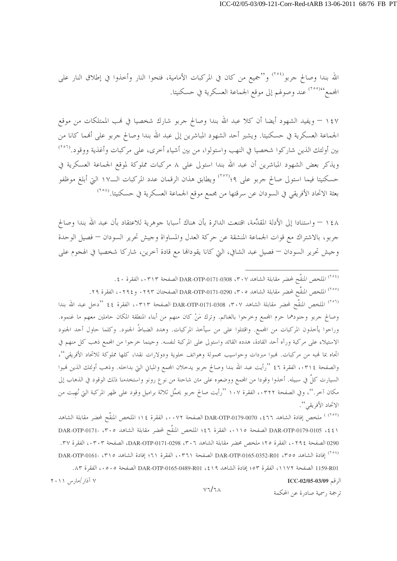الله بندا وصالح جربو<sup>(٢٥٤)</sup> و"جميع من كان في المركبات الأمامية، فتحوا النار وأحذوا في إطلاق النار على المحمع<sup>٬۲۰۰</sup>٬٬ عند وصولهم إلى موقع الجماعة العسكرية في حسكنيتا.

١٤٧ – ويفيد الشهود أيضا أن كلا عبد الله بندا وصالح حربو شارك شخصيا في لهب الممتلكات من موقع الجماعة العسكرية في حسكنيتا. ويشير أحد الشهود المباشرين إلى عبد الله بندا وصالح جربو على أفمما كانا من بين أولئك الذين شاركوا شخصيا في النهب واستولوا، من بين أشياء أخرى، على مركبات وأغذية ووقود.(```` ويذكر بعض الشهود المباشرين أن عبد الله بندا استولى على ٨ مركبات مملوكة لموقع الجماعة العسكرية في حسكنيتا فيما استولى صالح جربو على ٩؛<sup>(٢٥٧)</sup> ويطابق هذان الرقمان عدد المركبات الــ١٧ التي أبلغ موظفو بعثة الاتحاد الأفريقي في السودان عن سرقتها من مجمع موقع الجماعة العسكرية في حسكنيتا.(````

١٤٨ – واستنادا إلى الأدلة المقدَّمة، اقتنعت الدائرة بأن هناك أسبابا جوهرية للاعتقاد بأن عبد الله بندا وصالح جربو، بالاشتراك مع قوات الجماعة المنشقة عن حركة العدل والمساواة وجيش تحرير السودان — فصيل الوحدة وجيش تحرير السودان — فصيل عبد الشافي، التي كانا يقودالها مع قادة آخرين، شاركا شخصيا في الهجوم على

<sup>(٢٥٤)</sup> الملخص المنقَّح لمحضر مقابلة الشاهد DAR-OTP-0171-0308 ، ٣٠٧ الصفحة ٠٣١٣، الفقرة ٤٠. <sup>(٢٥٥)</sup> الملخص المنقَّح لمحضر مقابلة الشاهد DAR-OTP-0171-0290 ، ٣٠٥ الصفحتان ٢٩٣٠ و ٢٩٤٠، الفقرة ٢٩. <sup>(٢٥٦)</sup> الملخص المنقَّح لمحضر مقابلة الشاهد DAR-OTP-0171-0308 ،٣٠٧ الصفحة ٠٣١٣،، الفقرة ٤٤ "دحل عبد الله بندا وصالح جربو وجنودهما حرم المجمع وحرجوا بالغنائم. وترك مَنْ كان منهم من أبناء المنطقة المكان حاملين معهم ما غنموه. وراحوا يأخذون المركبات من المحمع. واقتتلوا على من سيأخذ المركبات. وهدد الضباطُ الجنود. وكلما حاول أحد الجنود الاستيلاء على مركبة ورآه أحد القادة، هدده القائد واستولى على المركبة لنفسه. وحينما خرجوا من المحمع ذهب كل منهم في اتجاه بما فمبه من مركبات. فمبوا مبردات وحواسيب محمولة وهواتف خلوية ودولارات نقدا، كلها مملوكة للاتحاد الأفريقي''، والصفحة ٠٣١٤، الفقرة ٤٦ ''رأيت عبد الله بندا وصالح حربو يدحلان المجمع والمباني التي بداحله. وذهب أولئك الذين فمبوا السيارت كلٌ في سبيله. أحذوا وقودا من المحمع ووضعوه على متن شاحنة من نوع رونو واستخدمنا ذلك الوقود في الذهاب إلى مكان آخر.''، وفي الصفحة ٠٣٢٢، الفقرة ١٠٧ ''رأيت صالح جربو يحمِّل ثلاثة براميل وقود على ظهر المركبة التي نُهبت من الاتحاد الأفريقي ''.

(<sup>٢٥٧)</sup> ملخص إفادة الشاهد ٦٦٦٤، DAR-OTP-0179-0070 الصفحة ٠٠٧٢، الفقرة ١٤؛ الملخص المنقَّح لمحضر مقابلة الشاهد 1 DAR-OTP-0179-0105 ، \$ 1 ) الصفحة ١١٥، الفقرة ٤٦؛ الملخص المنقَّح لمحضر مقابلة الشاهد ٣٠٥، -DAR-OTP-0171 0290 الصفحة ٢٩٤، ، الفقرة ٢٥؛ ملخص محضر مقابلة الشاهد ٣٠٦، DAR-OTP-0171-0298، الصفحة ٠٣٠٣، الفقرة ٣٧. (^^') افادة الشاهد DAR-OTP-0165-0352-R01 ، T الصفحة (٢٦١ ، الفقرة ٢١؛ إفادة الشاهد ١٣١٥ -DAR-OTP-0161 1159-R01 الصفحة ١١٧٢، الفقرة ٥٣، إفادة الشاهد 1٩٪، DAR-OTP-0165-0489-R01 الصفحة ٥٠٥،، الفقرة ٨٣. ۷ آذار /مارس ۲۰۱۱

الرقم 1CC-02/05-03/09

ترجمة , سمية صادرة عن المحكمة

 $V7/TA$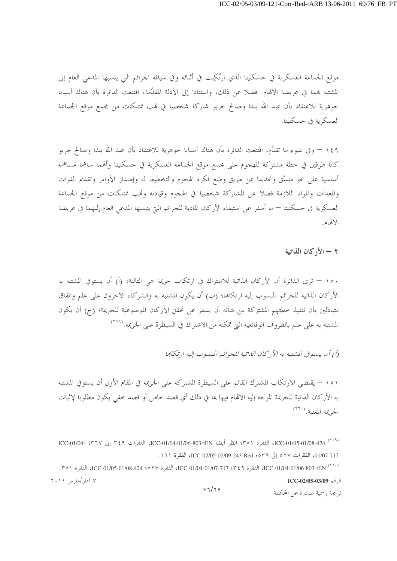موقع الجماعة العسكرية في حسكنيتا الذي ارتُكِبت في أثنائه وفي سياقه الجرائم التي ينسبها المدعى العام إلى المشتبه بمما في عريضة الاتمام. فضلا عن ذلك، واستنادا إلى الأدلة المقدَّمة، اقتنعت الدائرة بأن هناك أسبابا جوهرية للاعتقاد بأن عبد الله بندا وصالح جربو شاركا شخصيا في لهب ممتلكات من مجمع موقع الجماعة العسكرية في حسكنيتا.

١٤٩ – وفي ضوء ما تقدَّم، اقتنعت الدائرة بأن هناك أسبابا حوهرية للاعتقاد بأن عبد الله بندا وصالح حربو كانا طرفين في خطة مشتركة للهجوم على مجمع موقع الجماعة العسكرية في حسكنيتا وأنهما ساهما مساهمة أساسية على نحو منسَّق وتحديدا عن طريق وضع فكرة الهجوم والتخطيط له وإصدار الأوامر وتقديم القوات والمعدات والمواد اللازمة فضلا عن المشاركة شخصيا في الهجوم وقيادته وفمب ممتلكات من موقع الجماعة العسكرية في حسكنيتا — ما أسفر عن استيفاء الأركان المادية للحرائم التي ينسبها المدعي العام إليهما في عريضة الاتمام.

٢ - الأركان الذاتية

١٥٠ – ترى الدائرة أن الأركان الذاتية للاشتراك في ارتكاب جريمة هي التالية: (أ) أن يستوفي المشتبه به الأركان الذاتية للجرائم المنسوب إليه ارتكاها؛ (ب) أن يكون المشتبه به والشركاء الآخرون على علم واتفاق متبادَلين بأن تنفيذ خطتهم المشتركة من شأنه أن يسفر عن تحقق الأركان الموضوعية للجريمة؛ (ج) أن يكون المشتبه به على علم بالظروف الوقائعية التي تمكنه من الاشتراك في السيطرة على الجريمة.<sup>(۲۰۹</sup>)

(أ) أن يستوفي المشتبه به الأركان الذاتية للجرائم المنسوب إليه ارتكابها

١٥١ – يقتضى الارتكاب المشترك القائم على السيطرة المشتركة على الجريمة في المقام الأول أن يستوفي المشتبه به الأركان الذاتية للجريمة الموجه إليه الاقمام فيها بما في ذلك أي قصد خاص أو قصد خفى يكون مطلوبا لإثبات الجريمة المعنىة. (٢٦٠)

<sup>&</sup>lt;sup>(٢٥٩)</sup> ICC-01/05-01/08-424 الفقرة ٢٥١؛ انظر أيضا ICC-01/04-01/06-803-tEN، الفقرات ٢٤٩ إلى ٢٣٦٧؛ ICC-01/04-01/07-717، الفقرات ٥٢٧ إلى Red :٥٣٩، ICC-02/05-02/09-243-Red، الفقرة ١٦١.

<sup>(</sup>٢٦٠) ICC-01/04-01/06-803-tEN، الفقرة ٣٤٩؟ TCC-01/04-01/07-717، الفقرة ٢٧٥؛ ICC-01/05-01/05-01/08-424، الفقرة ٣٥١، ۷ آذار /مارس ۲۰۱۱ الرقم ICC-02/05-03/09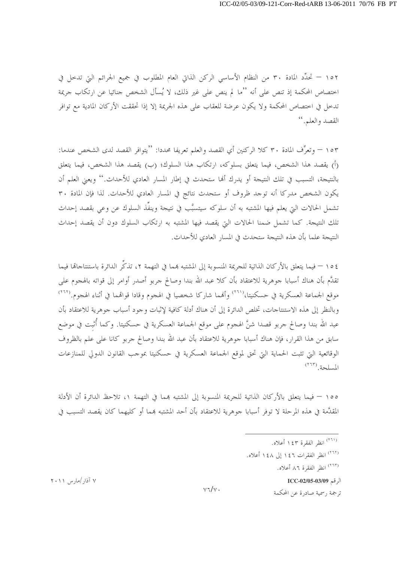١٥٢ – تحدِّد المادة ٣٠ من النظام الأساسي الركن الذاتي العام المطلوب في جميع الجرائم التي تدخل في اختصاص المحكمة إذ تنص على أنه ''ما لم ينص على غير ذلك، لا يُسأل الشخص جنائيا عن ارتكاب جريمة تدخل في اختصاص المحكمة ولا يكون عرضة للعقاب على هذه الجريمة إلا إذا تحققت الأركان المادية مع توافر القصد والعلم. "

١٥٣ – وتعرِّف المادة ٣٠ كلا الركنين أي القصد والعلم تعريفا محددا: ''يتوافر القصد لدى الشخص عندما: (أ) يقصد هذا الشخص، فيما يتعلق بسلوكه، ارتكاب هذا السلوك؛ (ب) يقصد هذا الشخص، فيما يتعلق بالنتيجة، التسبب في تلك النتيجة أو يدرك ألها ستحدث في إطار المسار العادي للأحداث.'' ويعني العلم أن يكون الشخص مدركا أنه توجد ظروف أو ستحدث نتائج في المسار العادي للأحداث. لذا فإن المادة ٣٠ تشمل الحالات التي يعلم فيها المشتبه به أن سلوكه سيتسبَّب في نتيجة وينفِّذ السلوك عن وعي بقصد إحداث تلك النتيجة. كما تشمل ضمنا الحالات التي يقصد فيها المشتبه به ارتكاب السلوك دون أن يقصد إحداث النتيجة علما بأن هذه النتيجة ستحدث في المسار العادي للأحداث.

٤ ٥ ( — فيما يتعلق بالأركان الذاتية للجريمة المنسوبة إلى المشتبه بمما في التهمة ٢، تذكُّر الدائرة باستنتاجاها فيما تقدَّم بأن هناك أسبابا جوهرية للاعتقاد بأن كلا عبد الله بندا وصالح جربو أصدر أوامر إلى قواته بالهجوم على موقع الجماعة العسكرية في حسكنيتا،<sup>(٢٦١)</sup> وأفمما شاركا شخصيا في الهجوم وقادا قواقمما في أثناء الهجوم.<sup>(٢٦٢)</sup> وبالنظر إلى هذه الاستنتاجات، تخلص الدائرة إلى أن هناك أدلة كافية لإثبات وجود أسباب جوهرية للاعتقاد بأن عبد الله بندا وصالح جربو قصدا شنَّ الهجوم على موقع الجماعة العسكرية في حسكنيتا. وكما أُثبت في موضع سابق من هذا القرار، فإن هناك أسبابا جوهرية للاعتقاد بأن عبد الله بندا وصالح جربو كانا على علم بالظروف الوقائعية التي تثبت الحماية التي تحق لموقع الجماعة العسكرية في حسكنيتا بموجب القانون الدولي للمنازعات المسلحة. (٢٦٣)

١٥٥ – فيما يتعلَّق بالأركان الذاتية للجريمة المنسوبة إلى المشتبه بمما في التهمة ١، تلاحظ الدائرة أن الأدلة المقدَّمة في هذه المرحلة لا توفر أسبابا جوهرية للاعتقاد بأن أحد المشتبه بمما أو كليهما كان يقصد التسبب في

(٢٦٣) انظر الفقرة ٨٦ أعلاه.

الرقم ICC-02/05-03/09

ترجمة , سمية صادرة عن المحكمة

۷ آذار /مارس ۲۰۱۱

 $v\tau/v$ .

<sup>&</sup>lt;sup>(۲٦۱)</sup> انظر الفقرة ۱٤۳ أعلاه.

<sup>(</sup>٢٦٢) انظر الفقرات ١٤٦ إلى ١٤٨ أعلاه.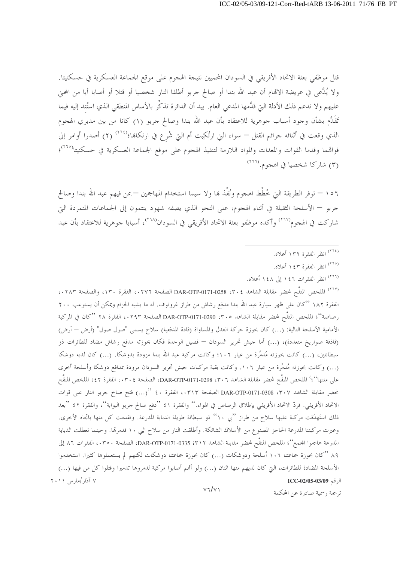قتل موظفى بعثة الاتحاد الأفريقي في السودان المحميين نتيجة الهجوم على موقع الجماعة العسكرية في حسكنيتا. ولا يُدَّعى في عريضة الاقمام أن عبد الله بندا أو صالح جربو أطلقا النار شخصيا أو قتلا أو أصابا أيا من المحني عليهم ولا تدعم ذلك الأدلة التي قدَّمها المدعى العام. بيد أن الدائرة تذكِّر بالأساس المنطقي الذي استُند إليه فيما تَقَلَّم بشأن وجود أسباب جوهرية للاعتقاد بأن عبد الله بندا وصالح جربو (١) كانا من بين مدبري الهجوم الذي وقعت في أثنائه حرائم القتل — سواء التي ارتُكِبت أم التي شُرع في ارتكاها؛<sup>(٢٦٤)</sup> (٢) أصدرا أوامر إلى قواقمما وقدما القوات والمعدات والمواد اللازمة لتنفيذ الهجوم على موقع الجماعة العسكرية في حسكنيتا<sup>(٢٦٥)</sup>؛ (٣) شاركا شخصيا في الهجوم.(٢٦٦)

١٥٦ – توفر الطريقة التي خُطِّط الهجوم ونُفِّذ بما ولا سيما استخدام المهاجمين – بمن فيهم عبد الله بندا وصالح جربو — الأسلحة الثقيلة في أثناء الهجوم، على النحو الذي يصفه شهود ينتمون إلى الجماعات المتمردة التي شاركت في الهجوم<sup>(٢٦٧)</sup> وأكده موظفو بعثة الاتحاد الأفريقي في السودان<sup>(٢٦٨)</sup>، أسبابا جوهرية للاعتقاد بأن عبد

- (<sup>٢٦٤)</sup> انظر الفقرة ١٣٢ أعلاه.
- (<sup>٢٦٥)</sup> انظ الفقرة ١٤٣ أعلاه.
- (٢٦٦) انظر الفقرات ١٤٦ إلى ١٤٨ أعلاه.

(<sup>٢٦٧)</sup> الملخص المنقَّح لمحضر مقابلة الشاهد DAR-OTP-0171-0258 ، ٣٠٤ الصفحة ١٣٠٦، الفقرة ١٣٠، والصفحة ١٢٨٣. الفقرة ١٨٢ ''كان على ظهر سيارة عبد الله بندا مدفع رشاش من طراز غرونوف. له ما يشبه الحزام ويمكن أن يستوعب ٢٠٠ رصاصة''؛ الملخص المنقَّح لمحضر مقابلة الشاهد DAR-OTP-0171-0290 ،۳۰٥ الصفحة ٠٢٩٣،، الفقرة ٢٨ ''كان في المركبة الأمامية الأسلحة التالية: (…) كان بحوزة حركة العدل والمساواة (قادة المدفعية) سلاح يسمى "صول صول" (أرض — أرض) (قاذفة صواريخ متعددة)، (…) أما جيش تحرير السودان — فصيل الوحدة فكان بحوزته مدفع رشاش مضاد للطائرات ذو سبطانتین، (…) کانت بحوزته مُدمِّرة من عیار ١٠٦؛ وکانت مرکبة عبد الله بندا مزودة بدوشکا. (…) کان لدیه دوشکا (…) وكانت بحوزته مُدمِّرة من عيار ١٠٦. وكانت بقية مركبات جيش تحرير السودان مزودة بمدافع دوشكا وأسلحة أخرى على متنها''؛' الملخص المنقَّح لمحضر مقابلة الشاهد 1 ٣٠٢، DAR-OTP-0171-0298، الصفحة ٠٣٠٤، الفقرة ٤٢؛ الملخص المنقّح لمحضر مقابلة الشاهد ٣٠٧، DAR-OTP-0171-0308 الصفحة ٠٣١٣، الفقرة ٤٠ ''(...) فتح صالح جربو النار على قوات الاتحاد الأفريقي. فردّ الاتحاد الأفريقي بإطلاق الرصاص في الهواء.'' والفقرة ٤١ ''دفع صالح جربو البوابة''، والفقرة ٤٢ ''بعد ذلك استَهدَفت مركبة عليها سلاح من طراز ''بي ١٠'' ذو سبطانة طويلة الدبابة المدرعة. وتقدمت كل منها باتجاه الأخرى. وعبرت مركبتنا المدرعة الحاجز المصنوع من الأسلاك الشائكة. وأطلقت النار من سلاح البي ١٠ فدمرقما. وحينما تعطلت الدبابة المدرعة هاجموا المجمع''؛ الملخص المنقَّح لمحضر مقابلة الشاهد DAR-OTP-0171-0335 ؛ الصفحة ٢٥٠، الفقرات ٨٦ إلى ۸۹ "کان بحوزة جماعتنا ۱۰۶ أسلحة ودوشکات (…) کان بحوزة جماعتنا دوشکات لکنهم لم يستعملوها کثيرا. استخدموا الأسلحة المضادة للطائرات، التي كان لديهم منها اثنان (…) ولو أفمم أصابوا مركبة لدمروها تدميرا وقتلوا كل من فيها (…) ۷ آذار /مارس ۲۰۱۱ الرقم ICC-02/05-03/09  $V7/V1$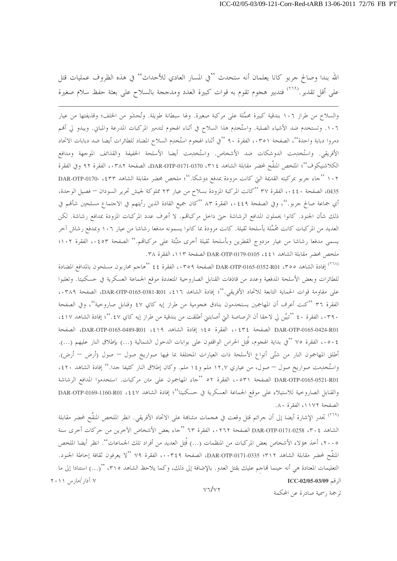الله بندا وصالح جربو كانا يعلمان أنه ستحدث ''في المسار العادي للأحداث'' في هذه الظروف عمليات قتل على أقل تقدير .<sup>(٢٦٩)</sup> فتدبير هجوم تقوم به قوات كبيرة العدد ومدججة بالسلاح على بعثة حفظ سلام صغيرة

والسلاح من طراز ١٠٦ بندقية كبيرة محمَّلة على مركبة صغيرة. ولها سبطانة طويلة. وتُحشَو من الخلف؛ وقذيفتها من عيار ١٠٦. وتستخدم ضد الأشياء الصلبة. واستُخدِم هذا السلاح في أثناء الهجوم لتدمير المركبات المدرعة والمباني. ويبدو لي ألهم دمروا دبابة واحدة''، الصفحة ٥٣٥١، الفقرة ٩٠ ''في أثناء الهجوم استُخلِع السلاح المضاد للطائرات أيضا ضد دبابات الاتحاد الأفريقي. واستُخلِمت الدوشكات ضد الأشخاص. واستُخلِمت أيضا الأسلحة الخفيفة والقذائف الموجهة ومدافع الكلاشنيكوف''؛ الملخص المنقَّح لمحضر مقابلة الشاهد ٣١٤، DAR-OTP-0171-0370، الصفحة ٠٣٨٢، الفقرة ٩٢ وفي الفقرة ١٠٢ ''جاء جربو بمركبته القديمة التي كانت مزودة بمدفع دوشكا.''؛ ملخص محضر مقابلة الشاهد DAR-OTP-0170- ، \$ ) 0435، الصفحة ٤٤٠، الفقرة ٣٧ ''كانت المركبة المزودة بسلاح من عيار ٢٣ مملوكة لجيش تحرير السودان — فصيل الوحدة، أي جماعة صالح جربو.''، وفي الصفحة ٤٤٩،، الفقرة ٨٣ ''كان جميع القادة الذين رأيتهم في الاحتماع مسلحين شأفمم في ذلك شأن الجنود. كانوا يحملون المدافع الرشاشة حتى داحل مركباتمم. لا أعرف عدد المركبات المزودة بمدافع رشاشة. لكن العديد من المركبات كانت مُحمَّلة بأسلحة ثقيلة. كانت مزودة بما كانوا يسمونه مدفعا رشاشا من عيار ١٠٦ وبمدفع رشاش آخر يسمى مدفعا رشاشا من عيار مزدوج القطرين وبأسلحة ثقيلة أحرى مثبَّتة على مركباقم.'' الصفحة ٥٢، ٧ الفقرة ١٠٢؛ ملحص محضر مقابلة الشاهد 1 ٤٤، 0105-0179-DAR الصفحة ١١٣، الفقرة ٣٨.

(<sup>٢٦٨)</sup> إفادة الشاهد DAR-OTP-0165-0352-R01 ، ٣٥٩ الصفحة ٥٣٥٩، الفقرة ٤٤ ''هاجم محاربون مسلحون بالمدافع المضادة للطائرات وبعض الأسلحة المدفعية وعدد من قاذفات القنابل الصاروحية المتعددة موقع الجماعة العسكرية في حسكنيتا. وتغلبوا على مقاومة قوات الحماية التابعة للاتحاد الأفريقي.''؛ إفادة الشاهد ٤١٦، DAR-OTP-0165-0381-R01، الصفحة ٠٣٨٩، الفقرة ٣٦ ''كنت أعرف أن المهاجمين يستخدمون بنادق هجومية من طراز إيه كاي ٤٧ وقنابل صاروحية''، وفي الصفحة ٣٩٠، الفقرة ٤٠ ''تبيَّن لي لاحقا أن الرصاصة التي أصابتني أطلقت من بندقية من طراز إيه كاي ٤٧.''؛ إفادة الشاهد ٤١٧، DAR-OTP-0165-0424-R01 الصفحة ٢٤٤، الفقرة ٤٥؛ إفادة الشاهد 1٩٪، DAR-OTP-0165-0489-R01، الصفحة ٤٠٥٠٤ الفقرة ٧٥ "في بداية الهجوم، قُتِل الحراس الواقفون على بوابات الدحول الشمالية (…) بإطلاق النار عليهم (…). أطلق المهاجمون النار من شتّى أنواع الأسلحة ذات العيارات المختلفة بما فيها صواريخ صول — صول (أرض — أرض). واستُخْدِمت صواريخ صول – صول، من عياري ١٢٫٧ ملم و١٤ ملم. وكان إطلاق النار كثيفا جدا.'' إفادة الشاهد ٤٢٠، DAR-OTP-0165-0521-R01 الصفحة ٥٢١، الفقرة ٥٢ "جاء المهاجمون على متن مركبات. استخدموا المدافع الرشاشة والقنابل الصاروخية للاستيلاء على موقع الجماعة العسكرية في حسكنيتا''؛ إفادة الشاهد V LAR-OTP-0169-1160-R01 وDAR-OTP-0169 الصفحة ١١٧٢، الفقرة ٨٠.

<sup>(٢٦٩)</sup> تجدر الإشارة أيضا إلى أن جرائم قتل وقعت في هجمات مشابمة على الاتحاد الأفريقي. انظر الملخص المنقّح لمحضر مقابلة الشاهد ٢٠٤، DAR-OTP-0171-0258 الصفحة ٠٢٦٢، الفقرة ٦٣ ''جاء بعض الأشخاص الآخرين من حركات أخرى سنة ٢٠٠٥، أخذ هؤلاء الأشخاص بعض المركبات من المنظمات (...) قُتِل العديد من أفراد تلك الجماعات''. انظر أيضا الملخص المنقَّح لمحضر مقابلة الشاهد DAR-OTP-0171-0335 :۳۱۲، الصفحة ۰۰۳٤٩، الفقرة ٧٩ ''لا يعرفون ثقافة إحاطة الجنود. التعليمات المعتادة هي أنه حينما قماجم عليك بقتل العدو . بالإضافة إلى ذلك، وكما يلاحظ الشاهد ٣١٥، ''(…) استنادا إلى ما ۷ آذار /مارس ۲۰۱۱ الرقم ICC-02/05-03/09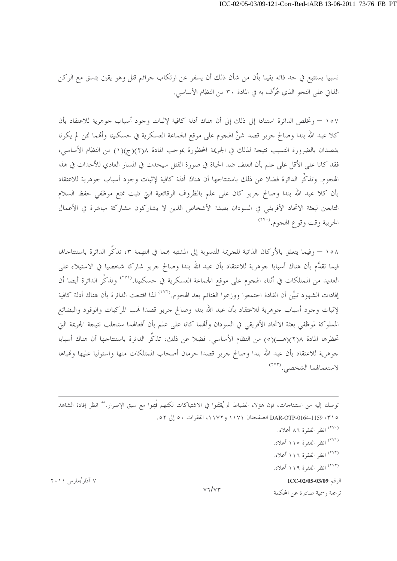نسبيا يستتبع في حد ذاته يقينا بأن من شأن ذلك أن يسفر عن ارتكاب جرائم قتل وهو يقين يتسق مع الركن الذاتي على النحو الذي عُرِّف به في المادة ٣٠ من النظام الأساسي.

١٥٧ – وتخلص الدائرة استنادا إلى ذلك إلى أن هناك أدلة كافية لإثبات وجود أسباب جوهرية للاعتقاد بأن كلا عبد الله بندا وصالح جربو قصد شنَّ الهجوم على موقع الجماعة العسكرية في حسكنيتا وأفمما لئن لم يكونا يقصدان بالضرورة التسبب نتيجة لذلك في الجريمة المحظورة بموجب المادة ٢(٢)(ج)(١) من النظام الأساسي، فقد كانا على الأقل على علم بأن العنف ضد الحياة في صورة القتل سيحدث في المسار العادي للأحداث في هذا الهجوم. وتذكَّر الدائرة فضلا عن ذلك باستنتاجها أن هناك أدلة كافية لإثبات وجود أسباب جوهرية للاعتقاد بأن كلا عبد الله بندا وصالح جربو كان على علم بالظروف الوقائعية التي تثبت تمتع موظفي حفظ السلام التابعين لبعثة الاتحاد الأفريقي في السودان بصفة الأشخاص الذين لا يشاركون مشاركة مباشرة في الأعمال الحربية وقت وقوع الهجوم. <sup>(٢٧٠</sup>)

٥٨ – وفيما يتعلق بالأركان الذاتية للجريمة المنسوبة إلى المشتبه بمما في التهمة ٣، تذكُّر الدائرة باستنتاجاقما فيما تقدَّم بأن هناك أسبابا جوهرية للاعتقاد بأن عبد الله بندا وصالح جربو شاركا شخصيا في الاستيلاء على العديد من الممتلكات في أثناء الهجوم على موقع الجماعة العسكرية في حسكنيتا.<sup>(٢٧١)</sup> وتذكِّر الدائرة أيضا أن إفادات الشهود تبيِّن أن القادة اجتمعوا ووزعوا الغنائم بعد الهجوم.(```` لذا اقتنعت الدائرة بأن هناك أدلة كافية لإثبات وجود أسباب جوهرية للاعتقاد بأن عبد الله بندا وصالح جربو قصدا فمب المركبات والوقود والبضائع المملوكة لموظفى بعثة الاتحاد الأفريقي في السودان وأفمما كانا على علم بأن أفعالهما ستجلب نتيجة الجريمة التي تحظرها المادة ٢(٢)(هـــ)(٥) من النظام الأساسي. فضلا عن ذلك، تذكُّر الدائرة باستنتاجها أن هناك أسبابا جوهرية للاعتقاد بأن عبد الله بندا وصالح جربو قصدا حرمان أصحاب الممتلكات منها واستوليا عليها وفمباها لاستعمالهما الشخصى. (٢٧٣)

توصلنا إليه من استنتاجات، فإن هؤلاء الضباط لم يُقتَلوا في الاشتباكات لكنهم قُتِلوا مع سبق الإصرار.'' انظر إفادة الشاهد 0 DAR-OTP-0164-1159 ، ٣١٥ الصفحتان ١١٧١ و ١١٧٢، الفقرات ٥٠ إلى ٥٢.

> (<sup>٢٧٠)</sup> انظر الفقرة ٨٦ أعلاه. (<sup>٢٧١)</sup> انظر الفقرة ١١٥ أعلاه.

(٢٧٢) انظر الفقرة ١١٦ أعلاه.

(٢٧٣) انظر الفقرة ١١٩ أعلاه.

الرقم ICC-02/05-03/09

ترجمة , سمية صادرة عن المحكمة

۷ آذار /مارس ۲۰۱۱

 $V7/V$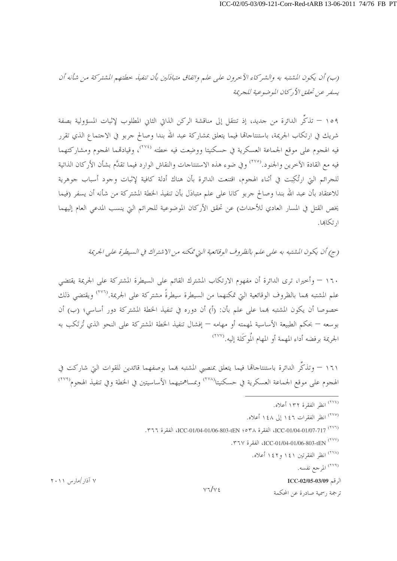(ب) أن يكون المشتبه به والشير كاء الآحرون على عليه واتفاق متبادَلين بأن تنفيذ حطتهم المشتركة من شأنه أن بسفير عن تحقق الأركان الموضوعية للجريمة

١٥٩ – تذكُّر الدائرة من جديد، إذ تنتقل إلى مناقشة الركن الذاتي الثاني المطلوب لإثبات المسؤولية بصفة شريك في ارتكاب الجريمة، باستنتاجاها فيما يتعلق بمشاركة عبد الله بندا وصالح جربو في الاجتماع الذي تقرر فيه الهجوم على موقع الجماعة العسكرية في حسكنيتا ووضِعت فيه خطته <sup>(٢٧٤)</sup>، وقيادقمما الهجوم ومشاركتهما فيه مع القادة الآخرين والجنود.<sup>(٢٧٥</sup>) وفي ضوء هذه الاستنتاجات والنقاش الوارد فيما تقدَّم بشأن الأركان الذاتية للجرائم التي ارتُكِبت في أثناء الهجوم، اقتنعت الدائرة بأن هناك أدلة كافية لإثبات وجود أسباب جوهرية للاعتقاد بأن عبد الله بندا وصالح جربو كانا على علم متبادَل بأن تنفيذ الخطة المشتركة من شأنه أن يسفر (فيما يخص القتل في المسار العادي للأحداث) عن تحقق الأركان الموضوعية للجرائم التي ينسب المدعي العام إليهما ا, تكاهما.

(ج) أن يكون المشتبه به على عليه بالظروف الوقائعية التي تمكنه من الاشتراك في السيطرة على الجريمة

١٦٠ – وأحيرا، ترى الدائرة أن مفهوم الارتكاب المشترك القائم على السيطرة المشتركة على الجريمة يقتضى علم المشتبه همما بالظروف الوقائعية التي تمكنهما من السيطرة سيطرةً مشتركة على الجريمة.'```` ويقتضى ذلك حصوصا أن يكون المشتبه هِما على علم بأن: (أ) أن دوره في تنفيذ الخطة المشتركة دور أساسي؛ (ب) أن بوسعه — بحكم الطبيعة الأساسية لمهمته أو مهامه — إفشال تنفيذ الخطة المشتركة على النحو الذي تُرتَكب به الجريمة برفضه أداء المهمة أو المهام المُوكَلة إليه.(٢٧٧)

١٦١ – وتذكُّر الدائرة باستنتاجاها فيما يتعلق بمنصبي المشتبه هما بوصفهما قائدين للقوات التي شاركت في الهجوم على موقع الجماعة العسكرية في حسكنيتا<sup>(۲۷۸)</sup> وبمساهمتيهما الأساسيتين في الخطة وفي تنفيذ الهجوم<sup>(۲۷۹)</sup>

- (٢٧٤) انظر الفقرة ١٣٢ أعلاه.
- (٢٧٥) انظر الفقرات ١٤٦ إلى ١٤٨ أعلاه.
- (٢٧٦) ICC-01/04-01/06-803-tEN ؛ ٥٣٨ ICC-01/04-01/06-803-tEN الفقرة ٣٦٦.
	- (٢٧٧) ICC-01/04-01/06-803-tEN ، الفقرة ٣٦٧.
		- (٢٧٨) انظر الفقرتين ١٤١ و١٤٢ أعلاه.
			- <sup>(٢٧٩)</sup> المرجع نفسه.

الرقم ICC-02/05-03/09

ترجمة , سمية صادرة عن المحكمة

۷ آذار /مارس ۲۰۱۱

 $V7/V5$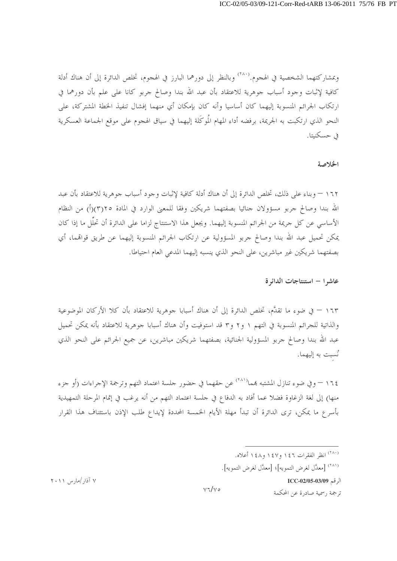وبمشاركتهما الشخصية في الهجوم.<sup>(٢٨٠)</sup> وبالنظر إلى دورهما البارز في الهجوم، تخلص الدائرة إلى أن هناك أدلة كافية لإثبات وجود أسباب جوهرية للاعتقاد بأن عبد الله بندا وصالح جربو كانا على علم بأن دورهما في ارتكاب الجرائم المنسوبة إليهما كان أساسيا وأنه كان بإمكان أي منهما إفشال تنفيذ الخطة المشتركة، على النحو الذي ارتكبت به الجريمة، برفضه أداء المهام المُوكَلة إليهما في سياق الهجوم على موقع الجماعة العسكرية في حسكنيتا.

#### الخلاصة

١٦٢ – وبناء على ذلك، تخلص الدائرة إلى أن هناك أدلة كافية لإثبات وجود أسباب جوهرية للاعتقاد بأن عبد الله بندا وصالح جربو مسؤولان جنائيا بصفتهما شريكين وفقا للمعنى الوارد في المادة ٢(٣)(أ) من النظام الأساسي عن كل جريمة من الجرائم المنسوبة إليهما. ويجعل هذا الاستنتاج لزاما على الدائرة أن تحلُّل ما إذا كان يمكن تحميل عبد الله بندا وصالح جربو المسؤولية عن ارتكاب الجرائم المنسوبة إليهما عن طريق قواقمما، أي بصفتهما شريكين غير مباشرين، على النحو الذي ينسبه إليهما المدعى العام احتياطا.

عاشرا – استنتاجات الدائرة

١٦٣ – في ضوءٍ ما تقدَّم، تخلص الدائرة إلى أن هناك أسبابا جوهرية للاعتقاد بأن كلا الأركان الموضوعية والذاتية للجرائم المنسوبة في التهم ١ و٢ و٣ قد استوفيت وأن هناك أسبابا جوهرية للاعتقاد بأنه يمكن تحميل عبد الله بندا وصالح جربو المسؤولية الجنائية، بصفتهما شريكين مباشرين، عن جميع الجرائم على النحو الذي نُسبت به إليهما.

١٦٤ – وفي ضوء تنازل المشتبه بمما<sup>(٢٨١)</sup> عن حقهما في حضور جلسة اعتماد التهم وترجمة الإجراءات (أو جزء منها) إلى لغة الزغاوة فضلا عما أفاد به الدفاع في حلسة اعتماد التهم من أنه يرغب في إتمام المرحلة التمهيدية بأسرع ما يمكن، ترى الدائرة أن تبدأ مهلة الأيام الخمسة المحددة لإيداع طلب الإذن باستئناف هذا القرار

<sup>(۲۸۰</sup>) انظر الفقرات ۱٤٦ و۱٤٧ و۱٤٨ أعلاه.

<sup>(۲۸۱</sup>) [معدَّل لغرض التمويه]؛ [معدَّل لغرض التمويه].

الرقم ICC-02/05-03/09

ترجمة , سمية صادرة عن المحكمة

۷ آذار /مارس ۲۰۱۱

 $v\sqrt{v}$